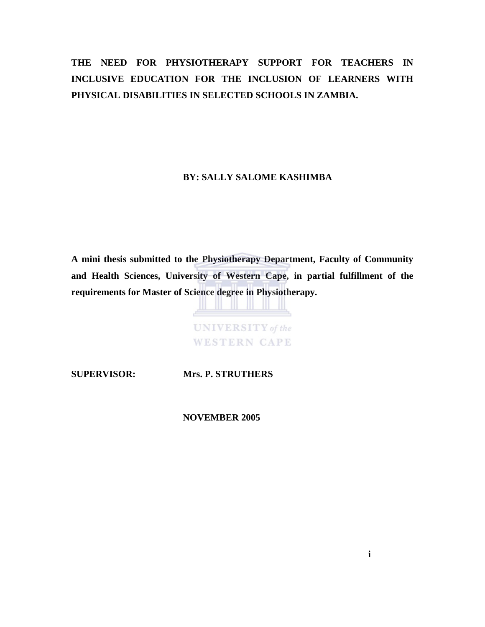# **THE NEED FOR PHYSIOTHERAPY SUPPORT FOR TEACHERS IN INCLUSIVE EDUCATION FOR THE INCLUSION OF LEARNERS WITH PHYSICAL DISABILITIES IN SELECTED SCHOOLS IN ZAMBIA.**

 **BY: SALLY SALOME KASHIMBA** 

**A mini thesis submitted to the Physiotherapy Department, Faculty of Community and Health Sciences, University of Western Cape, in partial fulfillment of the requirements for Master of Science degree in Physiotherapy.** 

> **UNIVERSITY** of the **WESTERN CAPE**

**SUPERVISOR: Mrs. P. STRUTHERS** 

 **NOVEMBER 2005**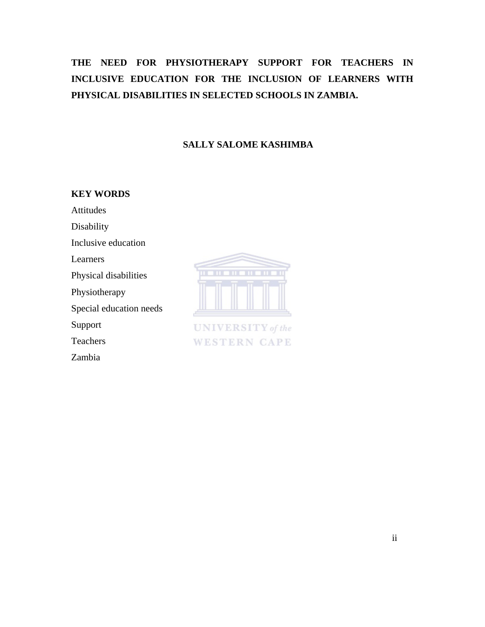# **THE NEED FOR PHYSIOTHERAPY SUPPORT FOR TEACHERS IN INCLUSIVE EDUCATION FOR THE INCLUSION OF LEARNERS WITH PHYSICAL DISABILITIES IN SELECTED SCHOOLS IN ZAMBIA.**

### **SALLY SALOME KASHIMBA**

### **KEY WORDS**

Attitudes

Disability

Inclusive education

Learners

Physical disabilities

Physiotherapy

Special education needs

Support

Teachers

Zambia



**UNIVERSITY** of the **WESTERN CAPE**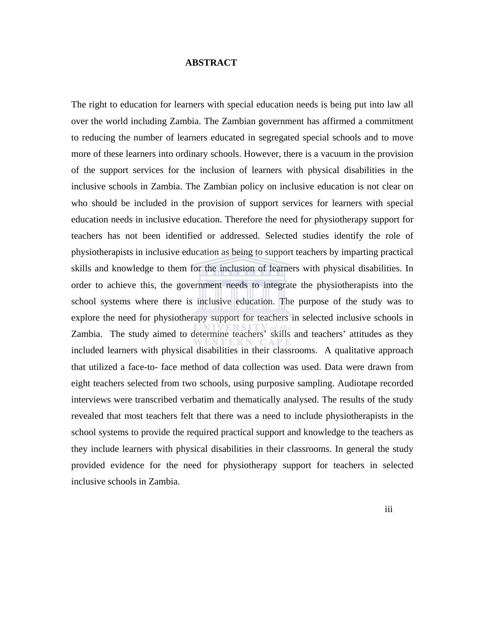#### **ABSTRACT**

The right to education for learners with special education needs is being put into law all over the world including Zambia. The Zambian government has affirmed a commitment to reducing the number of learners educated in segregated special schools and to move more of these learners into ordinary schools. However, there is a vacuum in the provision of the support services for the inclusion of learners with physical disabilities in the inclusive schools in Zambia. The Zambian policy on inclusive education is not clear on who should be included in the provision of support services for learners with special education needs in inclusive education. Therefore the need for physiotherapy support for teachers has not been identified or addressed. Selected studies identify the role of physiotherapists in inclusive education as being to support teachers by imparting practical skills and knowledge to them for the inclusion of learners with physical disabilities. In order to achieve this, the government needs to integrate the physiotherapists into the school systems where there is inclusive education. The purpose of the study was to explore the need for physiotherapy support for teachers in selected inclusive schools in Zambia. The study aimed to determine teachers' skills and teachers' attitudes as they included learners with physical disabilities in their classrooms. A qualitative approach that utilized a face-to- face method of data collection was used. Data were drawn from eight teachers selected from two schools, using purposive sampling. Audiotape recorded interviews were transcribed verbatim and thematically analysed. The results of the study revealed that most teachers felt that there was a need to include physiotherapists in the school systems to provide the required practical support and knowledge to the teachers as they include learners with physical disabilities in their classrooms. In general the study provided evidence for the need for physiotherapy support for teachers in selected inclusive schools in Zambia.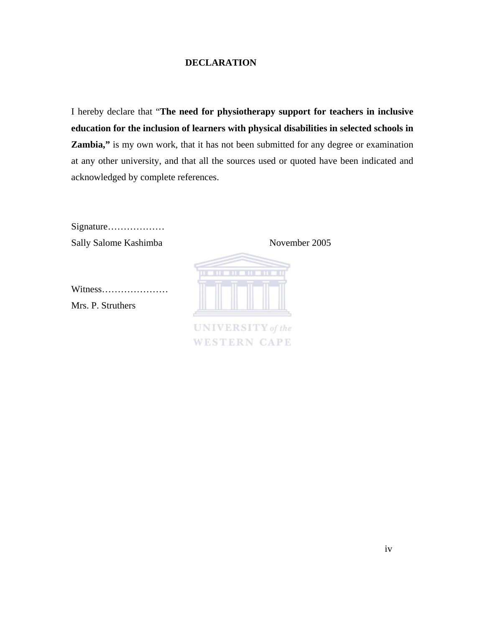### **DECLARATION**

I hereby declare that "**The need for physiotherapy support for teachers in inclusive education for the inclusion of learners with physical disabilities in selected schools in Zambia,"** is my own work, that it has not been submitted for any degree or examination at any other university, and that all the sources used or quoted have been indicated and acknowledged by complete references.

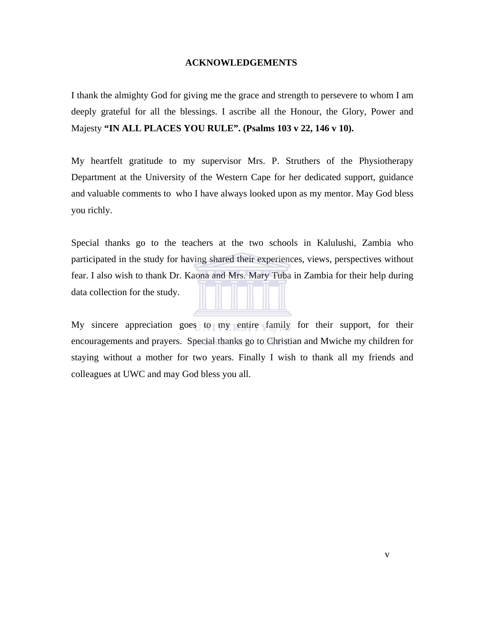#### **ACKNOWLEDGEMENTS**

I thank the almighty God for giving me the grace and strength to persevere to whom I am deeply grateful for all the blessings. I ascribe all the Honour, the Glory, Power and Majesty **"IN ALL PLACES YOU RULE". (Psalms 103 v 22, 146 v 10).**

My heartfelt gratitude to my supervisor Mrs. P. Struthers of the Physiotherapy Department at the University of the Western Cape for her dedicated support, guidance and valuable comments to who I have always looked upon as my mentor. May God bless you richly.

Special thanks go to the teachers at the two schools in Kalulushi, Zambia who participated in the study for having shared their experiences, views, perspectives without fear. I also wish to thank Dr. Kaona and Mrs. Mary Tuba in Zambia for their help during data collection for the study.

My sincere appreciation goes to my entire family for their support, for their encouragements and prayers. Special thanks go to Christian and Mwiche my children for staying without a mother for two years. Finally I wish to thank all my friends and colleagues at UWC and may God bless you all.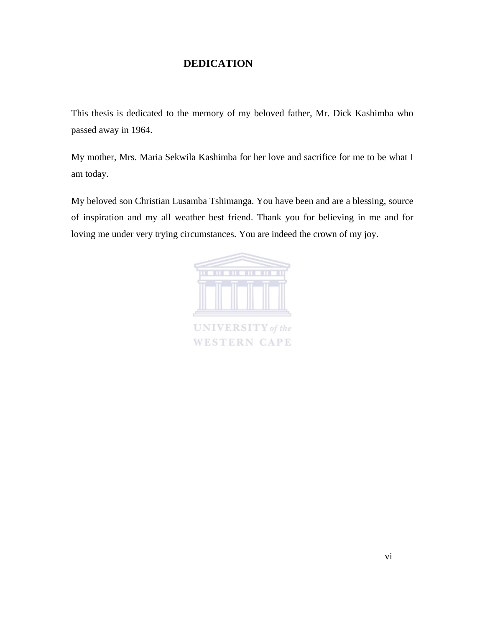## **DEDICATION**

This thesis is dedicated to the memory of my beloved father, Mr. Dick Kashimba who passed away in 1964.

My mother, Mrs. Maria Sekwila Kashimba for her love and sacrifice for me to be what I am today.

My beloved son Christian Lusamba Tshimanga. You have been and are a blessing, source of inspiration and my all weather best friend. Thank you for believing in me and for loving me under very trying circumstances. You are indeed the crown of my joy.

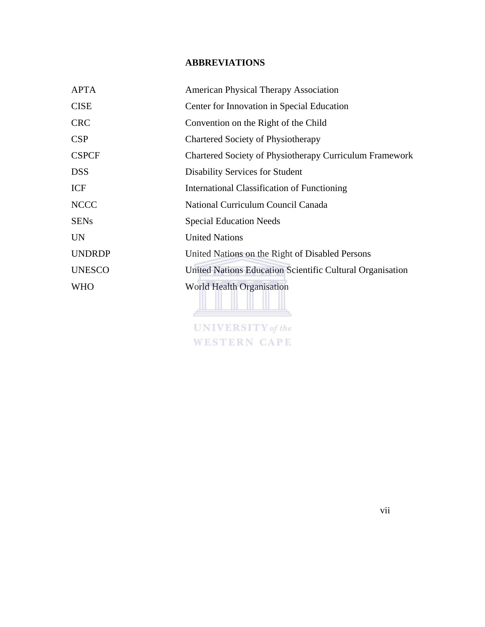## **ABBREVIATIONS**

| <b>APTA</b>   | <b>American Physical Therapy Association</b>                   |
|---------------|----------------------------------------------------------------|
| <b>CISE</b>   | Center for Innovation in Special Education                     |
| <b>CRC</b>    | Convention on the Right of the Child                           |
| <b>CSP</b>    | Chartered Society of Physiotherapy                             |
| <b>CSPCF</b>  | <b>Chartered Society of Physiotherapy Curriculum Framework</b> |
| <b>DSS</b>    | Disability Services for Student                                |
| <b>ICF</b>    | <b>International Classification of Functioning</b>             |
| <b>NCCC</b>   | National Curriculum Council Canada                             |
| <b>SENs</b>   | <b>Special Education Needs</b>                                 |
| <b>UN</b>     | <b>United Nations</b>                                          |
| <b>UNDRDP</b> | United Nations on the Right of Disabled Persons                |
| <b>UNESCO</b> | United Nations Education Scientific Cultural Organisation      |
| <b>WHO</b>    | World Health Organisation                                      |
|               | <b>UNIVERSITY</b> of the                                       |

**WESTERN CAPE**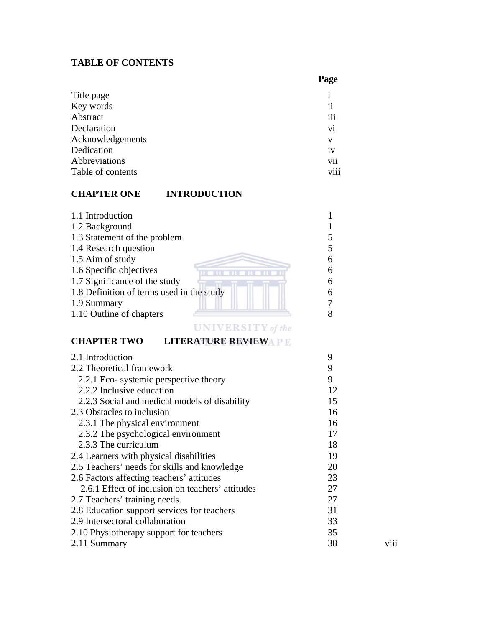## **TABLE OF CONTENTS**

 **Page** 

| Title page        |                     |
|-------------------|---------------------|
| Key words         | $\ddot{\mathbf{i}}$ |
| Abstract          | iii                 |
| Declaration       | vi                  |
| Acknowledgements  | v                   |
| Dedication        | iv                  |
| Abbreviations     | vii                 |
| Table of contents | viii                |
|                   |                     |

## **CHAPTER ONE INTRODUCTION**

| 1.1 Introduction                          |   |
|-------------------------------------------|---|
| 1.2 Background                            |   |
| 1.3 Statement of the problem              |   |
| 1.4 Research question                     |   |
| 1.5 Aim of study                          | 6 |
| 1.6 Specific objectives                   | 6 |
| 1.7 Significance of the study             | 6 |
| 1.8 Definition of terms used in the study | 6 |
| 1.9 Summary                               |   |
| 1.10 Outline of chapters                  |   |
|                                           |   |

## **UNIVERSITY** of the **CHAPTER TWO LITERATURE REVIEWAPE**

| 2.1 Introduction                                 | 9  |      |
|--------------------------------------------------|----|------|
| 2.2 Theoretical framework                        | 9  |      |
| 2.2.1 Eco- systemic perspective theory           | 9  |      |
| 2.2.2 Inclusive education                        | 12 |      |
| 2.2.3 Social and medical models of disability    | 15 |      |
| 2.3 Obstacles to inclusion                       | 16 |      |
| 2.3.1 The physical environment                   | 16 |      |
| 2.3.2 The psychological environment              | 17 |      |
| 2.3.3 The curriculum                             | 18 |      |
| 2.4 Learners with physical disabilities          | 19 |      |
| 2.5 Teachers' needs for skills and knowledge     | 20 |      |
| 2.6 Factors affecting teachers' attitudes        | 23 |      |
| 2.6.1 Effect of inclusion on teachers' attitudes | 27 |      |
| 2.7 Teachers' training needs                     | 27 |      |
| 2.8 Education support services for teachers      | 31 |      |
| 2.9 Intersectoral collaboration                  | 33 |      |
| 2.10 Physiotherapy support for teachers          | 35 |      |
| 2.11 Summary                                     | 38 | V111 |
|                                                  |    |      |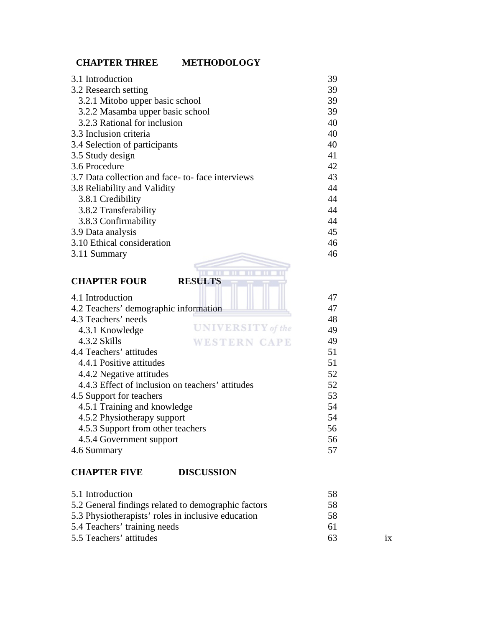## **CHAPTER THREE METHODOLOGY**

| 3.1 Introduction                                 | 39       |
|--------------------------------------------------|----------|
| 3.2 Research setting                             | 39       |
| 3.2.1 Mitobo upper basic school                  | 39       |
| 3.2.2 Masamba upper basic school                 | 39       |
| 3.2.3 Rational for inclusion                     | 40       |
| 3.3 Inclusion criteria                           | 40       |
| 3.4 Selection of participants                    | 40       |
| 3.5 Study design                                 | 41       |
| 3.6 Procedure                                    | 42       |
| 3.7 Data collection and face-to-face interviews  | 43       |
| 3.8 Reliability and Validity                     | 44       |
| 3.8.1 Credibility                                | 44       |
| 3.8.2 Transferability                            | 44       |
| 3.8.3 Confirmability                             | 44       |
| 3.9 Data analysis                                | 45       |
| 3.10 Ethical consideration                       | 46       |
| 3.11 Summary                                     | 46       |
|                                                  |          |
|                                                  |          |
| <b>CHAPTER FOUR</b><br><b>RESULTS</b>            |          |
|                                                  |          |
| 4.1 Introduction                                 | 47       |
| 4.2 Teachers' demographic information            | 47       |
| 4.3 Teachers' needs<br><b>UNIVERSITY</b> of the  | 48       |
| 4.3.1 Knowledge                                  | 49       |
| 4.3.2 Skills<br><b>WESTERN CAPE</b>              | 49       |
| 4.4 Teachers' attitudes                          | 51       |
| 4.4.1 Positive attitudes                         | 51       |
| 4.4.2 Negative attitudes                         | 52       |
| 4.4.3 Effect of inclusion on teachers' attitudes | 52       |
| 4.5 Support for teachers                         | 53       |
| 4.5.1 Training and knowledge                     | 54       |
| 4.5.2 Physiotherapy support                      | 54<br>56 |
| 4.5.3 Support from other teachers                | 56       |
| 4.5.4 Government support<br>4.6 Summary          | 57       |
|                                                  |          |

| 5.1 Introduction                                    | .58 |  |
|-----------------------------------------------------|-----|--|
| 5.2 General findings related to demographic factors | 58  |  |
| 5.3 Physiotherapists' roles in inclusive education  | .58 |  |
| 5.4 Teachers' training needs                        | 61  |  |
| 5.5 Teachers' attitudes                             | 63  |  |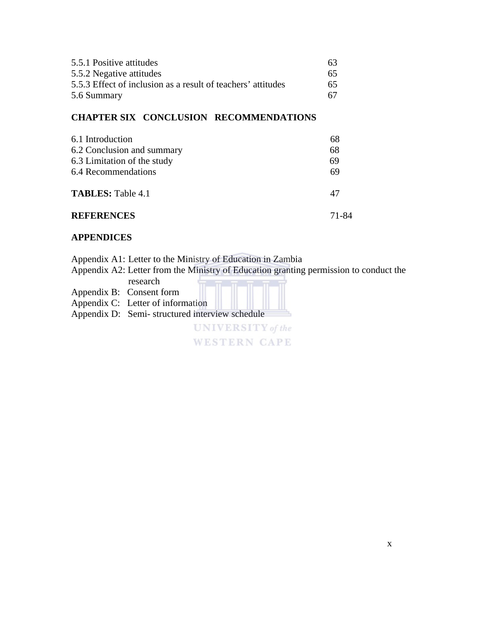| 5.5.1 Positive attitudes                                     | 63. |
|--------------------------------------------------------------|-----|
| 5.5.2 Negative attitudes                                     | 65. |
| 5.5.3 Effect of inclusion as a result of teachers' attitudes | 65  |
| 5.6 Summary                                                  | 67. |

## **CHAPTER SIX CONCLUSION RECOMMENDATIONS**

| 6.1 Introduction            | 68    |
|-----------------------------|-------|
| 6.2 Conclusion and summary  | 68    |
| 6.3 Limitation of the study | 69    |
| 6.4 Recommendations         | 69    |
| <b>TABLES: Table 4.1</b>    | 47    |
| <b>REFERENCES</b>           | 71-84 |

### **APPENDICES**

Appendix A1: Letter to the Ministry of Education in Zambia

Appendix A2: Letter from the Ministry of Education granting permission to conduct the

| research                                       |
|------------------------------------------------|
| Appendix B: Consent form                       |
| Appendix C: Letter of information              |
| Appendix D: Semi-structured interview schedule |
| <b>UNIVERSITY</b> of the                       |
| <b>WESTERN CAPE</b>                            |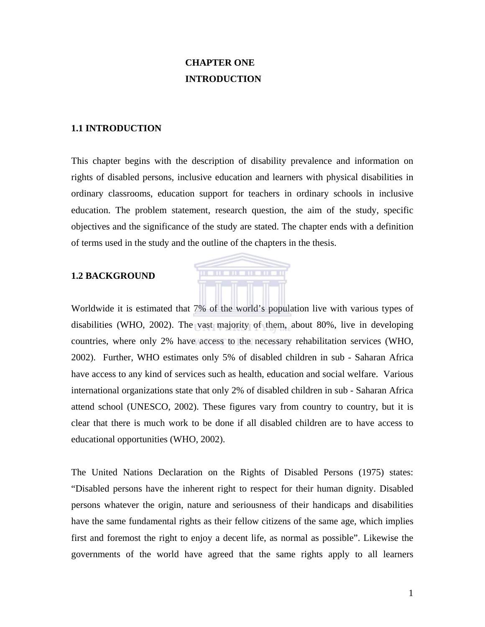## **CHAPTER ONE INTRODUCTION**

#### **1.1 INTRODUCTION**

This chapter begins with the description of disability prevalence and information on rights of disabled persons, inclusive education and learners with physical disabilities in ordinary classrooms, education support for teachers in ordinary schools in inclusive education. The problem statement, research question, the aim of the study, specific objectives and the significance of the study are stated. The chapter ends with a definition of terms used in the study and the outline of the chapters in the thesis.

**THE REPORT OF LAR** 

#### **1.2 BACKGROUND**

Worldwide it is estimated that 7% of the world's population live with various types of disabilities (WHO, 2002). The vast majority of them, about 80%, live in developing countries, where only 2% have access to the necessary rehabilitation services (WHO, 2002). Further, WHO estimates only 5% of disabled children in sub - Saharan Africa have access to any kind of services such as health, education and social welfare. Various international organizations state that only 2% of disabled children in sub - Saharan Africa attend school (UNESCO, 2002). These figures vary from country to country, but it is clear that there is much work to be done if all disabled children are to have access to educational opportunities (WHO, 2002).

The United Nations Declaration on the Rights of Disabled Persons (1975) states: "Disabled persons have the inherent right to respect for their human dignity. Disabled persons whatever the origin, nature and seriousness of their handicaps and disabilities have the same fundamental rights as their fellow citizens of the same age, which implies first and foremost the right to enjoy a decent life, as normal as possible". Likewise the governments of the world have agreed that the same rights apply to all learners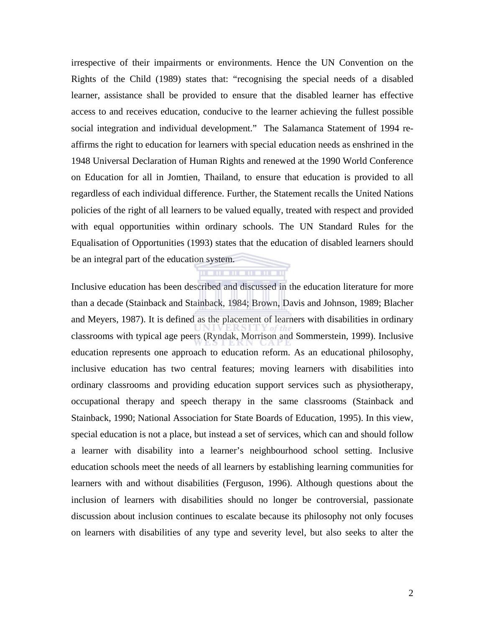irrespective of their impairments or environments. Hence the UN Convention on the Rights of the Child (1989) states that: "recognising the special needs of a disabled learner, assistance shall be provided to ensure that the disabled learner has effective access to and receives education, conducive to the learner achieving the fullest possible social integration and individual development." The Salamanca Statement of 1994 reaffirms the right to education for learners with special education needs as enshrined in the 1948 Universal Declaration of Human Rights and renewed at the 1990 World Conference on Education for all in Jomtien, Thailand, to ensure that education is provided to all regardless of each individual difference. Further, the Statement recalls the United Nations policies of the right of all learners to be valued equally, treated with respect and provided with equal opportunities within ordinary schools. The UN Standard Rules for the Equalisation of Opportunities (1993) states that the education of disabled learners should be an integral part of the education system.

Inclusive education has been described and discussed in the education literature for more than a decade (Stainback and Stainback, 1984; Brown, Davis and Johnson, 1989; Blacher and Meyers, 1987). It is defined as the placement of learners with disabilities in ordinary classrooms with typical age peers (Ryndak, Morrison and Sommerstein, 1999). Inclusive education represents one approach to education reform. As an educational philosophy, inclusive education has two central features; moving learners with disabilities into ordinary classrooms and providing education support services such as physiotherapy, occupational therapy and speech therapy in the same classrooms (Stainback and Stainback, 1990; National Association for State Boards of Education, 1995). In this view, special education is not a place, but instead a set of services, which can and should follow a learner with disability into a learner's neighbourhood school setting. Inclusive education schools meet the needs of all learners by establishing learning communities for learners with and without disabilities (Ferguson, 1996). Although questions about the inclusion of learners with disabilities should no longer be controversial, passionate discussion about inclusion continues to escalate because its philosophy not only focuses on learners with disabilities of any type and severity level, but also seeks to alter the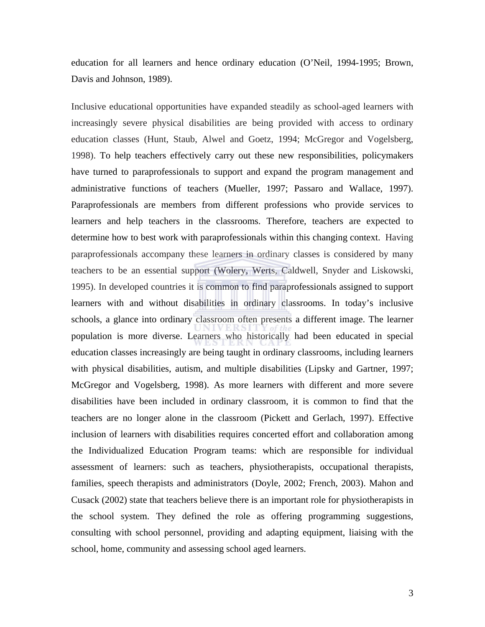education for all learners and hence ordinary education (O'Neil, 1994-1995; Brown, Davis and Johnson, 1989).

Inclusive educational opportunities have expanded steadily as school-aged learners with increasingly severe physical disabilities are being provided with access to ordinary education classes (Hunt, Staub, Alwel and Goetz, 1994; McGregor and Vogelsberg, 1998). To help teachers effectively carry out these new responsibilities, policymakers have turned to paraprofessionals to support and expand the program management and administrative functions of teachers (Mueller, 1997; Passaro and Wallace, 1997). Paraprofessionals are members from different professions who provide services to learners and help teachers in the classrooms. Therefore, teachers are expected to determine how to best work with paraprofessionals within this changing context. Having paraprofessionals accompany these learners in ordinary classes is considered by many teachers to be an essential support (Wolery, Werts, Caldwell, Snyder and Liskowski, 1995). In developed countries it is common to find paraprofessionals assigned to support learners with and without disabilities in ordinary classrooms. In today's inclusive schools, a glance into ordinary classroom often presents a different image. The learner population is more diverse. Learners who historically had been educated in special education classes increasingly are being taught in ordinary classrooms, including learners with physical disabilities, autism, and multiple disabilities (Lipsky and Gartner, 1997; McGregor and Vogelsberg, 1998). As more learners with different and more severe disabilities have been included in ordinary classroom, it is common to find that the teachers are no longer alone in the classroom (Pickett and Gerlach, 1997). Effective inclusion of learners with disabilities requires concerted effort and collaboration among the Individualized Education Program teams: which are responsible for individual assessment of learners: such as teachers, physiotherapists, occupational therapists, families, speech therapists and administrators (Doyle, 2002; French, 2003). Mahon and Cusack (2002) state that teachers believe there is an important role for physiotherapists in the school system. They defined the role as offering programming suggestions, consulting with school personnel, providing and adapting equipment, liaising with the school, home, community and assessing school aged learners.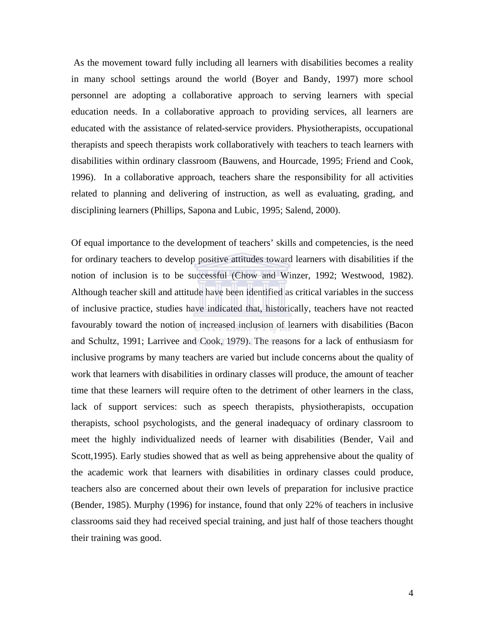As the movement toward fully including all learners with disabilities becomes a reality in many school settings around the world (Boyer and Bandy, 1997) more school personnel are adopting a collaborative approach to serving learners with special education needs. In a collaborative approach to providing services, all learners are educated with the assistance of related-service providers. Physiotherapists, occupational therapists and speech therapists work collaboratively with teachers to teach learners with disabilities within ordinary classroom (Bauwens, and Hourcade, 1995; Friend and Cook, 1996). In a collaborative approach, teachers share the responsibility for all activities related to planning and delivering of instruction, as well as evaluating, grading, and disciplining learners (Phillips, Sapona and Lubic, 1995; Salend, 2000).

Of equal importance to the development of teachers' skills and competencies, is the need for ordinary teachers to develop positive attitudes toward learners with disabilities if the notion of inclusion is to be successful (Chow and Winzer, 1992; Westwood, 1982). Although teacher skill and attitude have been identified as critical variables in the success of inclusive practice, studies have indicated that, historically, teachers have not reacted favourably toward the notion of increased inclusion of learners with disabilities (Bacon and Schultz, 1991; Larrivee and Cook, 1979). The reasons for a lack of enthusiasm for inclusive programs by many teachers are varied but include concerns about the quality of work that learners with disabilities in ordinary classes will produce, the amount of teacher time that these learners will require often to the detriment of other learners in the class, lack of support services: such as speech therapists, physiotherapists, occupation therapists, school psychologists, and the general inadequacy of ordinary classroom to meet the highly individualized needs of learner with disabilities (Bender, Vail and Scott,1995). Early studies showed that as well as being apprehensive about the quality of the academic work that learners with disabilities in ordinary classes could produce, teachers also are concerned about their own levels of preparation for inclusive practice (Bender, 1985). Murphy (1996) for instance, found that only 22% of teachers in inclusive classrooms said they had received special training, and just half of those teachers thought their training was good.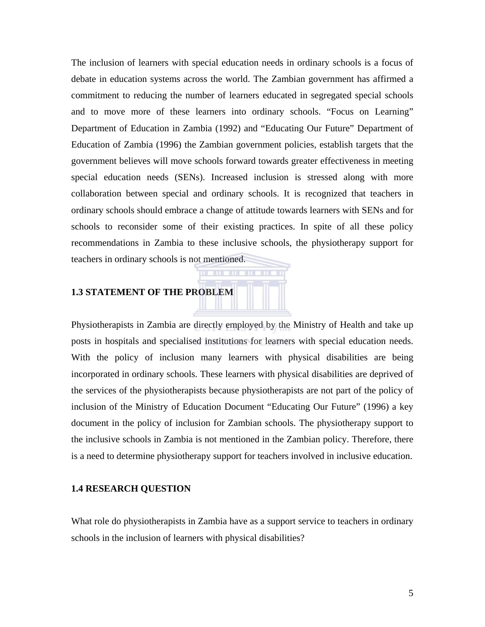The inclusion of learners with special education needs in ordinary schools is a focus of debate in education systems across the world. The Zambian government has affirmed a commitment to reducing the number of learners educated in segregated special schools and to move more of these learners into ordinary schools. "Focus on Learning" Department of Education in Zambia (1992) and "Educating Our Future" Department of Education of Zambia (1996) the Zambian government policies, establish targets that the government believes will move schools forward towards greater effectiveness in meeting special education needs (SENs). Increased inclusion is stressed along with more collaboration between special and ordinary schools. It is recognized that teachers in ordinary schools should embrace a change of attitude towards learners with SENs and for schools to reconsider some of their existing practices. In spite of all these policy recommendations in Zambia to these inclusive schools, the physiotherapy support for teachers in ordinary schools is not mentioned.

**THE TIME** 

### **1.3 STATEMENT OF THE PROBLEM**

Physiotherapists in Zambia are directly employed by the Ministry of Health and take up posts in hospitals and specialised institutions for learners with special education needs. With the policy of inclusion many learners with physical disabilities are being incorporated in ordinary schools. These learners with physical disabilities are deprived of the services of the physiotherapists because physiotherapists are not part of the policy of inclusion of the Ministry of Education Document "Educating Our Future" (1996) a key document in the policy of inclusion for Zambian schools. The physiotherapy support to the inclusive schools in Zambia is not mentioned in the Zambian policy. Therefore, there is a need to determine physiotherapy support for teachers involved in inclusive education.

#### **1.4 RESEARCH QUESTION**

What role do physiotherapists in Zambia have as a support service to teachers in ordinary schools in the inclusion of learners with physical disabilities?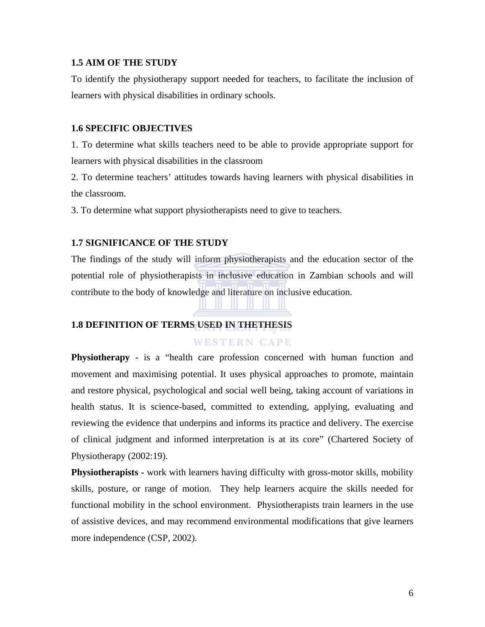#### **1.5 AIM OF THE STUDY**

To identify the physiotherapy support needed for teachers, to facilitate the inclusion of learners with physical disabilities in ordinary schools.

#### **1.6 SPECIFIC OBJECTIVES**

1. To determine what skills teachers need to be able to provide appropriate support for learners with physical disabilities in the classroom

2. To determine teachers' attitudes towards having learners with physical disabilities in the classroom.

3. To determine what support physiotherapists need to give to teachers.

#### **1.7 SIGNIFICANCE OF THE STUDY**

The findings of the study will inform physiotherapists and the education sector of the potential role of physiotherapists in inclusive education in Zambian schools and will contribute to the body of knowledge and literature on inclusive education.

#### **1.8 DEFINITION OF TERMS USED IN THETHESIS**

### **WESTERN CAPE**

**Physiotherapy** - is a "health care profession concerned with human function and movement and maximising potential. It uses physical approaches to promote, maintain and restore physical, psychological and social well being, taking account of variations in health status. It is science-based, committed to extending, applying, evaluating and reviewing the evidence that underpins and informs its practice and delivery. The exercise of clinical judgment and informed interpretation is at its core" (Chartered Society of Physiotherapy (2002:19).

**Physiotherapists -** work with learners having difficulty with gross-motor skills, mobility skills, posture, or range of motion. They help learners acquire the skills needed for functional mobility in the school environment. Physiotherapists train learners in the use of assistive devices, and may recommend environmental modifications that give learners more independence (CSP, 2002).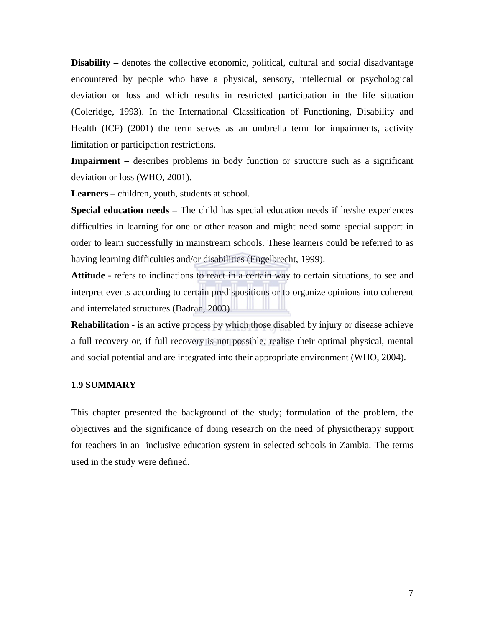**Disability** – denotes the collective economic, political, cultural and social disadvantage encountered by people who have a physical, sensory, intellectual or psychological deviation or loss and which results in restricted participation in the life situation (Coleridge, 1993). In the International Classification of Functioning, Disability and Health (ICF) (2001) the term serves as an umbrella term for impairments, activity limitation or participation restrictions.

**Impairment** – describes problems in body function or structure such as a significant deviation or loss (WHO, 2001).

**Learners –** children, youth, students at school.

**Special education needs** – The child has special education needs if he/she experiences difficulties in learning for one or other reason and might need some special support in order to learn successfully in mainstream schools. These learners could be referred to as having learning difficulties and/or disabilities (Engelbrecht, 1999).

**Attitude** - refers to inclinations to react in a certain way to certain situations, to see and interpret events according to certain predispositions or to organize opinions into coherent and interrelated structures (Badran, 2003).

**Rehabilitation -** is an active process by which those disabled by injury or disease achieve a full recovery or, if full recovery is not possible, realise their optimal physical, mental and social potential and are integrated into their appropriate environment (WHO, 2004).

#### **1.9 SUMMARY**

This chapter presented the background of the study; formulation of the problem, the objectives and the significance of doing research on the need of physiotherapy support for teachers in an inclusive education system in selected schools in Zambia. The terms used in the study were defined.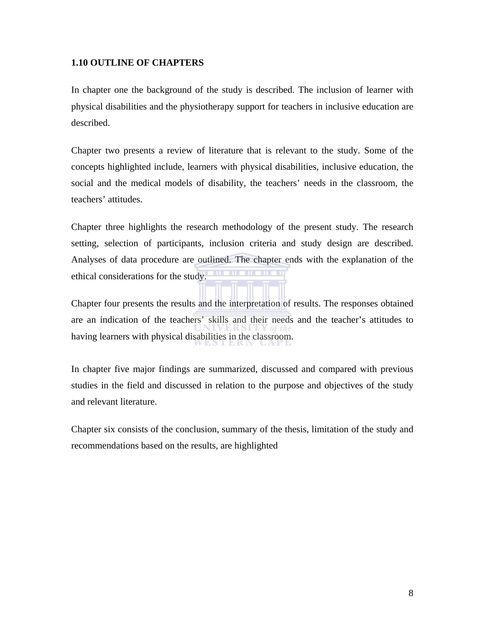### **1.10 OUTLINE OF CHAPTERS**

In chapter one the background of the study is described. The inclusion of learner with physical disabilities and the physiotherapy support for teachers in inclusive education are described.

Chapter two presents a review of literature that is relevant to the study. Some of the concepts highlighted include, learners with physical disabilities, inclusive education, the social and the medical models of disability, the teachers' needs in the classroom, the teachers' attitudes.

Chapter three highlights the research methodology of the present study. The research setting, selection of participants, inclusion criteria and study design are described. Analyses of data procedure are outlined. The chapter ends with the explanation of the ethical considerations for the study.

Chapter four presents the results and the interpretation of results. The responses obtained are an indication of the teachers' skills and their needs and the teacher's attitudes to having learners with physical disabilities in the classroom.

In chapter five major findings are summarized, discussed and compared with previous studies in the field and discussed in relation to the purpose and objectives of the study and relevant literature.

Chapter six consists of the conclusion, summary of the thesis, limitation of the study and recommendations based on the results, are highlighted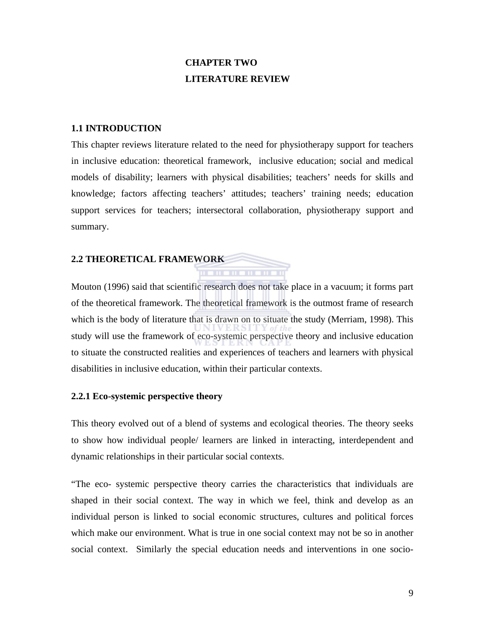## **CHAPTER TWO LITERATURE REVIEW**

#### **1.1 INTRODUCTION**

This chapter reviews literature related to the need for physiotherapy support for teachers in inclusive education: theoretical framework, inclusive education; social and medical models of disability; learners with physical disabilities; teachers' needs for skills and knowledge; factors affecting teachers' attitudes; teachers' training needs; education support services for teachers; intersectoral collaboration, physiotherapy support and summary.

#### **2.2 THEORETICAL FRAMEWORK**

Mouton (1996) said that scientific research does not take place in a vacuum; it forms part of the theoretical framework. The theoretical framework is the outmost frame of research which is the body of literature that is drawn on to situate the study (Merriam, 1998). This study will use the framework of eco-systemic perspective theory and inclusive education to situate the constructed realities and experiences of teachers and learners with physical disabilities in inclusive education, within their particular contexts.

#### **2.2.1 Eco-systemic perspective theory**

This theory evolved out of a blend of systems and ecological theories. The theory seeks to show how individual people/ learners are linked in interacting, interdependent and dynamic relationships in their particular social contexts.

"The eco- systemic perspective theory carries the characteristics that individuals are shaped in their social context. The way in which we feel, think and develop as an individual person is linked to social economic structures, cultures and political forces which make our environment. What is true in one social context may not be so in another social context. Similarly the special education needs and interventions in one socio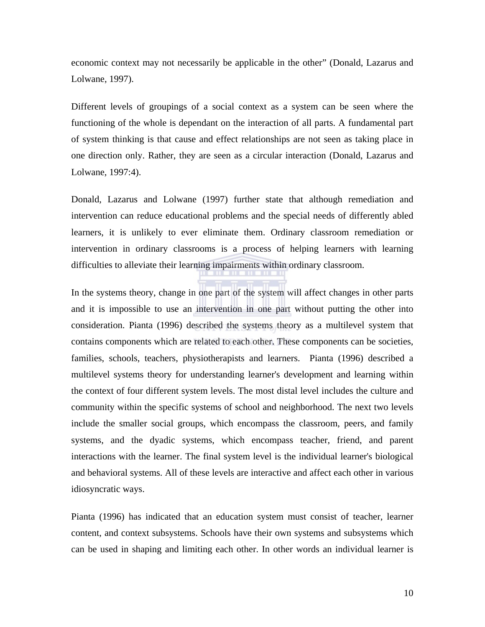economic context may not necessarily be applicable in the other" (Donald, Lazarus and Lolwane, 1997).

Different levels of groupings of a social context as a system can be seen where the functioning of the whole is dependant on the interaction of all parts. A fundamental part of system thinking is that cause and effect relationships are not seen as taking place in one direction only. Rather, they are seen as a circular interaction (Donald, Lazarus and Lolwane, 1997:4).

Donald, Lazarus and Lolwane (1997) further state that although remediation and intervention can reduce educational problems and the special needs of differently abled learners, it is unlikely to ever eliminate them. Ordinary classroom remediation or intervention in ordinary classrooms is a process of helping learners with learning difficulties to alleviate their learning impairments within ordinary classroom.

In the systems theory, change in one part of the system will affect changes in other parts and it is impossible to use an intervention in one part without putting the other into consideration. Pianta (1996) described the systems theory as a multilevel system that contains components which are related to each other. These components can be societies, families, schools, teachers, physiotherapists and learners. Pianta (1996) described a multilevel systems theory for understanding learner's development and learning within the context of four different system levels. The most distal level includes the culture and community within the specific systems of school and neighborhood. The next two levels include the smaller social groups, which encompass the classroom, peers, and family systems, and the dyadic systems, which encompass teacher, friend, and parent interactions with the learner. The final system level is the individual learner's biological and behavioral systems. All of these levels are interactive and affect each other in various idiosyncratic ways.

Pianta (1996) has indicated that an education system must consist of teacher, learner content, and context subsystems. Schools have their own systems and subsystems which can be used in shaping and limiting each other. In other words an individual learner is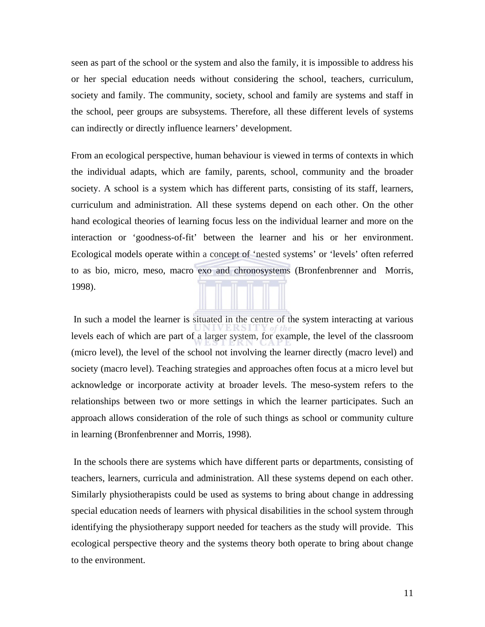seen as part of the school or the system and also the family, it is impossible to address his or her special education needs without considering the school, teachers, curriculum, society and family. The community, society, school and family are systems and staff in the school, peer groups are subsystems. Therefore, all these different levels of systems can indirectly or directly influence learners' development.

From an ecological perspective, human behaviour is viewed in terms of contexts in which the individual adapts, which are family, parents, school, community and the broader society. A school is a system which has different parts, consisting of its staff, learners, curriculum and administration. All these systems depend on each other. On the other hand ecological theories of learning focus less on the individual learner and more on the interaction or 'goodness-of-fit' between the learner and his or her environment. Ecological models operate within a concept of 'nested systems' or 'levels' often referred to as bio, micro, meso, macro exo and chronosystems (Bronfenbrenner and Morris, 1998).

 In such a model the learner is situated in the centre of the system interacting at various levels each of which are part of a larger system, for example, the level of the classroom (micro level), the level of the school not involving the learner directly (macro level) and society (macro level). Teaching strategies and approaches often focus at a micro level but acknowledge or incorporate activity at broader levels. The meso-system refers to the relationships between two or more settings in which the learner participates. Such an approach allows consideration of the role of such things as school or community culture in learning (Bronfenbrenner and Morris, 1998).

 In the schools there are systems which have different parts or departments, consisting of teachers, learners, curricula and administration. All these systems depend on each other. Similarly physiotherapists could be used as systems to bring about change in addressing special education needs of learners with physical disabilities in the school system through identifying the physiotherapy support needed for teachers as the study will provide. This ecological perspective theory and the systems theory both operate to bring about change to the environment.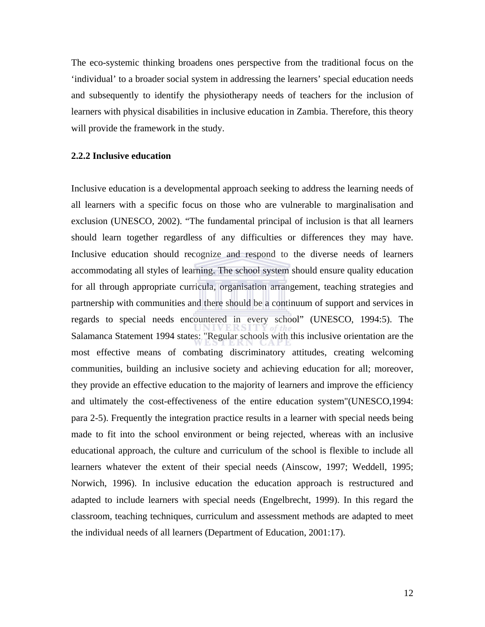The eco-systemic thinking broadens ones perspective from the traditional focus on the 'individual' to a broader social system in addressing the learners' special education needs and subsequently to identify the physiotherapy needs of teachers for the inclusion of learners with physical disabilities in inclusive education in Zambia. Therefore, this theory will provide the framework in the study.

#### **2.2.2 Inclusive education**

Inclusive education is a developmental approach seeking to address the learning needs of all learners with a specific focus on those who are vulnerable to marginalisation and exclusion (UNESCO, 2002). "The fundamental principal of inclusion is that all learners should learn together regardless of any difficulties or differences they may have. Inclusive education should recognize and respond to the diverse needs of learners accommodating all styles of learning. The school system should ensure quality education for all through appropriate curricula, organisation arrangement, teaching strategies and partnership with communities and there should be a continuum of support and services in regards to special needs encountered in every school" (UNESCO, 1994:5). The Salamanca Statement 1994 states: "Regular schools with this inclusive orientation are the most effective means of combating discriminatory attitudes, creating welcoming communities, building an inclusive society and achieving education for all; moreover, they provide an effective education to the majority of learners and improve the efficiency and ultimately the cost-effectiveness of the entire education system"(UNESCO,1994: para 2-5). Frequently the integration practice results in a learner with special needs being made to fit into the school environment or being rejected, whereas with an inclusive educational approach, the culture and curriculum of the school is flexible to include all learners whatever the extent of their special needs (Ainscow, 1997; Weddell, 1995; Norwich, 1996). In inclusive education the education approach is restructured and adapted to include learners with special needs (Engelbrecht, 1999). In this regard the classroom, teaching techniques, curriculum and assessment methods are adapted to meet the individual needs of all learners (Department of Education, 2001:17).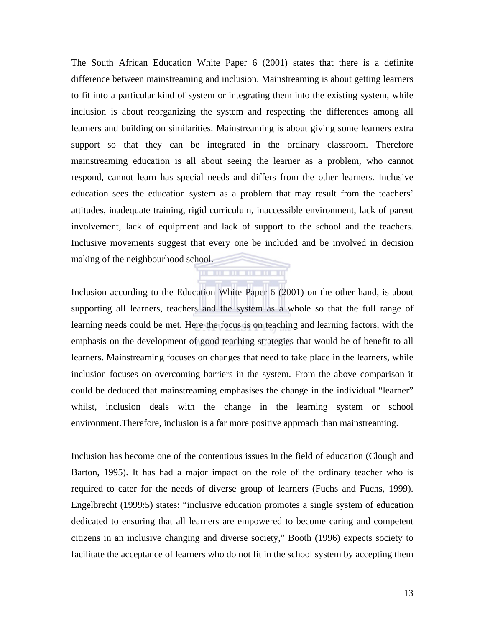The South African Education White Paper 6 (2001) states that there is a definite difference between mainstreaming and inclusion. Mainstreaming is about getting learners to fit into a particular kind of system or integrating them into the existing system, while inclusion is about reorganizing the system and respecting the differences among all learners and building on similarities. Mainstreaming is about giving some learners extra support so that they can be integrated in the ordinary classroom. Therefore mainstreaming education is all about seeing the learner as a problem, who cannot respond, cannot learn has special needs and differs from the other learners. Inclusive education sees the education system as a problem that may result from the teachers' attitudes, inadequate training, rigid curriculum, inaccessible environment, lack of parent involvement, lack of equipment and lack of support to the school and the teachers. Inclusive movements suggest that every one be included and be involved in decision making of the neighbourhood school.

Inclusion according to the Education White Paper 6 (2001) on the other hand, is about supporting all learners, teachers and the system as a whole so that the full range of learning needs could be met. Here the focus is on teaching and learning factors, with the emphasis on the development of good teaching strategies that would be of benefit to all learners. Mainstreaming focuses on changes that need to take place in the learners, while inclusion focuses on overcoming barriers in the system. From the above comparison it could be deduced that mainstreaming emphasises the change in the individual "learner" whilst, inclusion deals with the change in the learning system or school environment.Therefore, inclusion is a far more positive approach than mainstreaming.

. . . . . . . . . .

Inclusion has become one of the contentious issues in the field of education (Clough and Barton, 1995). It has had a major impact on the role of the ordinary teacher who is required to cater for the needs of diverse group of learners (Fuchs and Fuchs, 1999). Engelbrecht (1999:5) states: "inclusive education promotes a single system of education dedicated to ensuring that all learners are empowered to become caring and competent citizens in an inclusive changing and diverse society," Booth (1996) expects society to facilitate the acceptance of learners who do not fit in the school system by accepting them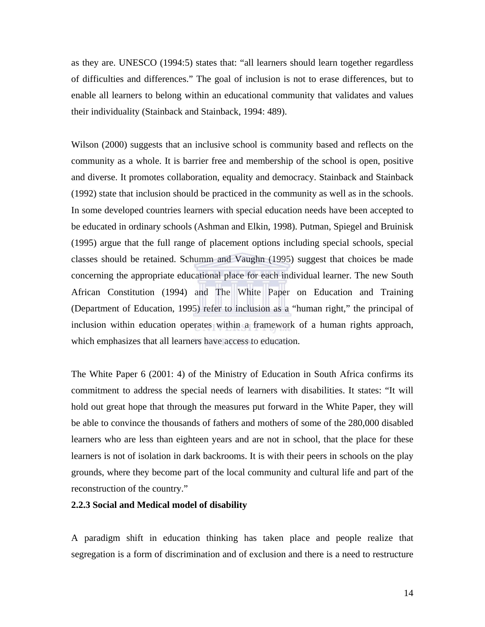as they are. UNESCO (1994:5) states that: "all learners should learn together regardless of difficulties and differences." The goal of inclusion is not to erase differences, but to enable all learners to belong within an educational community that validates and values their individuality (Stainback and Stainback, 1994: 489).

Wilson (2000) suggests that an inclusive school is community based and reflects on the community as a whole. It is barrier free and membership of the school is open, positive and diverse. It promotes collaboration, equality and democracy. Stainback and Stainback (1992) state that inclusion should be practiced in the community as well as in the schools. In some developed countries learners with special education needs have been accepted to be educated in ordinary schools (Ashman and Elkin, 1998). Putman, Spiegel and Bruinisk (1995) argue that the full range of placement options including special schools, special classes should be retained. Schumm and Vaughn (1995) suggest that choices be made concerning the appropriate educational place for each individual learner. The new South African Constitution (1994) and The White Paper on Education and Training (Department of Education, 1995) refer to inclusion as a "human right," the principal of inclusion within education operates within a framework of a human rights approach, which emphasizes that all learners have access to education.

The White Paper 6 (2001: 4) of the Ministry of Education in South Africa confirms its commitment to address the special needs of learners with disabilities. It states: "It will hold out great hope that through the measures put forward in the White Paper, they will be able to convince the thousands of fathers and mothers of some of the 280,000 disabled learners who are less than eighteen years and are not in school, that the place for these learners is not of isolation in dark backrooms. It is with their peers in schools on the play grounds, where they become part of the local community and cultural life and part of the reconstruction of the country."

### **2.2.3 Social and Medical model of disability**

A paradigm shift in education thinking has taken place and people realize that segregation is a form of discrimination and of exclusion and there is a need to restructure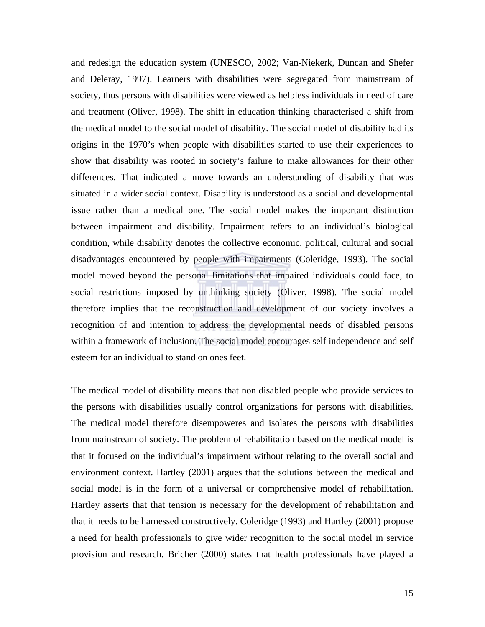and redesign the education system (UNESCO, 2002; Van-Niekerk, Duncan and Shefer and Deleray, 1997). Learners with disabilities were segregated from mainstream of society, thus persons with disabilities were viewed as helpless individuals in need of care and treatment (Oliver, 1998). The shift in education thinking characterised a shift from the medical model to the social model of disability. The social model of disability had its origins in the 1970's when people with disabilities started to use their experiences to show that disability was rooted in society's failure to make allowances for their other differences. That indicated a move towards an understanding of disability that was situated in a wider social context. Disability is understood as a social and developmental issue rather than a medical one. The social model makes the important distinction between impairment and disability. Impairment refers to an individual's biological condition, while disability denotes the collective economic, political, cultural and social disadvantages encountered by people with impairments (Coleridge, 1993). The social model moved beyond the personal limitations that impaired individuals could face, to social restrictions imposed by unthinking society (Oliver, 1998). The social model therefore implies that the reconstruction and development of our society involves a recognition of and intention to address the developmental needs of disabled persons within a framework of inclusion. The social model encourages self independence and self esteem for an individual to stand on ones feet.

The medical model of disability means that non disabled people who provide services to the persons with disabilities usually control organizations for persons with disabilities. The medical model therefore disempoweres and isolates the persons with disabilities from mainstream of society. The problem of rehabilitation based on the medical model is that it focused on the individual's impairment without relating to the overall social and environment context. Hartley (2001) argues that the solutions between the medical and social model is in the form of a universal or comprehensive model of rehabilitation. Hartley asserts that that tension is necessary for the development of rehabilitation and that it needs to be harnessed constructively. Coleridge (1993) and Hartley (2001) propose a need for health professionals to give wider recognition to the social model in service provision and research. Bricher (2000) states that health professionals have played a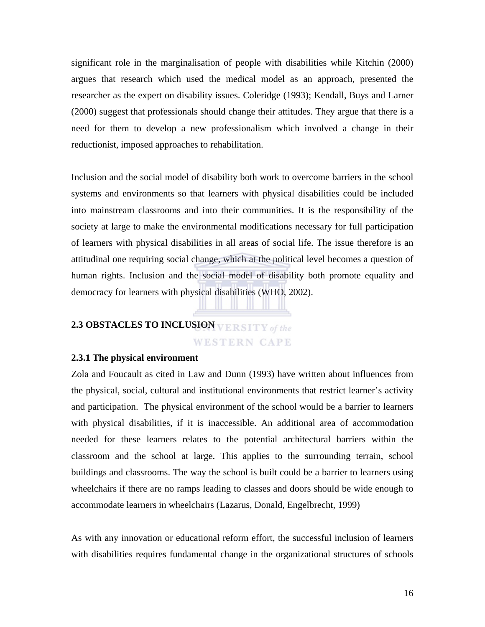significant role in the marginalisation of people with disabilities while Kitchin (2000) argues that research which used the medical model as an approach, presented the researcher as the expert on disability issues. Coleridge (1993); Kendall, Buys and Larner (2000) suggest that professionals should change their attitudes. They argue that there is a need for them to develop a new professionalism which involved a change in their reductionist, imposed approaches to rehabilitation.

Inclusion and the social model of disability both work to overcome barriers in the school systems and environments so that learners with physical disabilities could be included into mainstream classrooms and into their communities. It is the responsibility of the society at large to make the environmental modifications necessary for full participation of learners with physical disabilities in all areas of social life. The issue therefore is an attitudinal one requiring social change, which at the political level becomes a question of human rights. Inclusion and the social model of disability both promote equality and democracy for learners with physical disabilities (WHO, 2002).

# **2.3 OBSTACLES TO INCLUSION WESTERN CAPE**

#### **2.3.1 The physical environment**

Zola and Foucault as cited in Law and Dunn (1993) have written about influences from the physical, social, cultural and institutional environments that restrict learner's activity and participation. The physical environment of the school would be a barrier to learners with physical disabilities, if it is inaccessible. An additional area of accommodation needed for these learners relates to the potential architectural barriers within the classroom and the school at large. This applies to the surrounding terrain, school buildings and classrooms. The way the school is built could be a barrier to learners using wheelchairs if there are no ramps leading to classes and doors should be wide enough to accommodate learners in wheelchairs (Lazarus, Donald, Engelbrecht, 1999)

As with any innovation or educational reform effort, the successful inclusion of learners with disabilities requires fundamental change in the organizational structures of schools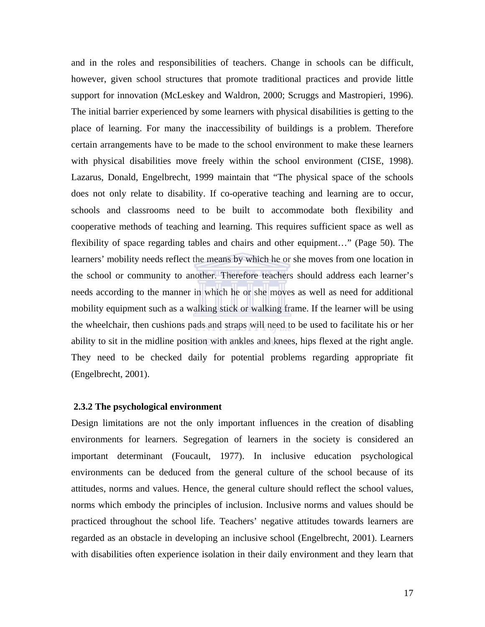and in the roles and responsibilities of teachers. Change in schools can be difficult, however, given school structures that promote traditional practices and provide little support for innovation (McLeskey and Waldron, 2000; Scruggs and Mastropieri, 1996). The initial barrier experienced by some learners with physical disabilities is getting to the place of learning. For many the inaccessibility of buildings is a problem. Therefore certain arrangements have to be made to the school environment to make these learners with physical disabilities move freely within the school environment (CISE, 1998). Lazarus, Donald, Engelbrecht, 1999 maintain that "The physical space of the schools does not only relate to disability. If co-operative teaching and learning are to occur, schools and classrooms need to be built to accommodate both flexibility and cooperative methods of teaching and learning. This requires sufficient space as well as flexibility of space regarding tables and chairs and other equipment…" (Page 50). The learners' mobility needs reflect the means by which he or she moves from one location in the school or community to another. Therefore teachers should address each learner's needs according to the manner in which he or she moves as well as need for additional mobility equipment such as a walking stick or walking frame. If the learner will be using the wheelchair, then cushions pads and straps will need to be used to facilitate his or her ability to sit in the midline position with ankles and knees, hips flexed at the right angle. They need to be checked daily for potential problems regarding appropriate fit (Engelbrecht, 2001).

#### **2.3.2 The psychological environment**

Design limitations are not the only important influences in the creation of disabling environments for learners. Segregation of learners in the society is considered an important determinant (Foucault, 1977). In inclusive education psychological environments can be deduced from the general culture of the school because of its attitudes, norms and values. Hence, the general culture should reflect the school values, norms which embody the principles of inclusion. Inclusive norms and values should be practiced throughout the school life. Teachers' negative attitudes towards learners are regarded as an obstacle in developing an inclusive school (Engelbrecht, 2001). Learners with disabilities often experience isolation in their daily environment and they learn that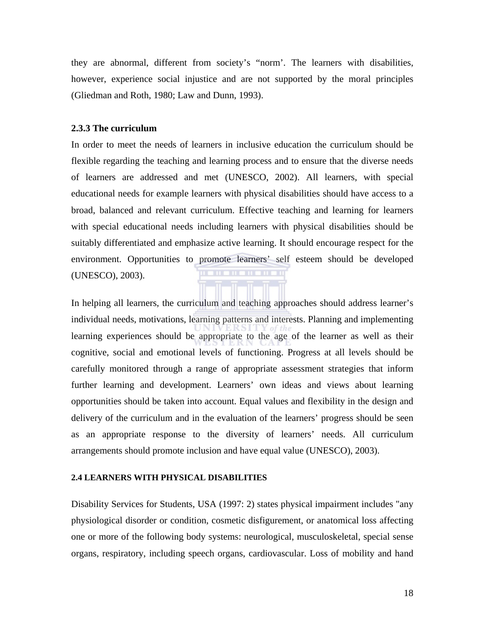they are abnormal, different from society's "norm'. The learners with disabilities, however, experience social injustice and are not supported by the moral principles (Gliedman and Roth, 1980; Law and Dunn, 1993).

#### **2.3.3 The curriculum**

In order to meet the needs of learners in inclusive education the curriculum should be flexible regarding the teaching and learning process and to ensure that the diverse needs of learners are addressed and met (UNESCO, 2002). All learners, with special educational needs for example learners with physical disabilities should have access to a broad, balanced and relevant curriculum. Effective teaching and learning for learners with special educational needs including learners with physical disabilities should be suitably differentiated and emphasize active learning. It should encourage respect for the environment. Opportunities to promote learners' self esteem should be developed (UNESCO), 2003).

In helping all learners, the curriculum and teaching approaches should address learner's individual needs, motivations, learning patterns and interests. Planning and implementing learning experiences should be appropriate to the age of the learner as well as their cognitive, social and emotional levels of functioning. Progress at all levels should be carefully monitored through a range of appropriate assessment strategies that inform further learning and development. Learners' own ideas and views about learning opportunities should be taken into account. Equal values and flexibility in the design and delivery of the curriculum and in the evaluation of the learners' progress should be seen as an appropriate response to the diversity of learners' needs. All curriculum arrangements should promote inclusion and have equal value (UNESCO), 2003).

#### **2.4 LEARNERS WITH PHYSICAL DISABILITIES**

Disability Services for Students, USA (1997: 2) states physical impairment includes "any physiological disorder or condition, cosmetic disfigurement, or anatomical loss affecting one or more of the following body systems: neurological, musculoskeletal, special sense organs, respiratory, including speech organs, cardiovascular. Loss of mobility and hand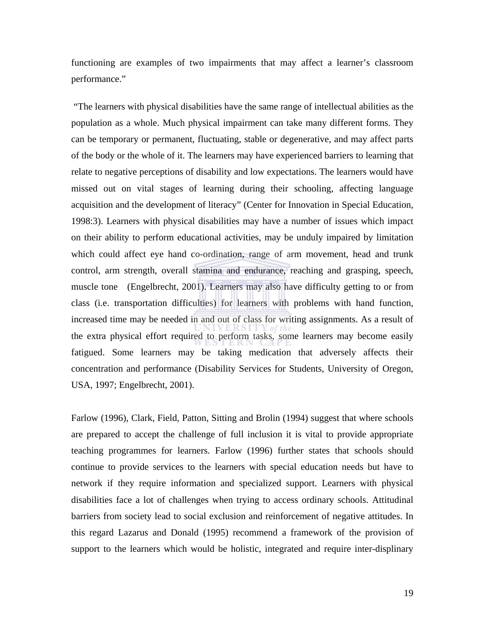functioning are examples of two impairments that may affect a learner's classroom performance."

 "The learners with physical disabilities have the same range of intellectual abilities as the population as a whole. Much physical impairment can take many different forms. They can be temporary or permanent, fluctuating, stable or degenerative, and may affect parts of the body or the whole of it. The learners may have experienced barriers to learning that relate to negative perceptions of disability and low expectations. The learners would have missed out on vital stages of learning during their schooling, affecting language acquisition and the development of literacy" (Center for Innovation in Special Education, 1998:3). Learners with physical disabilities may have a number of issues which impact on their ability to perform educational activities, may be unduly impaired by limitation which could affect eye hand co-ordination, range of arm movement, head and trunk control, arm strength, overall stamina and endurance, reaching and grasping, speech, muscle tone (Engelbrecht, 2001). Learners may also have difficulty getting to or from class (i.e. transportation difficulties) for learners with problems with hand function, increased time may be needed in and out of class for writing assignments. As a result of the extra physical effort required to perform tasks, some learners may become easily fatigued. Some learners may be taking medication that adversely affects their concentration and performance (Disability Services for Students, University of Oregon, USA, 1997; Engelbrecht, 2001).

Farlow (1996), Clark, Field, Patton, Sitting and Brolin (1994) suggest that where schools are prepared to accept the challenge of full inclusion it is vital to provide appropriate teaching programmes for learners. Farlow (1996) further states that schools should continue to provide services to the learners with special education needs but have to network if they require information and specialized support. Learners with physical disabilities face a lot of challenges when trying to access ordinary schools. Attitudinal barriers from society lead to social exclusion and reinforcement of negative attitudes. In this regard Lazarus and Donald (1995) recommend a framework of the provision of support to the learners which would be holistic, integrated and require inter-displinary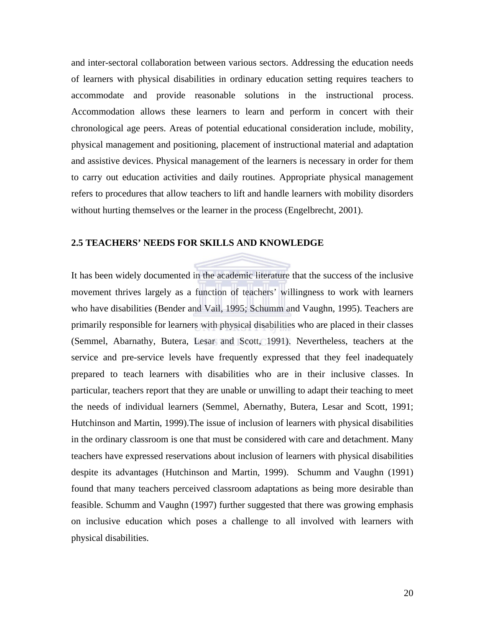and inter-sectoral collaboration between various sectors. Addressing the education needs of learners with physical disabilities in ordinary education setting requires teachers to accommodate and provide reasonable solutions in the instructional process. Accommodation allows these learners to learn and perform in concert with their chronological age peers. Areas of potential educational consideration include, mobility, physical management and positioning, placement of instructional material and adaptation and assistive devices. Physical management of the learners is necessary in order for them to carry out education activities and daily routines. Appropriate physical management refers to procedures that allow teachers to lift and handle learners with mobility disorders without hurting themselves or the learner in the process (Engelbrecht, 2001).

#### **2.5 TEACHERS' NEEDS FOR SKILLS AND KNOWLEDGE**

It has been widely documented in the academic literature that the success of the inclusive movement thrives largely as a function of teachers' willingness to work with learners who have disabilities (Bender and Vail, 1995; Schumm and Vaughn, 1995). Teachers are primarily responsible for learners with physical disabilities who are placed in their classes (Semmel, Abarnathy, Butera, Lesar and Scott, 1991). Nevertheless, teachers at the service and pre-service levels have frequently expressed that they feel inadequately prepared to teach learners with disabilities who are in their inclusive classes. In particular, teachers report that they are unable or unwilling to adapt their teaching to meet the needs of individual learners (Semmel, Abernathy, Butera, Lesar and Scott, 1991; Hutchinson and Martin, 1999).The issue of inclusion of learners with physical disabilities in the ordinary classroom is one that must be considered with care and detachment. Many teachers have expressed reservations about inclusion of learners with physical disabilities despite its advantages (Hutchinson and Martin, 1999). Schumm and Vaughn (1991) found that many teachers perceived classroom adaptations as being more desirable than feasible. Schumm and Vaughn (1997) further suggested that there was growing emphasis on inclusive education which poses a challenge to all involved with learners with physical disabilities.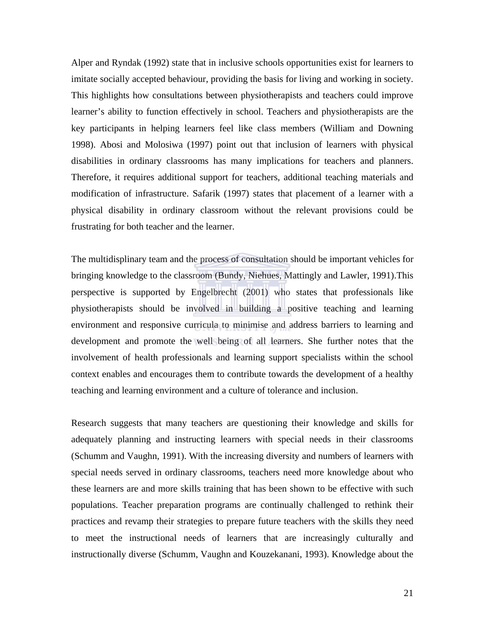Alper and Ryndak (1992) state that in inclusive schools opportunities exist for learners to imitate socially accepted behaviour, providing the basis for living and working in society. This highlights how consultations between physiotherapists and teachers could improve learner's ability to function effectively in school. Teachers and physiotherapists are the key participants in helping learners feel like class members (William and Downing 1998). Abosi and Molosiwa (1997) point out that inclusion of learners with physical disabilities in ordinary classrooms has many implications for teachers and planners. Therefore, it requires additional support for teachers, additional teaching materials and modification of infrastructure. Safarik (1997) states that placement of a learner with a physical disability in ordinary classroom without the relevant provisions could be frustrating for both teacher and the learner.

The multidisplinary team and the process of consultation should be important vehicles for bringing knowledge to the classroom (Bundy, Niehues, Mattingly and Lawler, 1991).This perspective is supported by Engelbrecht (2001) who states that professionals like physiotherapists should be involved in building a positive teaching and learning environment and responsive curricula to minimise and address barriers to learning and development and promote the well being of all learners. She further notes that the involvement of health professionals and learning support specialists within the school context enables and encourages them to contribute towards the development of a healthy teaching and learning environment and a culture of tolerance and inclusion.

Research suggests that many teachers are questioning their knowledge and skills for adequately planning and instructing learners with special needs in their classrooms (Schumm and Vaughn, 1991). With the increasing diversity and numbers of learners with special needs served in ordinary classrooms, teachers need more knowledge about who these learners are and more skills training that has been shown to be effective with such populations. Teacher preparation programs are continually challenged to rethink their practices and revamp their strategies to prepare future teachers with the skills they need to meet the instructional needs of learners that are increasingly culturally and instructionally diverse (Schumm, Vaughn and Kouzekanani, 1993). Knowledge about the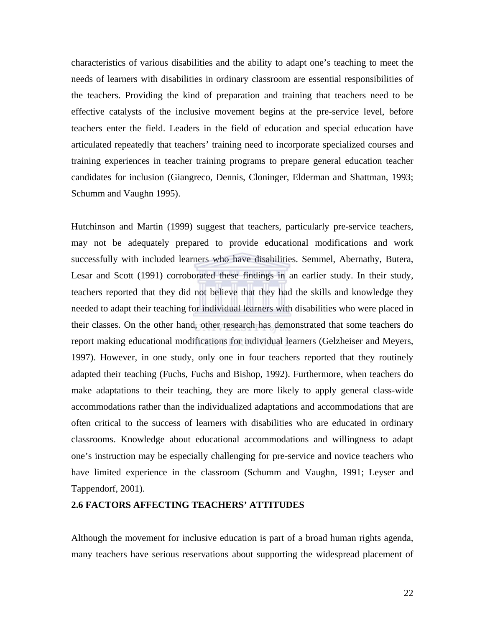characteristics of various disabilities and the ability to adapt one's teaching to meet the needs of learners with disabilities in ordinary classroom are essential responsibilities of the teachers. Providing the kind of preparation and training that teachers need to be effective catalysts of the inclusive movement begins at the pre-service level, before teachers enter the field. Leaders in the field of education and special education have articulated repeatedly that teachers' training need to incorporate specialized courses and training experiences in teacher training programs to prepare general education teacher candidates for inclusion (Giangreco, Dennis, Cloninger, Elderman and Shattman, 1993; Schumm and Vaughn 1995).

Hutchinson and Martin (1999) suggest that teachers, particularly pre-service teachers, may not be adequately prepared to provide educational modifications and work successfully with included learners who have disabilities. Semmel, Abernathy, Butera, Lesar and Scott (1991) corroborated these findings in an earlier study. In their study, teachers reported that they did not believe that they had the skills and knowledge they needed to adapt their teaching for individual learners with disabilities who were placed in their classes. On the other hand, other research has demonstrated that some teachers do report making educational modifications for individual learners (Gelzheiser and Meyers, 1997). However, in one study, only one in four teachers reported that they routinely adapted their teaching (Fuchs, Fuchs and Bishop, 1992). Furthermore, when teachers do make adaptations to their teaching, they are more likely to apply general class-wide accommodations rather than the individualized adaptations and accommodations that are often critical to the success of learners with disabilities who are educated in ordinary classrooms. Knowledge about educational accommodations and willingness to adapt one's instruction may be especially challenging for pre-service and novice teachers who have limited experience in the classroom (Schumm and Vaughn, 1991; Leyser and Tappendorf, 2001).

#### **2.6 FACTORS AFFECTING TEACHERS' ATTITUDES**

Although the movement for inclusive education is part of a broad human rights agenda, many teachers have serious reservations about supporting the widespread placement of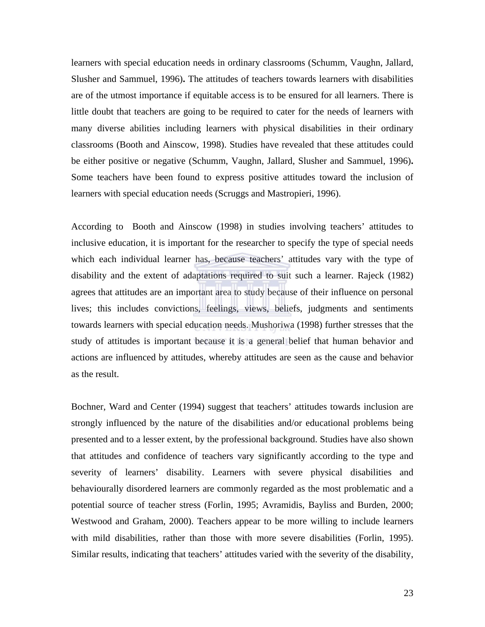learners with special education needs in ordinary classrooms (Schumm, Vaughn, Jallard, Slusher and Sammuel, 1996)**.** The attitudes of teachers towards learners with disabilities are of the utmost importance if equitable access is to be ensured for all learners. There is little doubt that teachers are going to be required to cater for the needs of learners with many diverse abilities including learners with physical disabilities in their ordinary classrooms (Booth and Ainscow, 1998). Studies have revealed that these attitudes could be either positive or negative (Schumm, Vaughn, Jallard, Slusher and Sammuel, 1996)**.** Some teachers have been found to express positive attitudes toward the inclusion of learners with special education needs (Scruggs and Mastropieri, 1996).

According to Booth and Ainscow (1998) in studies involving teachers' attitudes to inclusive education, it is important for the researcher to specify the type of special needs which each individual learner has, because teachers' attitudes vary with the type of disability and the extent of adaptations required to suit such a learner. Rajeck (1982) agrees that attitudes are an important area to study because of their influence on personal lives; this includes convictions, feelings, views, beliefs, judgments and sentiments towards learners with special education needs. Mushoriwa (1998) further stresses that the study of attitudes is important because it is a general belief that human behavior and actions are influenced by attitudes, whereby attitudes are seen as the cause and behavior as the result.

Bochner, Ward and Center (1994) suggest that teachers' attitudes towards inclusion are strongly influenced by the nature of the disabilities and/or educational problems being presented and to a lesser extent, by the professional background. Studies have also shown that attitudes and confidence of teachers vary significantly according to the type and severity of learners' disability. Learners with severe physical disabilities and behaviourally disordered learners are commonly regarded as the most problematic and a potential source of teacher stress (Forlin, 1995; Avramidis, Bayliss and Burden, 2000; Westwood and Graham, 2000). Teachers appear to be more willing to include learners with mild disabilities, rather than those with more severe disabilities (Forlin, 1995). Similar results, indicating that teachers' attitudes varied with the severity of the disability,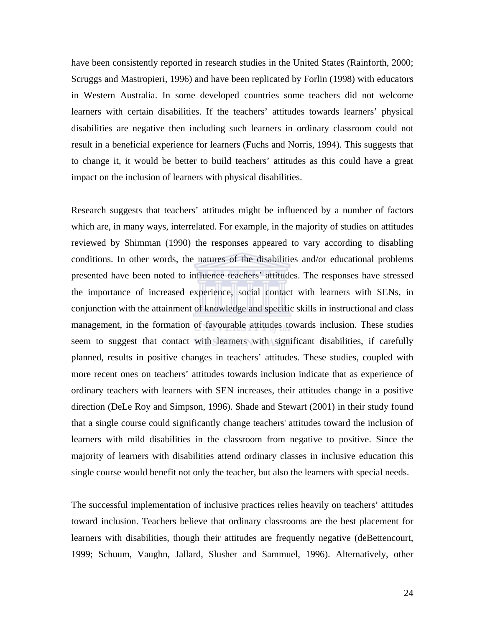have been consistently reported in research studies in the United States (Rainforth, 2000; Scruggs and Mastropieri, 1996) and have been replicated by Forlin (1998) with educators in Western Australia. In some developed countries some teachers did not welcome learners with certain disabilities. If the teachers' attitudes towards learners' physical disabilities are negative then including such learners in ordinary classroom could not result in a beneficial experience for learners (Fuchs and Norris, 1994). This suggests that to change it, it would be better to build teachers' attitudes as this could have a great impact on the inclusion of learners with physical disabilities.

Research suggests that teachers' attitudes might be influenced by a number of factors which are, in many ways, interrelated. For example, in the majority of studies on attitudes reviewed by Shimman (1990) the responses appeared to vary according to disabling conditions. In other words, the natures of the disabilities and/or educational problems presented have been noted to influence teachers' attitudes. The responses have stressed the importance of increased experience, social contact with learners with SENs, in conjunction with the attainment of knowledge and specific skills in instructional and class management, in the formation of favourable attitudes towards inclusion. These studies seem to suggest that contact with learners with significant disabilities, if carefully planned, results in positive changes in teachers' attitudes. These studies, coupled with more recent ones on teachers' attitudes towards inclusion indicate that as experience of ordinary teachers with learners with SEN increases, their attitudes change in a positive direction (DeLe Roy and Simpson, 1996). Shade and Stewart (2001) in their study found that a single course could significantly change teachers' attitudes toward the inclusion of learners with mild disabilities in the classroom from negative to positive. Since the majority of learners with disabilities attend ordinary classes in inclusive education this single course would benefit not only the teacher, but also the learners with special needs.

The successful implementation of inclusive practices relies heavily on teachers' attitudes toward inclusion. Teachers believe that ordinary classrooms are the best placement for learners with disabilities, though their attitudes are frequently negative (deBettencourt, 1999; Schuum, Vaughn, Jallard, Slusher and Sammuel, 1996). Alternatively, other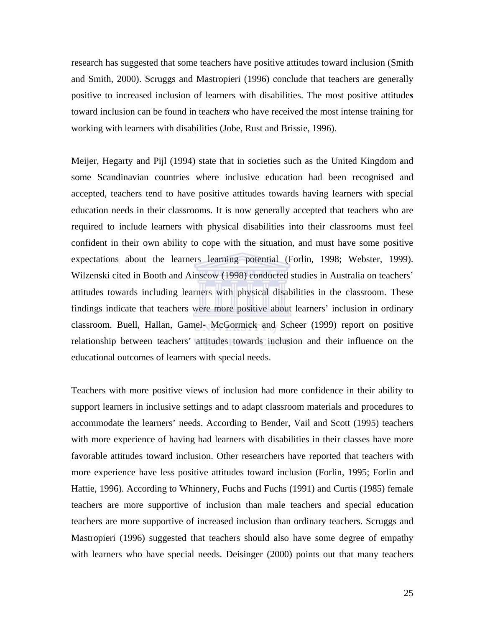research has suggested that some teachers have positive attitudes toward inclusion (Smith and Smith, 2000). Scruggs and Mastropieri (1996) conclude that teachers are generally positive to increased inclusion of learners with disabilities. The most positive attitude*s* toward inclusion can be found in teacher*s* who have received the most intense training for working with learners with disabilities (Jobe, Rust and Brissie, 1996).

Meijer, Hegarty and Pijl (1994) state that in societies such as the United Kingdom and some Scandinavian countries where inclusive education had been recognised and accepted, teachers tend to have positive attitudes towards having learners with special education needs in their classrooms. It is now generally accepted that teachers who are required to include learners with physical disabilities into their classrooms must feel confident in their own ability to cope with the situation, and must have some positive expectations about the learners learning potential (Forlin, 1998; Webster, 1999). Wilzenski cited in Booth and Ainscow (1998) conducted studies in Australia on teachers' attitudes towards including learners with physical disabilities in the classroom. These findings indicate that teachers were more positive about learners' inclusion in ordinary classroom. Buell, Hallan, Gamel- McGormick and Scheer (1999) report on positive relationship between teachers' attitudes towards inclusion and their influence on the educational outcomes of learners with special needs.

Teachers with more positive views of inclusion had more confidence in their ability to support learners in inclusive settings and to adapt classroom materials and procedures to accommodate the learners' needs. According to Bender, Vail and Scott (1995) teachers with more experience of having had learners with disabilities in their classes have more favorable attitudes toward inclusion. Other researchers have reported that teachers with more experience have less positive attitudes toward inclusion (Forlin, 1995; Forlin and Hattie, 1996). According to Whinnery, Fuchs and Fuchs (1991) and Curtis (1985) female teachers are more supportive of inclusion than male teachers and special education teachers are more supportive of increased inclusion than ordinary teachers. Scruggs and Mastropieri (1996) suggested that teachers should also have some degree of empathy with learners who have special needs. Deisinger (2000) points out that many teachers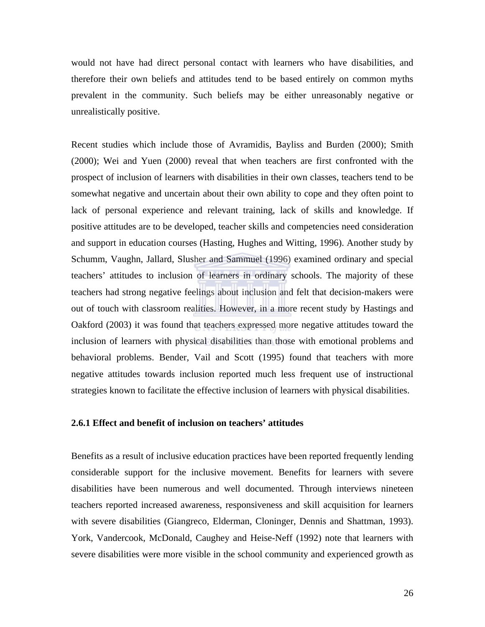would not have had direct personal contact with learners who have disabilities, and therefore their own beliefs and attitudes tend to be based entirely on common myths prevalent in the community. Such beliefs may be either unreasonably negative or unrealistically positive.

Recent studies which include those of Avramidis, Bayliss and Burden (2000); Smith (2000); Wei and Yuen (2000) reveal that when teachers are first confronted with the prospect of inclusion of learners with disabilities in their own classes, teachers tend to be somewhat negative and uncertain about their own ability to cope and they often point to lack of personal experience and relevant training, lack of skills and knowledge. If positive attitudes are to be developed, teacher skills and competencies need consideration and support in education courses (Hasting, Hughes and Witting, 1996). Another study by Schumm, Vaughn, Jallard, Slusher and Sammuel (1996) examined ordinary and special teachers' attitudes to inclusion of learners in ordinary schools. The majority of these teachers had strong negative feelings about inclusion and felt that decision-makers were out of touch with classroom realities. However, in a more recent study by Hastings and Oakford (2003) it was found that teachers expressed more negative attitudes toward the inclusion of learners with physical disabilities than those with emotional problems and behavioral problems. Bender, Vail and Scott (1995) found that teachers with more negative attitudes towards inclusion reported much less frequent use of instructional strategies known to facilitate the effective inclusion of learners with physical disabilities.

#### **2.6.1 Effect and benefit of inclusion on teachers' attitudes**

Benefits as a result of inclusive education practices have been reported frequently lending considerable support for the inclusive movement. Benefits for learners with severe disabilities have been numerous and well documented. Through interviews nineteen teachers reported increased awareness, responsiveness and skill acquisition for learners with severe disabilities (Giangreco, Elderman, Cloninger, Dennis and Shattman, 1993). York, Vandercook, McDonald, Caughey and Heise-Neff (1992) note that learners with severe disabilities were more visible in the school community and experienced growth as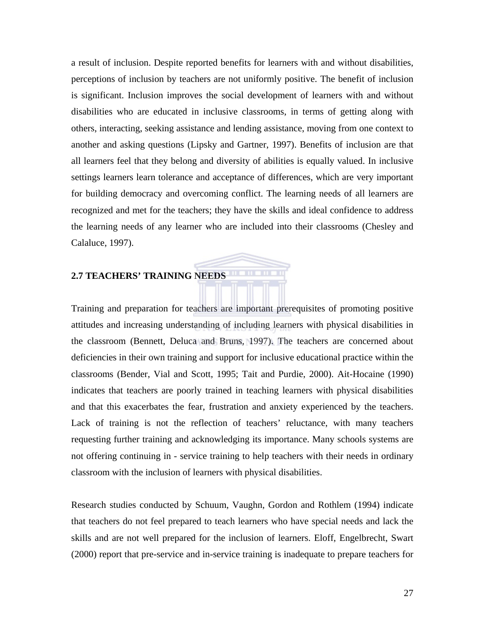a result of inclusion. Despite reported benefits for learners with and without disabilities, perceptions of inclusion by teachers are not uniformly positive. The benefit of inclusion is significant. Inclusion improves the social development of learners with and without disabilities who are educated in inclusive classrooms, in terms of getting along with others, interacting, seeking assistance and lending assistance, moving from one context to another and asking questions (Lipsky and Gartner, 1997). Benefits of inclusion are that all learners feel that they belong and diversity of abilities is equally valued. In inclusive settings learners learn tolerance and acceptance of differences, which are very important for building democracy and overcoming conflict. The learning needs of all learners are recognized and met for the teachers; they have the skills and ideal confidence to address the learning needs of any learner who are included into their classrooms (Chesley and Calaluce, 1997).

## **2.7 TEACHERS' TRAINING NEEDS**

Training and preparation for teachers are important prerequisites of promoting positive attitudes and increasing understanding of including learners with physical disabilities in the classroom (Bennett, Deluca and Bruns, 1997). The teachers are concerned about deficiencies in their own training and support for inclusive educational practice within the classrooms (Bender, Vial and Scott, 1995; Tait and Purdie, 2000). Ait-Hocaine (1990) indicates that teachers are poorly trained in teaching learners with physical disabilities and that this exacerbates the fear, frustration and anxiety experienced by the teachers. Lack of training is not the reflection of teachers' reluctance, with many teachers requesting further training and acknowledging its importance. Many schools systems are not offering continuing in - service training to help teachers with their needs in ordinary classroom with the inclusion of learners with physical disabilities.

Research studies conducted by Schuum, Vaughn, Gordon and Rothlem (1994) indicate that teachers do not feel prepared to teach learners who have special needs and lack the skills and are not well prepared for the inclusion of learners. Eloff, Engelbrecht, Swart (2000) report that pre-service and in-service training is inadequate to prepare teachers for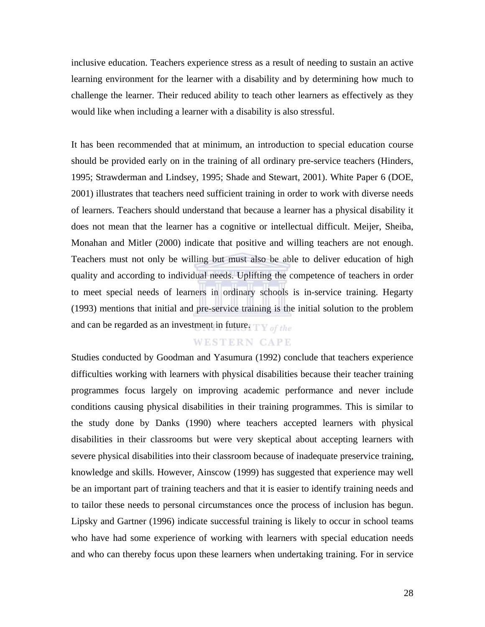inclusive education. Teachers experience stress as a result of needing to sustain an active learning environment for the learner with a disability and by determining how much to challenge the learner. Their reduced ability to teach other learners as effectively as they would like when including a learner with a disability is also stressful.

It has been recommended that at minimum, an introduction to special education course should be provided early on in the training of all ordinary pre-service teachers (Hinders, 1995; Strawderman and Lindsey, 1995; Shade and Stewart, 2001). White Paper 6 (DOE, 2001) illustrates that teachers need sufficient training in order to work with diverse needs of learners. Teachers should understand that because a learner has a physical disability it does not mean that the learner has a cognitive or intellectual difficult. Meijer, Sheiba, Monahan and Mitler (2000) indicate that positive and willing teachers are not enough. Teachers must not only be willing but must also be able to deliver education of high quality and according to individual needs. Uplifting the competence of teachers in order to meet special needs of learners in ordinary schools is in-service training. Hegarty (1993) mentions that initial and pre-service training is the initial solution to the problem and can be regarded as an investment in future.  $\mathbf{TV}_{\text{off the}}$ 

#### **WESTERN CAPE**

Studies conducted by Goodman and Yasumura (1992) conclude that teachers experience difficulties working with learners with physical disabilities because their teacher training programmes focus largely on improving academic performance and never include conditions causing physical disabilities in their training programmes. This is similar to the study done by Danks (1990) where teachers accepted learners with physical disabilities in their classrooms but were very skeptical about accepting learners with severe physical disabilities into their classroom because of inadequate preservice training, knowledge and skills. However, Ainscow (1999) has suggested that experience may well be an important part of training teachers and that it is easier to identify training needs and to tailor these needs to personal circumstances once the process of inclusion has begun. Lipsky and Gartner (1996) indicate successful training is likely to occur in school teams who have had some experience of working with learners with special education needs and who can thereby focus upon these learners when undertaking training. For in service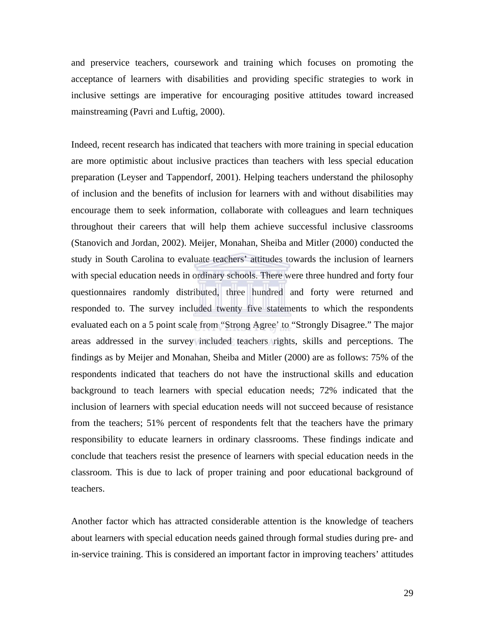and preservice teachers, coursework and training which focuses on promoting the acceptance of learners with disabilities and providing specific strategies to work in inclusive settings are imperative for encouraging positive attitudes toward increased mainstreaming (Pavri and Luftig, 2000).

Indeed, recent research has indicated that teachers with more training in special education are more optimistic about inclusive practices than teachers with less special education preparation (Leyser and Tappendorf, 2001). Helping teachers understand the philosophy of inclusion and the benefits of inclusion for learners with and without disabilities may encourage them to seek information, collaborate with colleagues and learn techniques throughout their careers that will help them achieve successful inclusive classrooms (Stanovich and Jordan, 2002). Meijer, Monahan, Sheiba and Mitler (2000) conducted the study in South Carolina to evaluate teachers' attitudes towards the inclusion of learners with special education needs in ordinary schools. There were three hundred and forty four questionnaires randomly distributed, three hundred and forty were returned and responded to. The survey included twenty five statements to which the respondents evaluated each on a 5 point scale from "Strong Agree' to "Strongly Disagree." The major areas addressed in the survey included teachers rights, skills and perceptions. The findings as by Meijer and Monahan, Sheiba and Mitler (2000) are as follows: 75% of the respondents indicated that teachers do not have the instructional skills and education background to teach learners with special education needs; 72% indicated that the inclusion of learners with special education needs will not succeed because of resistance from the teachers; 51% percent of respondents felt that the teachers have the primary responsibility to educate learners in ordinary classrooms. These findings indicate and conclude that teachers resist the presence of learners with special education needs in the classroom. This is due to lack of proper training and poor educational background of teachers.

Another factor which has attracted considerable attention is the knowledge of teachers about learners with special education needs gained through formal studies during pre- and in-service training. This is considered an important factor in improving teachers' attitudes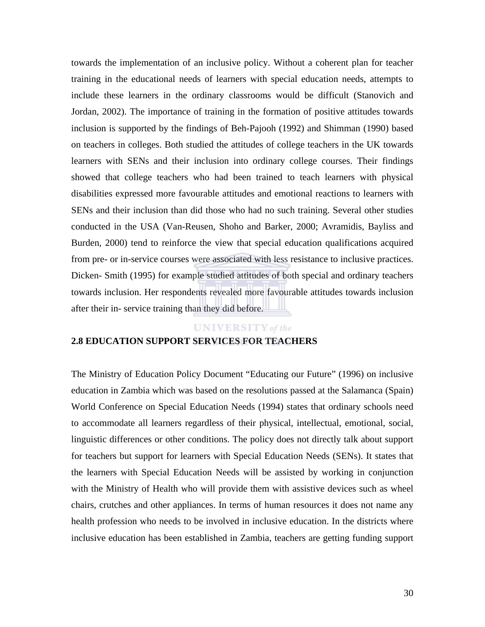towards the implementation of an inclusive policy. Without a coherent plan for teacher training in the educational needs of learners with special education needs, attempts to include these learners in the ordinary classrooms would be difficult (Stanovich and Jordan, 2002). The importance of training in the formation of positive attitudes towards inclusion is supported by the findings of Beh-Pajooh (1992) and Shimman (1990) based on teachers in colleges. Both studied the attitudes of college teachers in the UK towards learners with SENs and their inclusion into ordinary college courses. Their findings showed that college teachers who had been trained to teach learners with physical disabilities expressed more favourable attitudes and emotional reactions to learners with SENs and their inclusion than did those who had no such training. Several other studies conducted in the USA (Van-Reusen, Shoho and Barker, 2000; Avramidis, Bayliss and Burden, 2000) tend to reinforce the view that special education qualifications acquired from pre- or in-service courses were associated with less resistance to inclusive practices. Dicken- Smith (1995) for example studied attitudes of both special and ordinary teachers towards inclusion. Her respondents revealed more favourable attitudes towards inclusion after their in- service training than they did before.

#### **UNIVERSITY** of the

#### **2.8 EDUCATION SUPPORT SERVICES FOR TEACHERS**

The Ministry of Education Policy Document "Educating our Future" (1996) on inclusive education in Zambia which was based on the resolutions passed at the Salamanca (Spain) World Conference on Special Education Needs (1994) states that ordinary schools need to accommodate all learners regardless of their physical, intellectual, emotional, social, linguistic differences or other conditions. The policy does not directly talk about support for teachers but support for learners with Special Education Needs (SENs). It states that the learners with Special Education Needs will be assisted by working in conjunction with the Ministry of Health who will provide them with assistive devices such as wheel chairs, crutches and other appliances. In terms of human resources it does not name any health profession who needs to be involved in inclusive education. In the districts where inclusive education has been established in Zambia, teachers are getting funding support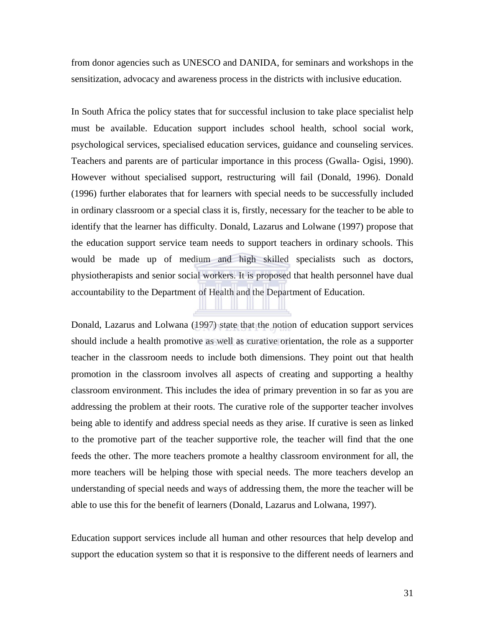from donor agencies such as UNESCO and DANIDA, for seminars and workshops in the sensitization, advocacy and awareness process in the districts with inclusive education.

In South Africa the policy states that for successful inclusion to take place specialist help must be available. Education support includes school health, school social work, psychological services, specialised education services, guidance and counseling services. Teachers and parents are of particular importance in this process (Gwalla- Ogisi, 1990). However without specialised support, restructuring will fail (Donald, 1996). Donald (1996) further elaborates that for learners with special needs to be successfully included in ordinary classroom or a special class it is, firstly, necessary for the teacher to be able to identify that the learner has difficulty. Donald, Lazarus and Lolwane (1997) propose that the education support service team needs to support teachers in ordinary schools. This would be made up of medium and high skilled specialists such as doctors, physiotherapists and senior social workers. It is proposed that health personnel have dual accountability to the Department of Health and the Department of Education.

Donald, Lazarus and Lolwana (1997) state that the notion of education support services should include a health promotive as well as curative orientation, the role as a supporter teacher in the classroom needs to include both dimensions. They point out that health promotion in the classroom involves all aspects of creating and supporting a healthy classroom environment. This includes the idea of primary prevention in so far as you are addressing the problem at their roots. The curative role of the supporter teacher involves being able to identify and address special needs as they arise. If curative is seen as linked to the promotive part of the teacher supportive role, the teacher will find that the one feeds the other. The more teachers promote a healthy classroom environment for all, the more teachers will be helping those with special needs. The more teachers develop an understanding of special needs and ways of addressing them, the more the teacher will be able to use this for the benefit of learners (Donald, Lazarus and Lolwana, 1997).

Education support services include all human and other resources that help develop and support the education system so that it is responsive to the different needs of learners and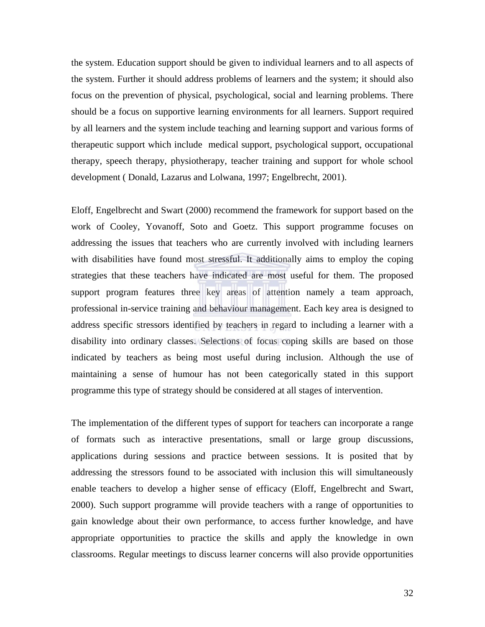the system. Education support should be given to individual learners and to all aspects of the system. Further it should address problems of learners and the system; it should also focus on the prevention of physical, psychological, social and learning problems. There should be a focus on supportive learning environments for all learners. Support required by all learners and the system include teaching and learning support and various forms of therapeutic support which include medical support, psychological support, occupational therapy, speech therapy, physiotherapy, teacher training and support for whole school development ( Donald, Lazarus and Lolwana, 1997; Engelbrecht, 2001).

Eloff, Engelbrecht and Swart (2000) recommend the framework for support based on the work of Cooley, Yovanoff, Soto and Goetz. This support programme focuses on addressing the issues that teachers who are currently involved with including learners with disabilities have found most stressful. It additionally aims to employ the coping strategies that these teachers have indicated are most useful for them. The proposed support program features three key areas of attention namely a team approach, professional in-service training and behaviour management. Each key area is designed to address specific stressors identified by teachers in regard to including a learner with a disability into ordinary classes. Selections of focus coping skills are based on those indicated by teachers as being most useful during inclusion. Although the use of maintaining a sense of humour has not been categorically stated in this support programme this type of strategy should be considered at all stages of intervention.

The implementation of the different types of support for teachers can incorporate a range of formats such as interactive presentations, small or large group discussions, applications during sessions and practice between sessions. It is posited that by addressing the stressors found to be associated with inclusion this will simultaneously enable teachers to develop a higher sense of efficacy (Eloff, Engelbrecht and Swart, 2000). Such support programme will provide teachers with a range of opportunities to gain knowledge about their own performance, to access further knowledge, and have appropriate opportunities to practice the skills and apply the knowledge in own classrooms. Regular meetings to discuss learner concerns will also provide opportunities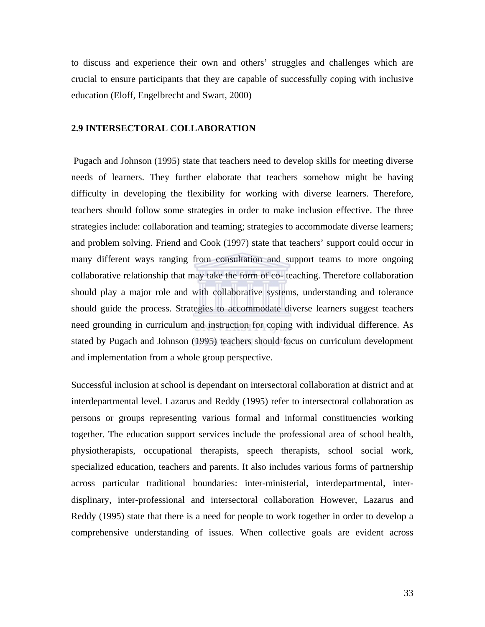to discuss and experience their own and others' struggles and challenges which are crucial to ensure participants that they are capable of successfully coping with inclusive education (Eloff, Engelbrecht and Swart, 2000)

#### **2.9 INTERSECTORAL COLLABORATION**

 Pugach and Johnson (1995) state that teachers need to develop skills for meeting diverse needs of learners. They further elaborate that teachers somehow might be having difficulty in developing the flexibility for working with diverse learners. Therefore, teachers should follow some strategies in order to make inclusion effective. The three strategies include: collaboration and teaming; strategies to accommodate diverse learners; and problem solving. Friend and Cook (1997) state that teachers' support could occur in many different ways ranging from consultation and support teams to more ongoing collaborative relationship that may take the form of co- teaching. Therefore collaboration should play a major role and with collaborative systems, understanding and tolerance should guide the process. Strategies to accommodate diverse learners suggest teachers need grounding in curriculum and instruction for coping with individual difference. As stated by Pugach and Johnson (1995) teachers should focus on curriculum development and implementation from a whole group perspective.

Successful inclusion at school is dependant on intersectoral collaboration at district and at interdepartmental level. Lazarus and Reddy (1995) refer to intersectoral collaboration as persons or groups representing various formal and informal constituencies working together. The education support services include the professional area of school health, physiotherapists, occupational therapists, speech therapists, school social work, specialized education, teachers and parents. It also includes various forms of partnership across particular traditional boundaries: inter-ministerial, interdepartmental, interdisplinary, inter-professional and intersectoral collaboration However, Lazarus and Reddy (1995) state that there is a need for people to work together in order to develop a comprehensive understanding of issues. When collective goals are evident across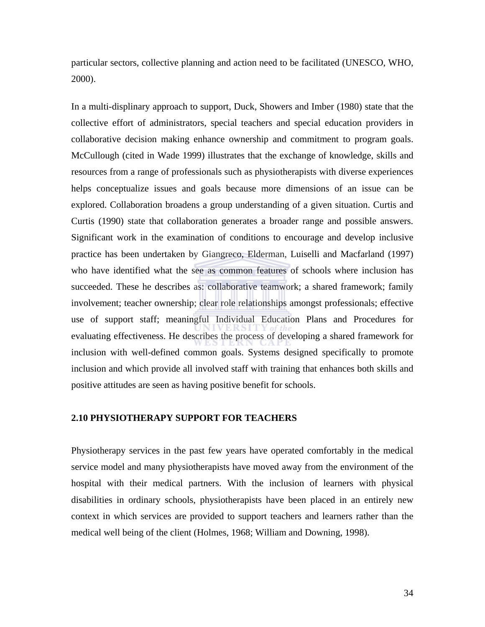particular sectors, collective planning and action need to be facilitated (UNESCO, WHO, 2000).

In a multi-displinary approach to support, Duck, Showers and Imber (1980) state that the collective effort of administrators, special teachers and special education providers in collaborative decision making enhance ownership and commitment to program goals. McCullough (cited in Wade 1999) illustrates that the exchange of knowledge, skills and resources from a range of professionals such as physiotherapists with diverse experiences helps conceptualize issues and goals because more dimensions of an issue can be explored. Collaboration broadens a group understanding of a given situation. Curtis and Curtis (1990) state that collaboration generates a broader range and possible answers. Significant work in the examination of conditions to encourage and develop inclusive practice has been undertaken by Giangreco, Elderman, Luiselli and Macfarland (1997) who have identified what the see as common features of schools where inclusion has succeeded. These he describes as: collaborative teamwork; a shared framework; family involvement; teacher ownership; clear role relationships amongst professionals; effective use of support staff; meaningful Individual Education Plans and Procedures for evaluating effectiveness. He describes the process of developing a shared framework for inclusion with well-defined common goals. Systems designed specifically to promote inclusion and which provide all involved staff with training that enhances both skills and positive attitudes are seen as having positive benefit for schools.

#### **2.10 PHYSIOTHERAPY SUPPORT FOR TEACHERS**

Physiotherapy services in the past few years have operated comfortably in the medical service model and many physiotherapists have moved away from the environment of the hospital with their medical partners. With the inclusion of learners with physical disabilities in ordinary schools, physiotherapists have been placed in an entirely new context in which services are provided to support teachers and learners rather than the medical well being of the client (Holmes, 1968; William and Downing, 1998).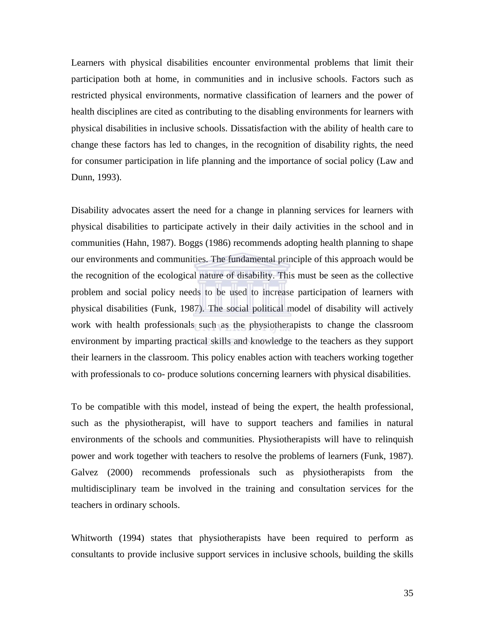Learners with physical disabilities encounter environmental problems that limit their participation both at home, in communities and in inclusive schools. Factors such as restricted physical environments, normative classification of learners and the power of health disciplines are cited as contributing to the disabling environments for learners with physical disabilities in inclusive schools. Dissatisfaction with the ability of health care to change these factors has led to changes, in the recognition of disability rights, the need for consumer participation in life planning and the importance of social policy (Law and Dunn, 1993).

Disability advocates assert the need for a change in planning services for learners with physical disabilities to participate actively in their daily activities in the school and in communities (Hahn, 1987). Boggs (1986) recommends adopting health planning to shape our environments and communities. The fundamental principle of this approach would be the recognition of the ecological nature of disability. This must be seen as the collective problem and social policy needs to be used to increase participation of learners with physical disabilities (Funk, 1987). The social political model of disability will actively work with health professionals such as the physiotherapists to change the classroom environment by imparting practical skills and knowledge to the teachers as they support their learners in the classroom. This policy enables action with teachers working together with professionals to co- produce solutions concerning learners with physical disabilities.

To be compatible with this model, instead of being the expert, the health professional, such as the physiotherapist, will have to support teachers and families in natural environments of the schools and communities. Physiotherapists will have to relinquish power and work together with teachers to resolve the problems of learners (Funk, 1987). Galvez (2000) recommends professionals such as physiotherapists from the multidisciplinary team be involved in the training and consultation services for the teachers in ordinary schools.

Whitworth (1994) states that physiotherapists have been required to perform as consultants to provide inclusive support services in inclusive schools, building the skills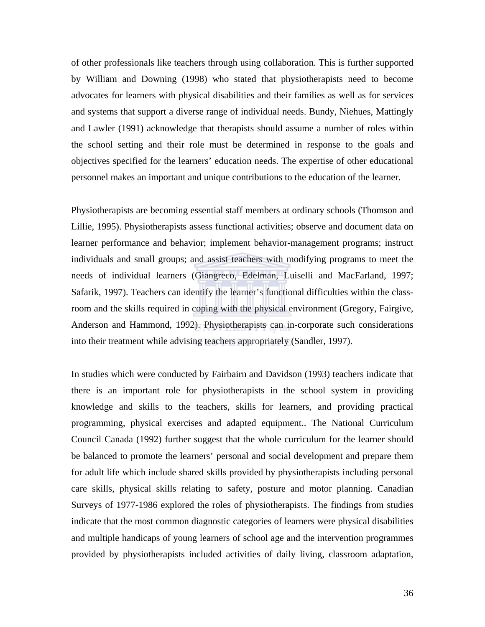of other professionals like teachers through using collaboration. This is further supported by William and Downing (1998) who stated that physiotherapists need to become advocates for learners with physical disabilities and their families as well as for services and systems that support a diverse range of individual needs. Bundy, Niehues, Mattingly and Lawler (1991) acknowledge that therapists should assume a number of roles within the school setting and their role must be determined in response to the goals and objectives specified for the learners' education needs. The expertise of other educational personnel makes an important and unique contributions to the education of the learner.

Physiotherapists are becoming essential staff members at ordinary schools (Thomson and Lillie, 1995). Physiotherapists assess functional activities; observe and document data on learner performance and behavior; implement behavior-management programs; instruct individuals and small groups; and assist teachers with modifying programs to meet the needs of individual learners (Giangreco, Edelman, Luiselli and MacFarland, 1997; Safarik, 1997). Teachers can identify the learner's functional difficulties within the classroom and the skills required in coping with the physical environment (Gregory, Fairgive, Anderson and Hammond, 1992). Physiotherapists can in-corporate such considerations into their treatment while advising teachers appropriately (Sandler, 1997).

In studies which were conducted by Fairbairn and Davidson (1993) teachers indicate that there is an important role for physiotherapists in the school system in providing knowledge and skills to the teachers, skills for learners, and providing practical programming, physical exercises and adapted equipment.. The National Curriculum Council Canada (1992) further suggest that the whole curriculum for the learner should be balanced to promote the learners' personal and social development and prepare them for adult life which include shared skills provided by physiotherapists including personal care skills, physical skills relating to safety, posture and motor planning. Canadian Surveys of 1977-1986 explored the roles of physiotherapists. The findings from studies indicate that the most common diagnostic categories of learners were physical disabilities and multiple handicaps of young learners of school age and the intervention programmes provided by physiotherapists included activities of daily living, classroom adaptation,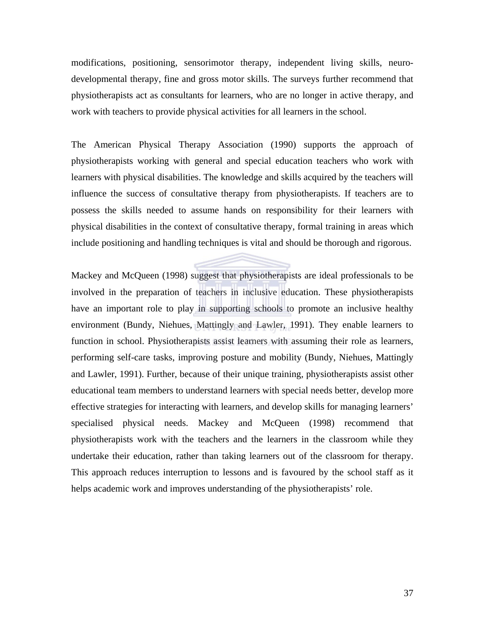modifications, positioning, sensorimotor therapy, independent living skills, neurodevelopmental therapy, fine and gross motor skills. The surveys further recommend that physiotherapists act as consultants for learners, who are no longer in active therapy, and work with teachers to provide physical activities for all learners in the school.

The American Physical Therapy Association (1990) supports the approach of physiotherapists working with general and special education teachers who work with learners with physical disabilities. The knowledge and skills acquired by the teachers will influence the success of consultative therapy from physiotherapists. If teachers are to possess the skills needed to assume hands on responsibility for their learners with physical disabilities in the context of consultative therapy, formal training in areas which include positioning and handling techniques is vital and should be thorough and rigorous.

Mackey and McQueen (1998) suggest that physiotherapists are ideal professionals to be involved in the preparation of teachers in inclusive education. These physiotherapists have an important role to play in supporting schools to promote an inclusive healthy environment (Bundy, Niehues, Mattingly and Lawler, 1991). They enable learners to function in school. Physiotherapists assist learners with assuming their role as learners, performing self-care tasks, improving posture and mobility (Bundy, Niehues, Mattingly and Lawler, 1991). Further, because of their unique training, physiotherapists assist other educational team members to understand learners with special needs better, develop more effective strategies for interacting with learners, and develop skills for managing learners' specialised physical needs. Mackey and McQueen (1998) recommend that physiotherapists work with the teachers and the learners in the classroom while they undertake their education, rather than taking learners out of the classroom for therapy. This approach reduces interruption to lessons and is favoured by the school staff as it helps academic work and improves understanding of the physiotherapists' role.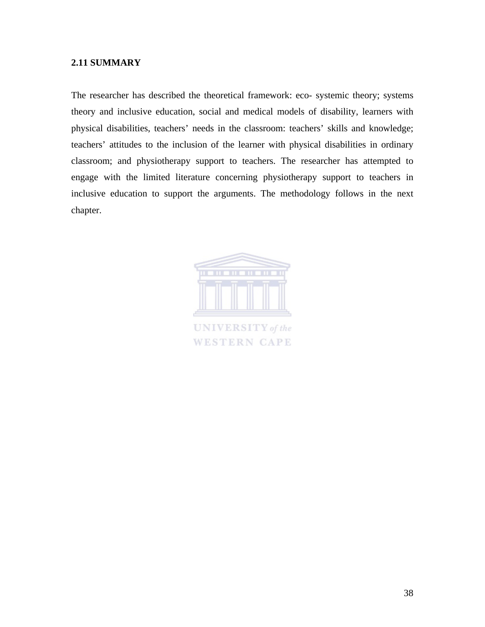#### **2.11 SUMMARY**

The researcher has described the theoretical framework: eco- systemic theory; systems theory and inclusive education, social and medical models of disability, learners with physical disabilities, teachers' needs in the classroom: teachers' skills and knowledge; teachers' attitudes to the inclusion of the learner with physical disabilities in ordinary classroom; and physiotherapy support to teachers. The researcher has attempted to engage with the limited literature concerning physiotherapy support to teachers in inclusive education to support the arguments. The methodology follows in the next chapter.



**WESTERN CAPE**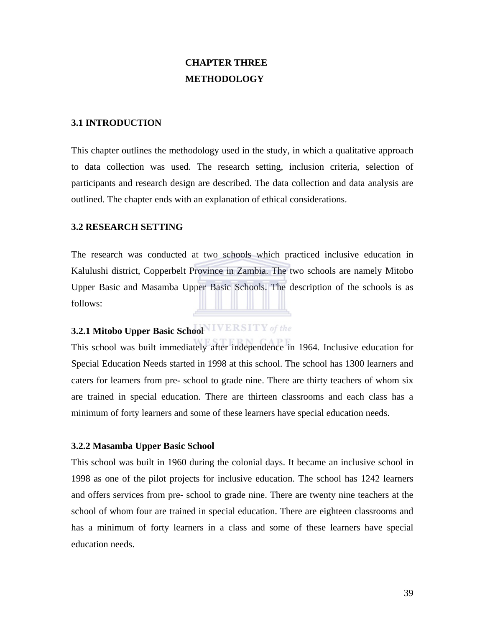## **CHAPTER THREE METHODOLOGY**

#### **3.1 INTRODUCTION**

This chapter outlines the methodology used in the study, in which a qualitative approach to data collection was used. The research setting, inclusion criteria, selection of participants and research design are described. The data collection and data analysis are outlined. The chapter ends with an explanation of ethical considerations.

#### **3.2 RESEARCH SETTING**

The research was conducted at two schools which practiced inclusive education in Kalulushi district, Copperbelt Province in Zambia. The two schools are namely Mitobo Upper Basic and Masamba Upper Basic Schools. The description of the schools is as follows:

## **3.2.1 Mitobo Upper Basic School**

This school was built immediately after independence in 1964. Inclusive education for Special Education Needs started in 1998 at this school. The school has 1300 learners and caters for learners from pre- school to grade nine. There are thirty teachers of whom six are trained in special education. There are thirteen classrooms and each class has a minimum of forty learners and some of these learners have special education needs.

#### **3.2.2 Masamba Upper Basic School**

This school was built in 1960 during the colonial days. It became an inclusive school in 1998 as one of the pilot projects for inclusive education. The school has 1242 learners and offers services from pre- school to grade nine. There are twenty nine teachers at the school of whom four are trained in special education. There are eighteen classrooms and has a minimum of forty learners in a class and some of these learners have special education needs.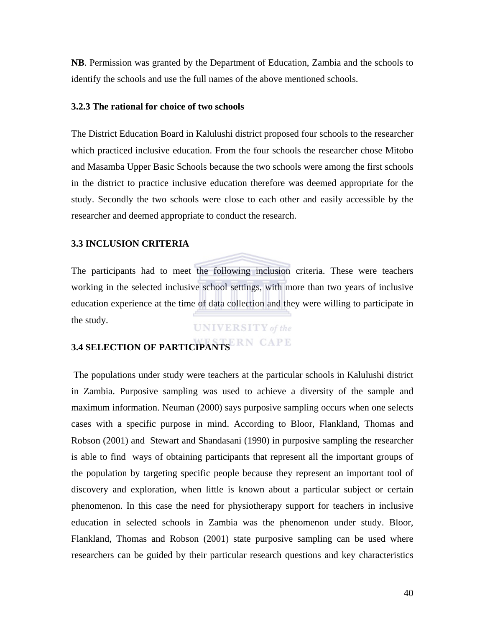**NB**. Permission was granted by the Department of Education, Zambia and the schools to identify the schools and use the full names of the above mentioned schools.

#### **3.2.3 The rational for choice of two schools**

The District Education Board in Kalulushi district proposed four schools to the researcher which practiced inclusive education. From the four schools the researcher chose Mitobo and Masamba Upper Basic Schools because the two schools were among the first schools in the district to practice inclusive education therefore was deemed appropriate for the study. Secondly the two schools were close to each other and easily accessible by the researcher and deemed appropriate to conduct the research.

#### **3.3 INCLUSION CRITERIA**

The participants had to meet the following inclusion criteria. These were teachers working in the selected inclusive school settings, with more than two years of inclusive education experience at the time of data collection and they were willing to participate in the study.

#### **UNIVERSITY** of the

# **3.4 SELECTION OF PARTICIPANTS**

The populations under study were teachers at the particular schools in Kalulushi district in Zambia. Purposive sampling was used to achieve a diversity of the sample and maximum information. Neuman (2000) says purposive sampling occurs when one selects cases with a specific purpose in mind. According to Bloor, Flankland, Thomas and Robson (2001) and Stewart and Shandasani (1990) in purposive sampling the researcher is able to find ways of obtaining participants that represent all the important groups of the population by targeting specific people because they represent an important tool of discovery and exploration, when little is known about a particular subject or certain phenomenon. In this case the need for physiotherapy support for teachers in inclusive education in selected schools in Zambia was the phenomenon under study. Bloor, Flankland, Thomas and Robson (2001) state purposive sampling can be used where researchers can be guided by their particular research questions and key characteristics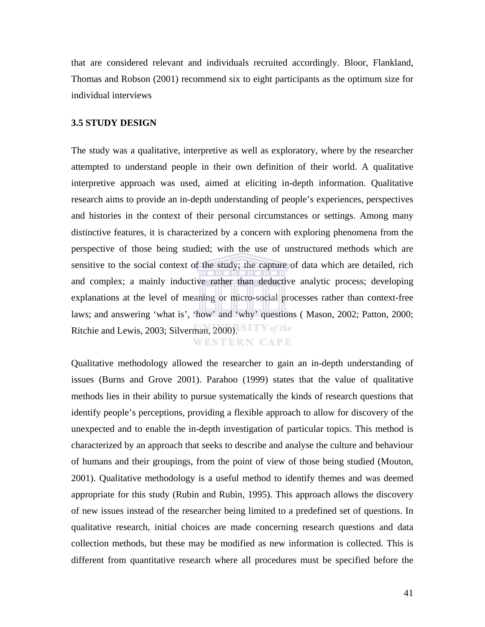that are considered relevant and individuals recruited accordingly. Bloor, Flankland, Thomas and Robson (2001) recommend six to eight participants as the optimum size for individual interviews

#### **3.5 STUDY DESIGN**

The study was a qualitative, interpretive as well as exploratory, where by the researcher attempted to understand people in their own definition of their world. A qualitative interpretive approach was used, aimed at eliciting in-depth information. Qualitative research aims to provide an in-depth understanding of people's experiences, perspectives and histories in the context of their personal circumstances or settings. Among many distinctive features, it is characterized by a concern with exploring phenomena from the perspective of those being studied; with the use of unstructured methods which are sensitive to the social context of the study; the capture of data which are detailed, rich and complex; a mainly inductive rather than deductive analytic process; developing explanations at the level of meaning or micro-social processes rather than context-free laws; and answering 'what is', 'how' and 'why' questions ( Mason, 2002; Patton, 2000; Ritchie and Lewis, 2003; Silverman, 2000). SITY of the **WESTERN CAPE** 

Qualitative methodology allowed the researcher to gain an in-depth understanding of issues (Burns and Grove 2001). Parahoo (1999) states that the value of qualitative methods lies in their ability to pursue systematically the kinds of research questions that identify people's perceptions, providing a flexible approach to allow for discovery of the unexpected and to enable the in-depth investigation of particular topics. This method is characterized by an approach that seeks to describe and analyse the culture and behaviour of humans and their groupings, from the point of view of those being studied (Mouton, 2001). Qualitative methodology is a useful method to identify themes and was deemed appropriate for this study (Rubin and Rubin, 1995). This approach allows the discovery of new issues instead of the researcher being limited to a predefined set of questions. In qualitative research, initial choices are made concerning research questions and data collection methods, but these may be modified as new information is collected. This is different from quantitative research where all procedures must be specified before the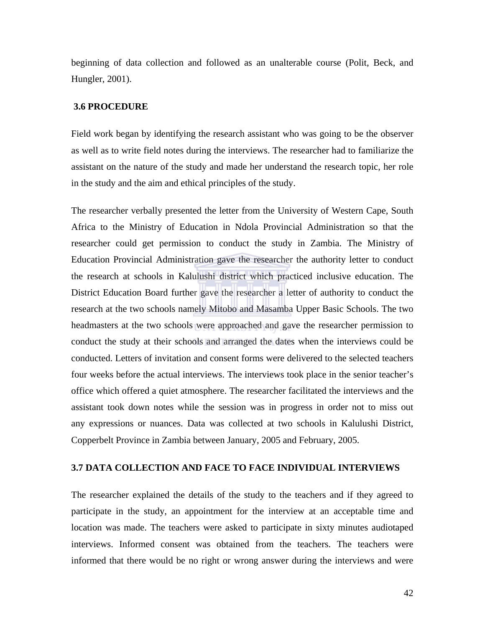beginning of data collection and followed as an unalterable course (Polit, Beck, and Hungler, 2001).

#### **3.6 PROCEDURE**

Field work began by identifying the research assistant who was going to be the observer as well as to write field notes during the interviews. The researcher had to familiarize the assistant on the nature of the study and made her understand the research topic, her role in the study and the aim and ethical principles of the study.

The researcher verbally presented the letter from the University of Western Cape, South Africa to the Ministry of Education in Ndola Provincial Administration so that the researcher could get permission to conduct the study in Zambia. The Ministry of Education Provincial Administration gave the researcher the authority letter to conduct the research at schools in Kalulushi district which practiced inclusive education. The District Education Board further gave the researcher a letter of authority to conduct the research at the two schools namely Mitobo and Masamba Upper Basic Schools. The two headmasters at the two schools were approached and gave the researcher permission to conduct the study at their schools and arranged the dates when the interviews could be conducted. Letters of invitation and consent forms were delivered to the selected teachers four weeks before the actual interviews. The interviews took place in the senior teacher's office which offered a quiet atmosphere. The researcher facilitated the interviews and the assistant took down notes while the session was in progress in order not to miss out any expressions or nuances. Data was collected at two schools in Kalulushi District, Copperbelt Province in Zambia between January, 2005 and February, 2005.

#### **3.7 DATA COLLECTION AND FACE TO FACE INDIVIDUAL INTERVIEWS**

The researcher explained the details of the study to the teachers and if they agreed to participate in the study, an appointment for the interview at an acceptable time and location was made. The teachers were asked to participate in sixty minutes audiotaped interviews. Informed consent was obtained from the teachers. The teachers were informed that there would be no right or wrong answer during the interviews and were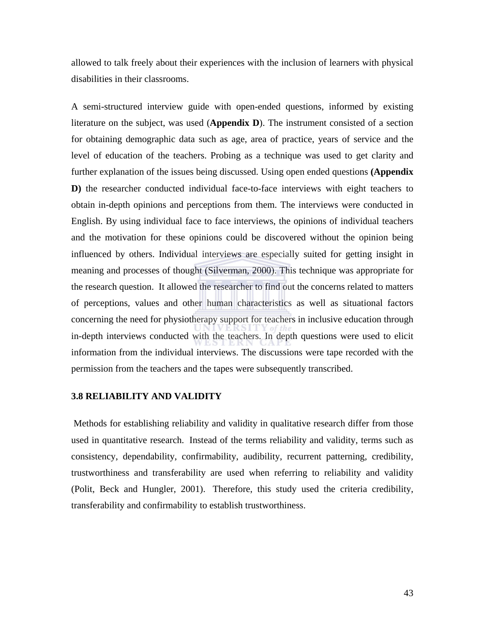allowed to talk freely about their experiences with the inclusion of learners with physical disabilities in their classrooms.

A semi-structured interview guide with open-ended questions, informed by existing literature on the subject, was used (**Appendix D**). The instrument consisted of a section for obtaining demographic data such as age, area of practice, years of service and the level of education of the teachers. Probing as a technique was used to get clarity and further explanation of the issues being discussed. Using open ended questions **(Appendix D)** the researcher conducted individual face-to-face interviews with eight teachers to obtain in-depth opinions and perceptions from them. The interviews were conducted in English. By using individual face to face interviews, the opinions of individual teachers and the motivation for these opinions could be discovered without the opinion being influenced by others. Individual interviews are especially suited for getting insight in meaning and processes of thought (Silverman, 2000). This technique was appropriate for the research question. It allowed the researcher to find out the concerns related to matters of perceptions, values and other human characteristics as well as situational factors concerning the need for physiotherapy support for teachers in inclusive education through in-depth interviews conducted with the teachers. In depth questions were used to elicit information from the individual interviews. The discussions were tape recorded with the permission from the teachers and the tapes were subsequently transcribed.

#### **3.8 RELIABILITY AND VALIDITY**

 Methods for establishing reliability and validity in qualitative research differ from those used in quantitative research. Instead of the terms reliability and validity, terms such as consistency, dependability, confirmability, audibility, recurrent patterning, credibility, trustworthiness and transferability are used when referring to reliability and validity (Polit, Beck and Hungler, 2001). Therefore, this study used the criteria credibility, transferability and confirmability to establish trustworthiness.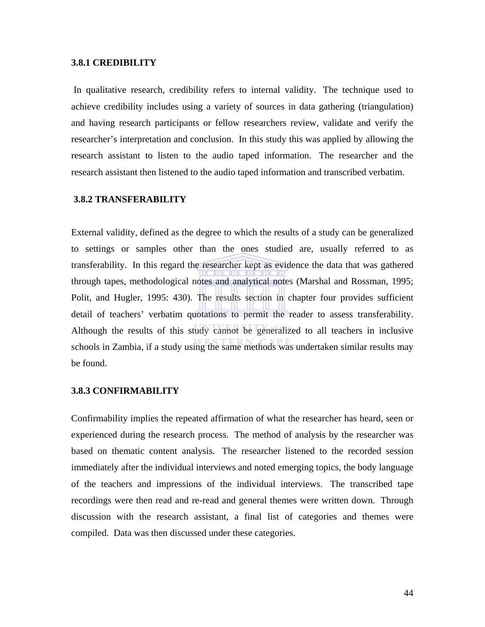#### **3.8.1 CREDIBILITY**

 In qualitative research, credibility refers to internal validity. The technique used to achieve credibility includes using a variety of sources in data gathering (triangulation) and having research participants or fellow researchers review, validate and verify the researcher's interpretation and conclusion. In this study this was applied by allowing the research assistant to listen to the audio taped information. The researcher and the research assistant then listened to the audio taped information and transcribed verbatim.

#### **3.8.2 TRANSFERABILITY**

External validity, defined as the degree to which the results of a study can be generalized to settings or samples other than the ones studied are, usually referred to as transferability. In this regard the researcher kept as evidence the data that was gathered through tapes, methodological notes and analytical notes (Marshal and Rossman, 1995; Polit, and Hugler, 1995: 430). The results section in chapter four provides sufficient detail of teachers' verbatim quotations to permit the reader to assess transferability. Although the results of this study cannot be generalized to all teachers in inclusive schools in Zambia, if a study using the same methods was undertaken similar results may be found.

#### **3.8.3 CONFIRMABILITY**

Confirmability implies the repeated affirmation of what the researcher has heard, seen or experienced during the research process. The method of analysis by the researcher was based on thematic content analysis. The researcher listened to the recorded session immediately after the individual interviews and noted emerging topics, the body language of the teachers and impressions of the individual interviews. The transcribed tape recordings were then read and re-read and general themes were written down. Through discussion with the research assistant, a final list of categories and themes were compiled. Data was then discussed under these categories.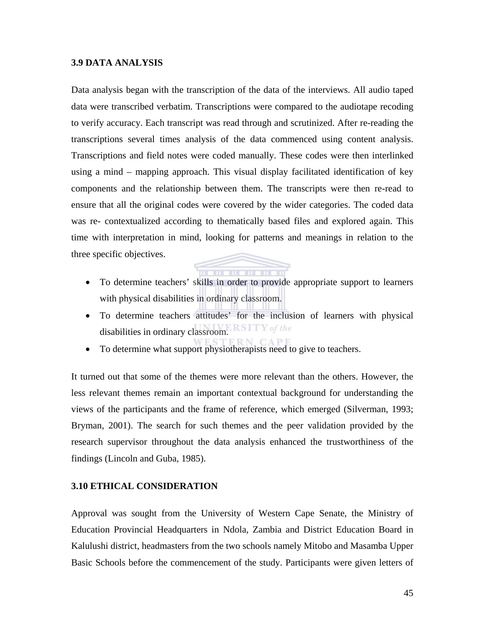#### **3.9 DATA ANALYSIS**

Data analysis began with the transcription of the data of the interviews. All audio taped data were transcribed verbatim. Transcriptions were compared to the audiotape recoding to verify accuracy. Each transcript was read through and scrutinized. After re-reading the transcriptions several times analysis of the data commenced using content analysis. Transcriptions and field notes were coded manually. These codes were then interlinked using a mind – mapping approach. This visual display facilitated identification of key components and the relationship between them. The transcripts were then re-read to ensure that all the original codes were covered by the wider categories. The coded data was re- contextualized according to thematically based files and explored again. This time with interpretation in mind, looking for patterns and meanings in relation to the three specific objectives.

- To determine teachers' skills in order to provide appropriate support to learners with physical disabilities in ordinary classroom.
- To determine teachers attitudes' for the inclusion of learners with physical disabilities in ordinary classroom. ERSITY of the
- To determine what support physiotherapists need to give to teachers.

It turned out that some of the themes were more relevant than the others. However, the less relevant themes remain an important contextual background for understanding the views of the participants and the frame of reference, which emerged (Silverman, 1993; Bryman, 2001). The search for such themes and the peer validation provided by the research supervisor throughout the data analysis enhanced the trustworthiness of the findings (Lincoln and Guba, 1985).

#### **3.10 ETHICAL CONSIDERATION**

Approval was sought from the University of Western Cape Senate, the Ministry of Education Provincial Headquarters in Ndola, Zambia and District Education Board in Kalulushi district, headmasters from the two schools namely Mitobo and Masamba Upper Basic Schools before the commencement of the study. Participants were given letters of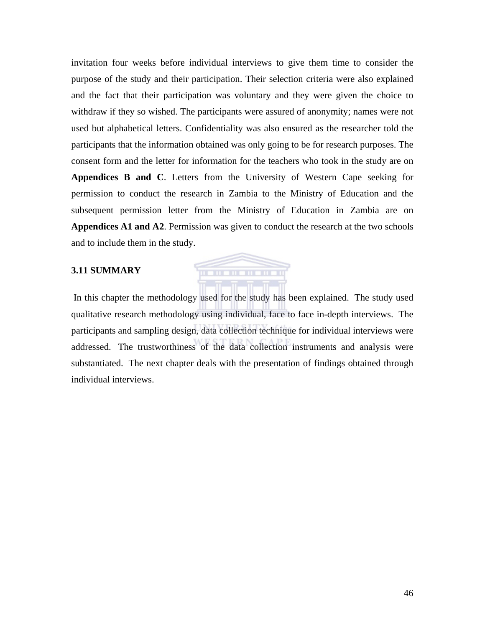invitation four weeks before individual interviews to give them time to consider the purpose of the study and their participation. Their selection criteria were also explained and the fact that their participation was voluntary and they were given the choice to withdraw if they so wished. The participants were assured of anonymity; names were not used but alphabetical letters. Confidentiality was also ensured as the researcher told the participants that the information obtained was only going to be for research purposes. The consent form and the letter for information for the teachers who took in the study are on **Appendices B and C**. Letters from the University of Western Cape seeking for permission to conduct the research in Zambia to the Ministry of Education and the subsequent permission letter from the Ministry of Education in Zambia are on **Appendices A1 and A2**. Permission was given to conduct the research at the two schools and to include them in the study.

#### **3.11 SUMMARY**

 In this chapter the methodology used for the study has been explained. The study used qualitative research methodology using individual, face to face in-depth interviews. The participants and sampling design, data collection technique for individual interviews were addressed. The trustworthiness of the data collection instruments and analysis were substantiated. The next chapter deals with the presentation of findings obtained through individual interviews.

. . . . . . . . . .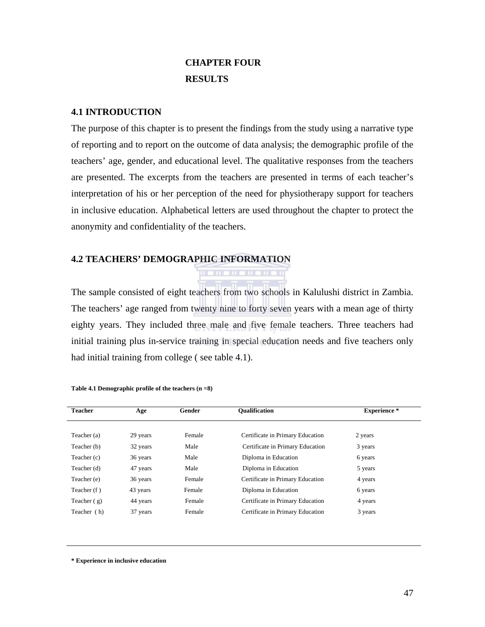## **CHAPTER FOUR RESULTS**

#### **4.1 INTRODUCTION**

The purpose of this chapter is to present the findings from the study using a narrative type of reporting and to report on the outcome of data analysis; the demographic profile of the teachers' age, gender, and educational level. The qualitative responses from the teachers are presented. The excerpts from the teachers are presented in terms of each teacher's interpretation of his or her perception of the need for physiotherapy support for teachers in inclusive education. Alphabetical letters are used throughout the chapter to protect the anonymity and confidentiality of the teachers.

#### **4.2 TEACHERS' DEMOGRAPHIC INFORMATION**

The sample consisted of eight teachers from two schools in Kalulushi district in Zambia. The teachers' age ranged from twenty nine to forty seven years with a mean age of thirty eighty years. They included three male and five female teachers. Three teachers had initial training plus in-service training in special education needs and five teachers only had initial training from college ( see table 4.1).

. . . . . . . . . . . .

| <b>Teacher</b> | Age      | Gender | <b>Oualification</b>             | <b>Experience</b> * |
|----------------|----------|--------|----------------------------------|---------------------|
| Teacher (a)    | 29 years | Female | Certificate in Primary Education | 2 years             |
| Teacher (b)    | 32 years | Male   | Certificate in Primary Education | 3 years             |
| Teacher (c)    | 36 years | Male   | Diploma in Education             | 6 years             |
| Teacher (d)    | 47 years | Male   | Diploma in Education             | 5 years             |
| Teacher (e)    | 36 years | Female | Certificate in Primary Education | 4 years             |
| Teacher (f)    | 43 years | Female | Diploma in Education             | 6 years             |
| Teacher $(g)$  | 44 years | Female | Certificate in Primary Education | 4 years             |
| Teacher (h)    | 37 years | Female | Certificate in Primary Education | 3 years             |

**Table 4.1 Demographic profile of the teachers (n =8)** 

**\* Experience in inclusive education**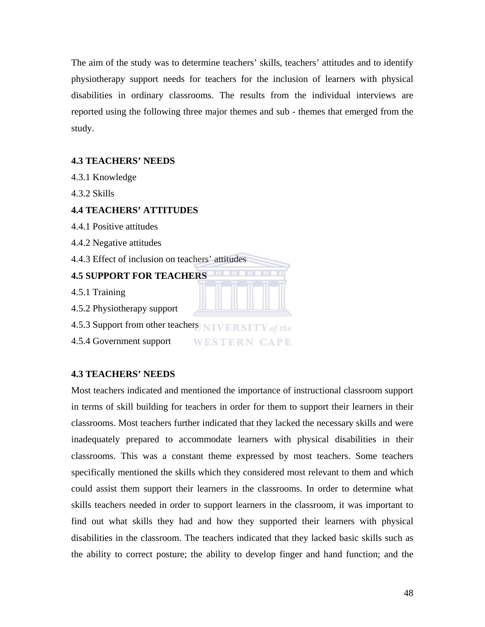The aim of the study was to determine teachers' skills, teachers' attitudes and to identify physiotherapy support needs for teachers for the inclusion of learners with physical disabilities in ordinary classrooms. The results from the individual interviews are reported using the following three major themes and sub - themes that emerged from the study.

#### **4.3 TEACHERS' NEEDS**

- 4.3.1 Knowledge
- 4.3.2 Skills

#### **4.4 TEACHERS' ATTITUDES**

- 4.4.1 Positive attitudes
- 4.4.2 Negative attitudes
- 4.4.3 Effect of inclusion on teachers' attitudes

#### **4.5 SUPPORT FOR TEACHERS**

- 4.5.1 Training
- 4.5.2 Physiotherapy support
- 4.5.3 Support from other teachers NIVERSITY of the
- 4.5.4 Government support **WESTERN CAPE**

#### **4.3 TEACHERS' NEEDS**

Most teachers indicated and mentioned the importance of instructional classroom support in terms of skill building for teachers in order for them to support their learners in their classrooms. Most teachers further indicated that they lacked the necessary skills and were inadequately prepared to accommodate learners with physical disabilities in their classrooms. This was a constant theme expressed by most teachers. Some teachers specifically mentioned the skills which they considered most relevant to them and which could assist them support their learners in the classrooms. In order to determine what skills teachers needed in order to support learners in the classroom, it was important to find out what skills they had and how they supported their learners with physical disabilities in the classroom. The teachers indicated that they lacked basic skills such as the ability to correct posture; the ability to develop finger and hand function; and the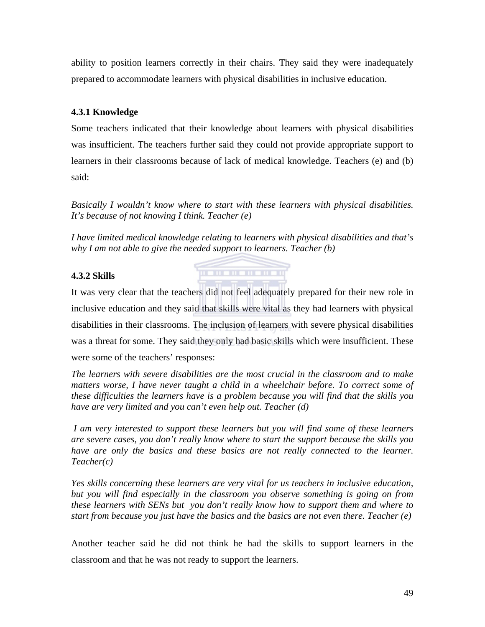ability to position learners correctly in their chairs. They said they were inadequately prepared to accommodate learners with physical disabilities in inclusive education.

#### **4.3.1 Knowledge**

Some teachers indicated that their knowledge about learners with physical disabilities was insufficient. The teachers further said they could not provide appropriate support to learners in their classrooms because of lack of medical knowledge. Teachers (e) and (b) said:

*Basically I wouldn't know where to start with these learners with physical disabilities. It's because of not knowing I think. Teacher (e)* 

*I have limited medical knowledge relating to learners with physical disabilities and that's why I am not able to give the needed support to learners. Teacher (b)* 

. . . . . . . . . . . .

#### **4.3.2 Skills**

It was very clear that the teachers did not feel adequately prepared for their new role in inclusive education and they said that skills were vital as they had learners with physical disabilities in their classrooms. The inclusion of learners with severe physical disabilities was a threat for some. They said they only had basic skills which were insufficient. These were some of the teachers' responses:

*The learners with severe disabilities are the most crucial in the classroom and to make*  matters worse, I have never taught a child in a wheelchair before. To correct some of *these difficulties the learners have is a problem because you will find that the skills you have are very limited and you can't even help out. Teacher (d)* 

 *I am very interested to support these learners but you will find some of these learners are severe cases, you don't really know where to start the support because the skills you have are only the basics and these basics are not really connected to the learner. Teacher(c)* 

*Yes skills concerning these learners are very vital for us teachers in inclusive education, but you will find especially in the classroom you observe something is going on from these learners with SENs but you don't really know how to support them and where to start from because you just have the basics and the basics are not even there. Teacher (e)* 

Another teacher said he did not think he had the skills to support learners in the classroom and that he was not ready to support the learners.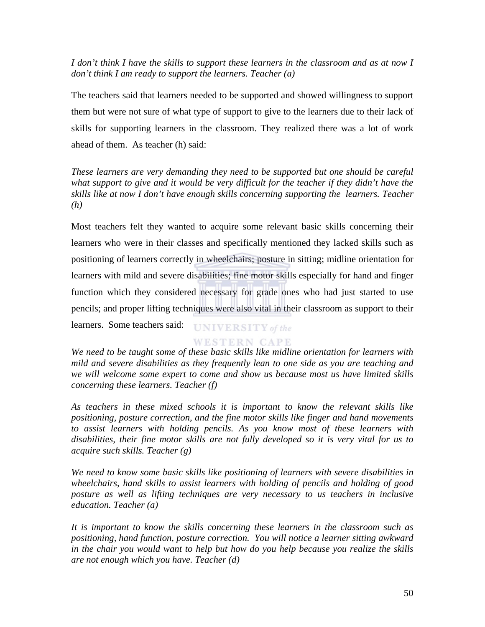*I don't think I have the skills to support these learners in the classroom and as at now I don't think I am ready to support the learners. Teacher (a)* 

The teachers said that learners needed to be supported and showed willingness to support them but were not sure of what type of support to give to the learners due to their lack of skills for supporting learners in the classroom. They realized there was a lot of work ahead of them. As teacher (h) said:

*These learners are very demanding they need to be supported but one should be careful what support to give and it would be very difficult for the teacher if they didn't have the skills like at now I don't have enough skills concerning supporting the learners. Teacher (h)* 

Most teachers felt they wanted to acquire some relevant basic skills concerning their learners who were in their classes and specifically mentioned they lacked skills such as positioning of learners correctly in wheelchairs; posture in sitting; midline orientation for learners with mild and severe disabilities; fine motor skills especially for hand and finger function which they considered necessary for grade ones who had just started to use pencils; and proper lifting techniques were also vital in their classroom as support to their learners. Some teachers said: **UNIVERSITY** of the

#### **WESTERN CAPE**

*We need to be taught some of these basic skills like midline orientation for learners with mild and severe disabilities as they frequently lean to one side as you are teaching and we will welcome some expert to come and show us because most us have limited skills concerning these learners. Teacher (f)* 

*As teachers in these mixed schools it is important to know the relevant skills like positioning, posture correction, and the fine motor skills like finger and hand movements to assist learners with holding pencils. As you know most of these learners with disabilities, their fine motor skills are not fully developed so it is very vital for us to acquire such skills. Teacher (g)* 

*We need to know some basic skills like positioning of learners with severe disabilities in wheelchairs, hand skills to assist learners with holding of pencils and holding of good posture as well as lifting techniques are very necessary to us teachers in inclusive education. Teacher (a)*

*It is important to know the skills concerning these learners in the classroom such as positioning, hand function, posture correction. You will notice a learner sitting awkward in the chair you would want to help but how do you help because you realize the skills are not enough which you have. Teacher (d)*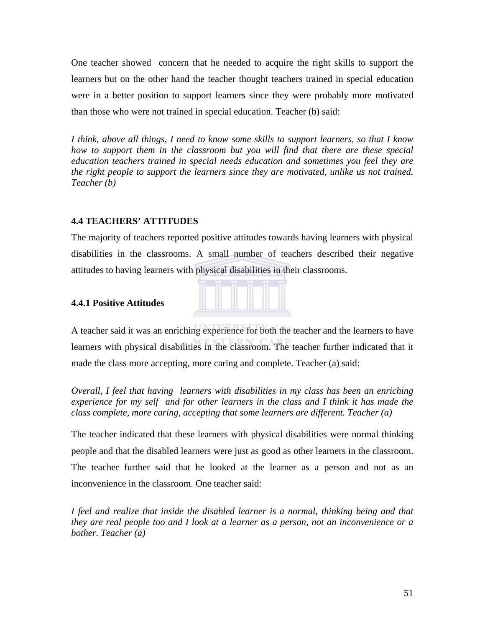One teacher showed concern that he needed to acquire the right skills to support the learners but on the other hand the teacher thought teachers trained in special education were in a better position to support learners since they were probably more motivated than those who were not trained in special education. Teacher (b) said:

*I think, above all things, I need to know some skills to support learners, so that I know how to support them in the classroom but you will find that there are these special education teachers trained in special needs education and sometimes you feel they are the right people to support the learners since they are motivated, unlike us not trained. Teacher (b)* 

#### **4.4 TEACHERS' ATTITUDES**

The majority of teachers reported positive attitudes towards having learners with physical disabilities in the classrooms. A small number of teachers described their negative attitudes to having learners with physical disabilities in their classrooms.

#### **4.4.1 Positive Attitudes**



A teacher said it was an enriching experience for both the teacher and the learners to have learners with physical disabilities in the classroom. The teacher further indicated that it made the class more accepting, more caring and complete. Teacher (a) said:

*Overall, I feel that having learners with disabilities in my class has been an enriching experience for my self and for other learners in the class and I think it has made the class complete, more caring, accepting that some learners are different. Teacher (a)* 

The teacher indicated that these learners with physical disabilities were normal thinking people and that the disabled learners were just as good as other learners in the classroom. The teacher further said that he looked at the learner as a person and not as an inconvenience in the classroom. One teacher said:

*I feel and realize that inside the disabled learner is a normal, thinking being and that they are real people too and I look at a learner as a person, not an inconvenience or a bother. Teacher (a)*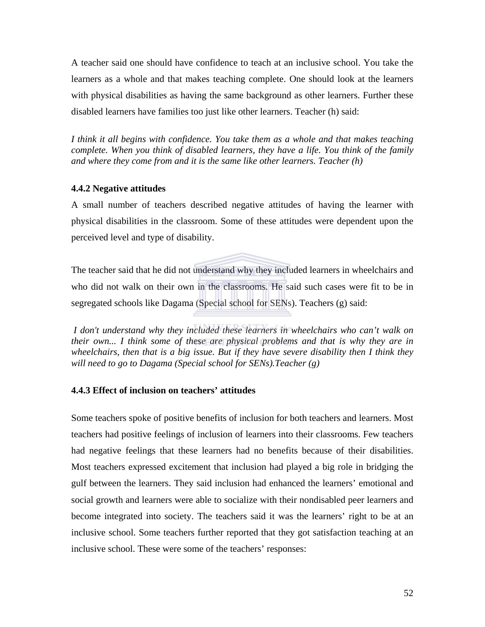A teacher said one should have confidence to teach at an inclusive school. You take the learners as a whole and that makes teaching complete. One should look at the learners with physical disabilities as having the same background as other learners. Further these disabled learners have families too just like other learners. Teacher (h) said:

*I think it all begins with confidence. You take them as a whole and that makes teaching complete. When you think of disabled learners, they have a life. You think of the family and where they come from and it is the same like other learners. Teacher (h)* 

#### **4.4.2 Negative attitudes**

A small number of teachers described negative attitudes of having the learner with physical disabilities in the classroom. Some of these attitudes were dependent upon the perceived level and type of disability.

The teacher said that he did not understand why they included learners in wheelchairs and who did not walk on their own in the classrooms. He said such cases were fit to be in segregated schools like Dagama (Special school for SENs). Teachers (g) said:

 *I don't understand why they included these learners in wheelchairs who can't walk on their own... I think some of these are physical problems and that is why they are in wheelchairs, then that is a big issue. But if they have severe disability then I think they will need to go to Dagama (Special school for SENs).Teacher (g)* 

#### **4.4.3 Effect of inclusion on teachers' attitudes**

Some teachers spoke of positive benefits of inclusion for both teachers and learners. Most teachers had positive feelings of inclusion of learners into their classrooms. Few teachers had negative feelings that these learners had no benefits because of their disabilities. Most teachers expressed excitement that inclusion had played a big role in bridging the gulf between the learners. They said inclusion had enhanced the learners' emotional and social growth and learners were able to socialize with their nondisabled peer learners and become integrated into society. The teachers said it was the learners' right to be at an inclusive school. Some teachers further reported that they got satisfaction teaching at an inclusive school. These were some of the teachers' responses: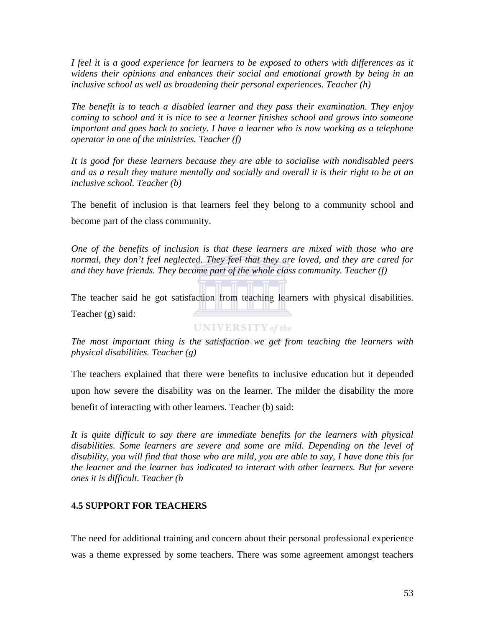*I feel it is a good experience for learners to be exposed to others with differences as it widens their opinions and enhances their social and emotional growth by being in an inclusive school as well as broadening their personal experiences. Teacher (h)* 

*The benefit is to teach a disabled learner and they pass their examination. They enjoy coming to school and it is nice to see a learner finishes school and grows into someone important and goes back to society. I have a learner who is now working as a telephone operator in one of the ministries. Teacher (f)* 

*It is good for these learners because they are able to socialise with nondisabled peers and as a result they mature mentally and socially and overall it is their right to be at an inclusive school. Teacher (b)* 

The benefit of inclusion is that learners feel they belong to a community school and become part of the class community.

*One of the benefits of inclusion is that these learners are mixed with those who are normal, they don't feel neglected. They feel that they are loved, and they are cared for and they have friends. They become part of the whole class community. Teacher (f)* 

The teacher said he got satisfaction from teaching learners with physical disabilities. <u>The theory and the theory of the theory of the theory of the theory of the theory of the theory of the theory of the theory of the theory of the theory of the theory of the theory of the theory of the theory of the theory</u> Teacher (g) said:

**UNIVERSITY** of the

*The most important thing is the satisfaction we get from teaching the learners with physical disabilities. Teacher (g)* 

The teachers explained that there were benefits to inclusive education but it depended upon how severe the disability was on the learner. The milder the disability the more benefit of interacting with other learners. Teacher (b) said:

It is quite difficult to say there are immediate benefits for the learners with physical *disabilities. Some learners are severe and some are mild. Depending on the level of disability, you will find that those who are mild, you are able to say, I have done this for the learner and the learner has indicated to interact with other learners. But for severe ones it is difficult. Teacher (b* 

#### **4.5 SUPPORT FOR TEACHERS**

The need for additional training and concern about their personal professional experience was a theme expressed by some teachers. There was some agreement amongst teachers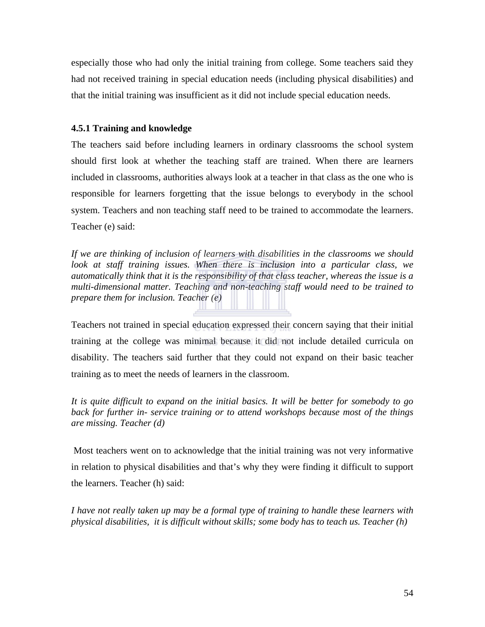especially those who had only the initial training from college. Some teachers said they had not received training in special education needs (including physical disabilities) and that the initial training was insufficient as it did not include special education needs.

#### **4.5.1 Training and knowledge**

The teachers said before including learners in ordinary classrooms the school system should first look at whether the teaching staff are trained. When there are learners included in classrooms, authorities always look at a teacher in that class as the one who is responsible for learners forgetting that the issue belongs to everybody in the school system. Teachers and non teaching staff need to be trained to accommodate the learners. Teacher (e) said:

*If we are thinking of inclusion of learners with disabilities in the classrooms we should*  look at staff training issues. When there is inclusion into a particular class, we *automatically think that it is the responsibility of that class teacher, whereas the issue is a multi-dimensional matter. Teaching and non-teaching staff would need to be trained to prepare them for inclusion. Teacher (e)*

Teachers not trained in special education expressed their concern saying that their initial training at the college was minimal because it did not include detailed curricula on disability. The teachers said further that they could not expand on their basic teacher training as to meet the needs of learners in the classroom.

*It is quite difficult to expand on the initial basics. It will be better for somebody to go back for further in- service training or to attend workshops because most of the things are missing. Teacher (d)* 

 Most teachers went on to acknowledge that the initial training was not very informative in relation to physical disabilities and that's why they were finding it difficult to support the learners. Teacher (h) said:

*I have not really taken up may be a formal type of training to handle these learners with physical disabilities, it is difficult without skills; some body has to teach us. Teacher (h)*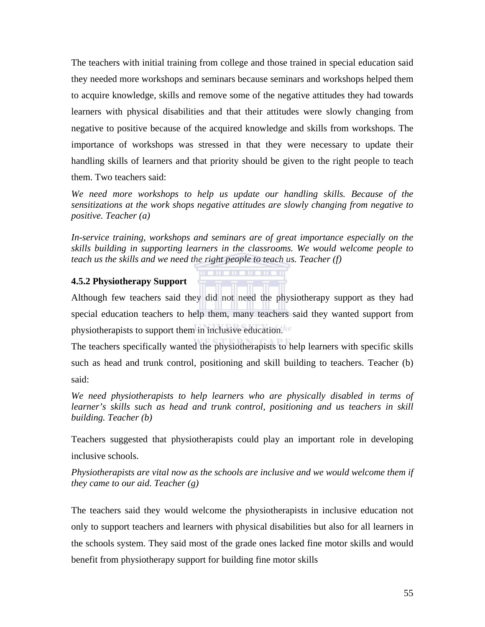The teachers with initial training from college and those trained in special education said they needed more workshops and seminars because seminars and workshops helped them to acquire knowledge, skills and remove some of the negative attitudes they had towards learners with physical disabilities and that their attitudes were slowly changing from negative to positive because of the acquired knowledge and skills from workshops. The importance of workshops was stressed in that they were necessary to update their handling skills of learners and that priority should be given to the right people to teach them. Two teachers said:

*We need more workshops to help us update our handling skills. Because of the sensitizations at the work shops negative attitudes are slowly changing from negative to positive. Teacher (a)* 

*In-service training, workshops and seminars are of great importance especially on the skills building in supporting learners in the classrooms. We would welcome people to teach us the skills and we need the right people to teach us. Teacher (f)* 

#### **4.5.2 Physiotherapy Support**

Although few teachers said they did not need the physiotherapy support as they had special education teachers to help them, many teachers said they wanted support from physiotherapists to support them in inclusive education.

The teachers specifically wanted the physiotherapists to help learners with specific skills such as head and trunk control, positioning and skill building to teachers. Teacher (b) said:

*We need physiotherapists to help learners who are physically disabled in terms of learner's skills such as head and trunk control, positioning and us teachers in skill building. Teacher (b)* 

Teachers suggested that physiotherapists could play an important role in developing inclusive schools.

*Physiotherapists are vital now as the schools are inclusive and we would welcome them if they came to our aid. Teacher (g)*

The teachers said they would welcome the physiotherapists in inclusive education not only to support teachers and learners with physical disabilities but also for all learners in the schools system. They said most of the grade ones lacked fine motor skills and would benefit from physiotherapy support for building fine motor skills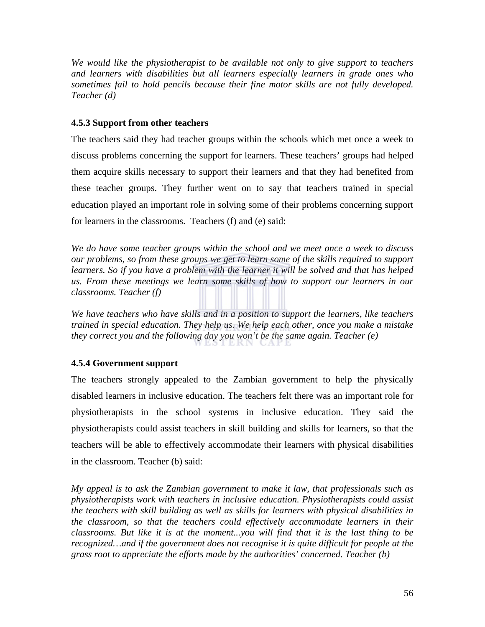*We would like the physiotherapist to be available not only to give support to teachers and learners with disabilities but all learners especially learners in grade ones who sometimes fail to hold pencils because their fine motor skills are not fully developed. Teacher (d)* 

#### **4.5.3 Support from other teachers**

The teachers said they had teacher groups within the schools which met once a week to discuss problems concerning the support for learners. These teachers' groups had helped them acquire skills necessary to support their learners and that they had benefited from these teacher groups. They further went on to say that teachers trained in special education played an important role in solving some of their problems concerning support for learners in the classrooms. Teachers (f) and (e) said:

*We do have some teacher groups within the school and we meet once a week to discuss our problems, so from these groups we get to learn some of the skills required to support learners. So if you have a problem with the learner it will be solved and that has helped us. From these meetings we learn some skills of how to support our learners in our classrooms. Teacher (f)* 

*We have teachers who have skills and in a position to support the learners, like teachers trained in special education. They help us. We help each other, once you make a mistake they correct you and the following day you won't be the same again. Teacher (e)* 

### **4.5.4 Government support**

The teachers strongly appealed to the Zambian government to help the physically disabled learners in inclusive education. The teachers felt there was an important role for physiotherapists in the school systems in inclusive education. They said the physiotherapists could assist teachers in skill building and skills for learners, so that the teachers will be able to effectively accommodate their learners with physical disabilities in the classroom. Teacher (b) said:

*My appeal is to ask the Zambian government to make it law, that professionals such as physiotherapists work with teachers in inclusive education. Physiotherapists could assist the teachers with skill building as well as skills for learners with physical disabilities in the classroom, so that the teachers could effectively accommodate learners in their classrooms. But like it is at the moment...you will find that it is the last thing to be recognized…and if the government does not recognise it is quite difficult for people at the grass root to appreciate the efforts made by the authorities' concerned. Teacher (b)*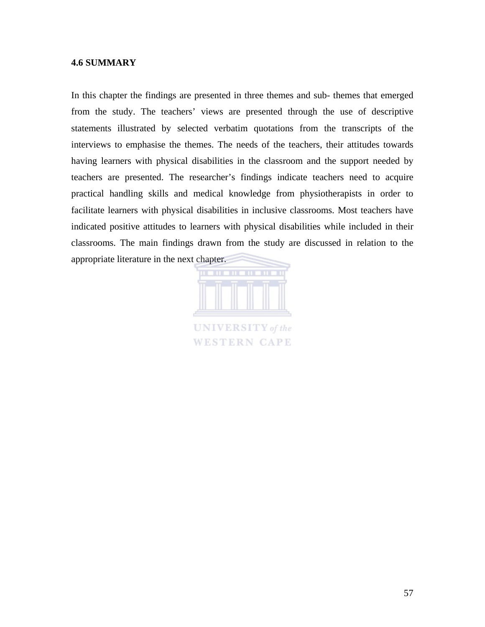#### **4.6 SUMMARY**

In this chapter the findings are presented in three themes and sub- themes that emerged from the study. The teachers' views are presented through the use of descriptive statements illustrated by selected verbatim quotations from the transcripts of the interviews to emphasise the themes. The needs of the teachers, their attitudes towards having learners with physical disabilities in the classroom and the support needed by teachers are presented. The researcher's findings indicate teachers need to acquire practical handling skills and medical knowledge from physiotherapists in order to facilitate learners with physical disabilities in inclusive classrooms. Most teachers have indicated positive attitudes to learners with physical disabilities while included in their classrooms. The main findings drawn from the study are discussed in relation to the appropriate literature in the next chapter.



**WESTERN CAPE**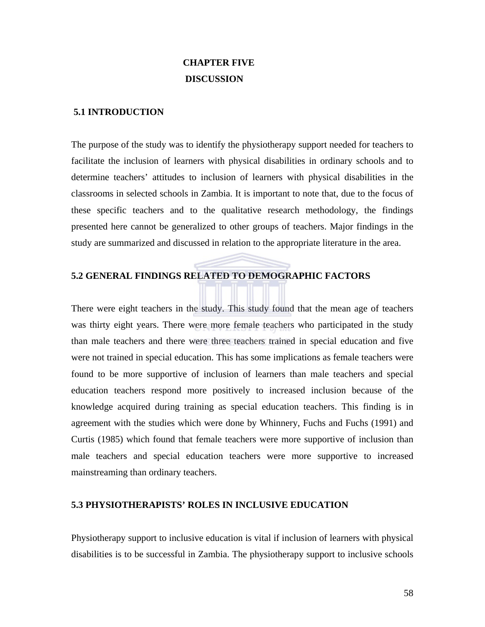## **CHAPTER FIVE DISCUSSION**

#### **5.1 INTRODUCTION**

The purpose of the study was to identify the physiotherapy support needed for teachers to facilitate the inclusion of learners with physical disabilities in ordinary schools and to determine teachers' attitudes to inclusion of learners with physical disabilities in the classrooms in selected schools in Zambia. It is important to note that, due to the focus of these specific teachers and to the qualitative research methodology, the findings presented here cannot be generalized to other groups of teachers. Major findings in the study are summarized and discussed in relation to the appropriate literature in the area.

#### **5.2 GENERAL FINDINGS RELATED TO DEMOGRAPHIC FACTORS**

There were eight teachers in the study. This study found that the mean age of teachers was thirty eight years. There were more female teachers who participated in the study than male teachers and there were three teachers trained in special education and five were not trained in special education. This has some implications as female teachers were found to be more supportive of inclusion of learners than male teachers and special education teachers respond more positively to increased inclusion because of the knowledge acquired during training as special education teachers. This finding is in agreement with the studies which were done by Whinnery, Fuchs and Fuchs (1991) and Curtis (1985) which found that female teachers were more supportive of inclusion than male teachers and special education teachers were more supportive to increased mainstreaming than ordinary teachers.

#### **5.3 PHYSIOTHERAPISTS' ROLES IN INCLUSIVE EDUCATION**

Physiotherapy support to inclusive education is vital if inclusion of learners with physical disabilities is to be successful in Zambia. The physiotherapy support to inclusive schools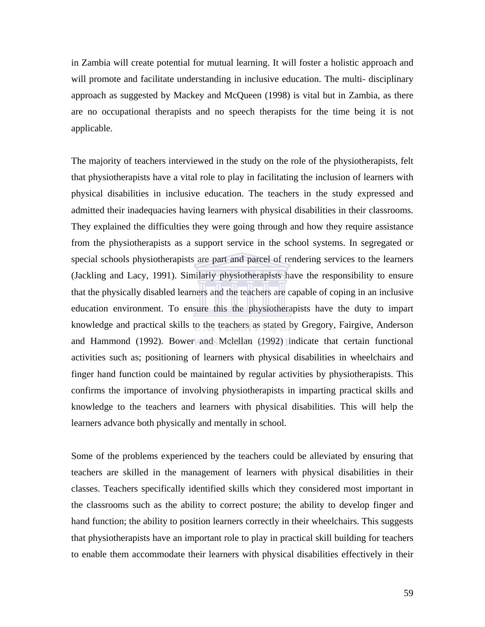in Zambia will create potential for mutual learning. It will foster a holistic approach and will promote and facilitate understanding in inclusive education. The multi- disciplinary approach as suggested by Mackey and McQueen (1998) is vital but in Zambia, as there are no occupational therapists and no speech therapists for the time being it is not applicable.

The majority of teachers interviewed in the study on the role of the physiotherapists, felt that physiotherapists have a vital role to play in facilitating the inclusion of learners with physical disabilities in inclusive education. The teachers in the study expressed and admitted their inadequacies having learners with physical disabilities in their classrooms. They explained the difficulties they were going through and how they require assistance from the physiotherapists as a support service in the school systems. In segregated or special schools physiotherapists are part and parcel of rendering services to the learners (Jackling and Lacy, 1991). Similarly physiotherapists have the responsibility to ensure that the physically disabled learners and the teachers are capable of coping in an inclusive education environment. To ensure this the physiotherapists have the duty to impart knowledge and practical skills to the teachers as stated by Gregory, Fairgive, Anderson and Hammond (1992). Bower and Mclellan (1992) indicate that certain functional activities such as; positioning of learners with physical disabilities in wheelchairs and finger hand function could be maintained by regular activities by physiotherapists. This confirms the importance of involving physiotherapists in imparting practical skills and knowledge to the teachers and learners with physical disabilities. This will help the learners advance both physically and mentally in school.

Some of the problems experienced by the teachers could be alleviated by ensuring that teachers are skilled in the management of learners with physical disabilities in their classes. Teachers specifically identified skills which they considered most important in the classrooms such as the ability to correct posture; the ability to develop finger and hand function; the ability to position learners correctly in their wheelchairs. This suggests that physiotherapists have an important role to play in practical skill building for teachers to enable them accommodate their learners with physical disabilities effectively in their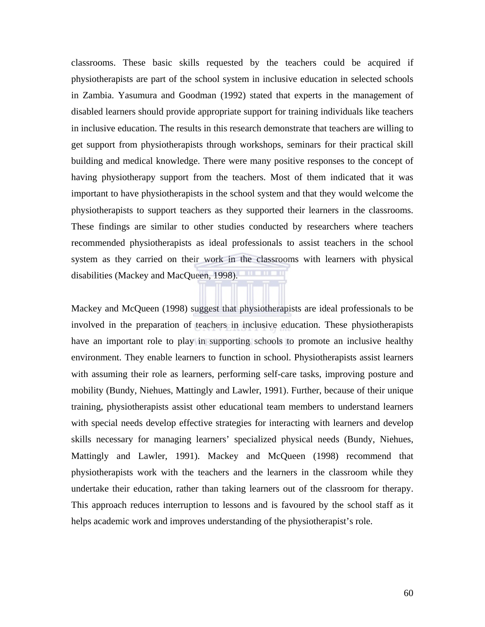classrooms. These basic skills requested by the teachers could be acquired if physiotherapists are part of the school system in inclusive education in selected schools in Zambia. Yasumura and Goodman (1992) stated that experts in the management of disabled learners should provide appropriate support for training individuals like teachers in inclusive education. The results in this research demonstrate that teachers are willing to get support from physiotherapists through workshops, seminars for their practical skill building and medical knowledge. There were many positive responses to the concept of having physiotherapy support from the teachers. Most of them indicated that it was important to have physiotherapists in the school system and that they would welcome the physiotherapists to support teachers as they supported their learners in the classrooms. These findings are similar to other studies conducted by researchers where teachers recommended physiotherapists as ideal professionals to assist teachers in the school system as they carried on their work in the classrooms with learners with physical disabilities (Mackey and MacQueen, 1998).

Mackey and McQueen (1998) suggest that physiotherapists are ideal professionals to be involved in the preparation of teachers in inclusive education. These physiotherapists have an important role to play in supporting schools to promote an inclusive healthy environment. They enable learners to function in school. Physiotherapists assist learners with assuming their role as learners, performing self-care tasks, improving posture and mobility (Bundy, Niehues, Mattingly and Lawler, 1991). Further, because of their unique training, physiotherapists assist other educational team members to understand learners with special needs develop effective strategies for interacting with learners and develop skills necessary for managing learners' specialized physical needs (Bundy, Niehues, Mattingly and Lawler, 1991). Mackey and McQueen (1998) recommend that physiotherapists work with the teachers and the learners in the classroom while they undertake their education, rather than taking learners out of the classroom for therapy. This approach reduces interruption to lessons and is favoured by the school staff as it helps academic work and improves understanding of the physiotherapist's role.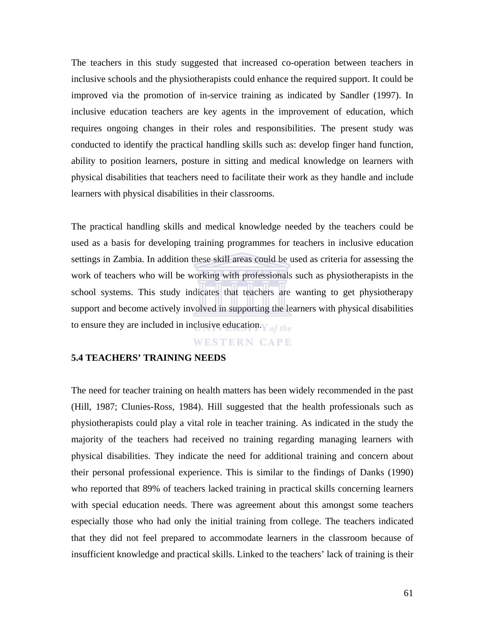The teachers in this study suggested that increased co-operation between teachers in inclusive schools and the physiotherapists could enhance the required support. It could be improved via the promotion of in-service training as indicated by Sandler (1997). In inclusive education teachers are key agents in the improvement of education, which requires ongoing changes in their roles and responsibilities. The present study was conducted to identify the practical handling skills such as: develop finger hand function, ability to position learners, posture in sitting and medical knowledge on learners with physical disabilities that teachers need to facilitate their work as they handle and include learners with physical disabilities in their classrooms.

The practical handling skills and medical knowledge needed by the teachers could be used as a basis for developing training programmes for teachers in inclusive education settings in Zambia. In addition these skill areas could be used as criteria for assessing the work of teachers who will be working with professionals such as physiotherapists in the school systems. This study indicates that teachers are wanting to get physiotherapy support and become actively involved in supporting the learners with physical disabilities to ensure they are included in inclusive education.  $\sigma$  of the

#### **WESTERN CAPE**

#### **5.4 TEACHERS' TRAINING NEEDS**

The need for teacher training on health matters has been widely recommended in the past (Hill, 1987; Clunies-Ross, 1984). Hill suggested that the health professionals such as physiotherapists could play a vital role in teacher training. As indicated in the study the majority of the teachers had received no training regarding managing learners with physical disabilities. They indicate the need for additional training and concern about their personal professional experience. This is similar to the findings of Danks (1990) who reported that 89% of teachers lacked training in practical skills concerning learners with special education needs. There was agreement about this amongst some teachers especially those who had only the initial training from college. The teachers indicated that they did not feel prepared to accommodate learners in the classroom because of insufficient knowledge and practical skills. Linked to the teachers' lack of training is their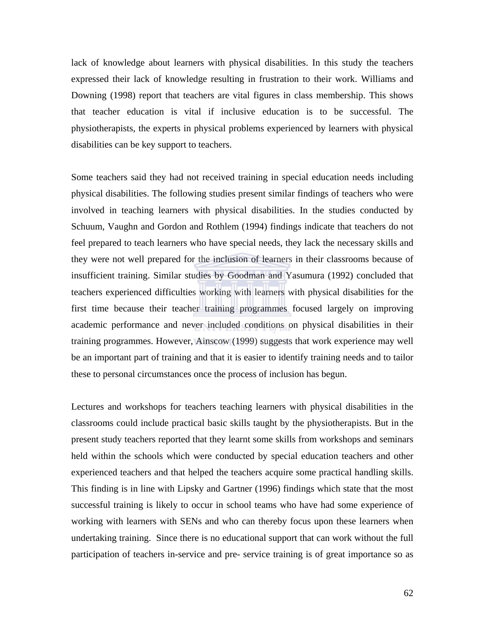lack of knowledge about learners with physical disabilities. In this study the teachers expressed their lack of knowledge resulting in frustration to their work. Williams and Downing (1998) report that teachers are vital figures in class membership. This shows that teacher education is vital if inclusive education is to be successful. The physiotherapists, the experts in physical problems experienced by learners with physical disabilities can be key support to teachers.

Some teachers said they had not received training in special education needs including physical disabilities. The following studies present similar findings of teachers who were involved in teaching learners with physical disabilities. In the studies conducted by Schuum, Vaughn and Gordon and Rothlem (1994) findings indicate that teachers do not feel prepared to teach learners who have special needs, they lack the necessary skills and they were not well prepared for the inclusion of learners in their classrooms because of insufficient training. Similar studies by Goodman and Yasumura (1992) concluded that teachers experienced difficulties working with learners with physical disabilities for the first time because their teacher training programmes focused largely on improving academic performance and never included conditions on physical disabilities in their training programmes. However, Ainscow (1999) suggests that work experience may well be an important part of training and that it is easier to identify training needs and to tailor these to personal circumstances once the process of inclusion has begun.

Lectures and workshops for teachers teaching learners with physical disabilities in the classrooms could include practical basic skills taught by the physiotherapists. But in the present study teachers reported that they learnt some skills from workshops and seminars held within the schools which were conducted by special education teachers and other experienced teachers and that helped the teachers acquire some practical handling skills. This finding is in line with Lipsky and Gartner (1996) findings which state that the most successful training is likely to occur in school teams who have had some experience of working with learners with SENs and who can thereby focus upon these learners when undertaking training. Since there is no educational support that can work without the full participation of teachers in-service and pre- service training is of great importance so as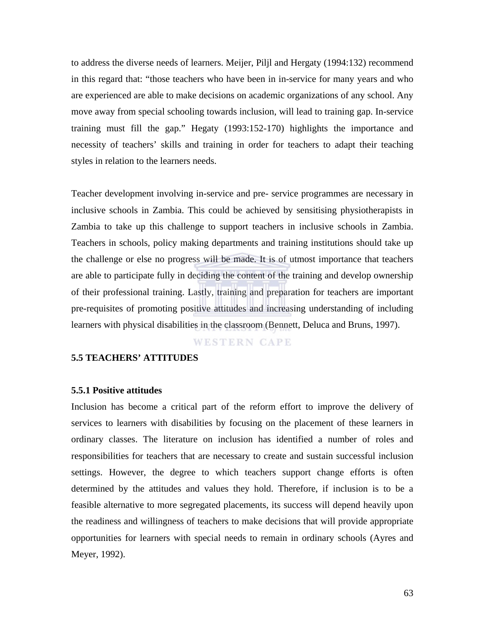to address the diverse needs of learners. Meijer, Piljl and Hergaty (1994:132) recommend in this regard that: "those teachers who have been in in-service for many years and who are experienced are able to make decisions on academic organizations of any school. Any move away from special schooling towards inclusion, will lead to training gap. In-service training must fill the gap." Hegaty (1993:152-170) highlights the importance and necessity of teachers' skills and training in order for teachers to adapt their teaching styles in relation to the learners needs.

Teacher development involving in-service and pre- service programmes are necessary in inclusive schools in Zambia. This could be achieved by sensitising physiotherapists in Zambia to take up this challenge to support teachers in inclusive schools in Zambia. Teachers in schools, policy making departments and training institutions should take up the challenge or else no progress will be made. It is of utmost importance that teachers are able to participate fully in deciding the content of the training and develop ownership of their professional training. Lastly, training and preparation for teachers are important pre-requisites of promoting positive attitudes and increasing understanding of including learners with physical disabilities in the classroom (Bennett, Deluca and Bruns, 1997).

# **WESTERN CAPE**

#### **5.5 TEACHERS' ATTITUDES**

#### **5.5.1 Positive attitudes**

Inclusion has become a critical part of the reform effort to improve the delivery of services to learners with disabilities by focusing on the placement of these learners in ordinary classes. The literature on inclusion has identified a number of roles and responsibilities for teachers that are necessary to create and sustain successful inclusion settings. However, the degree to which teachers support change efforts is often determined by the attitudes and values they hold. Therefore, if inclusion is to be a feasible alternative to more segregated placements, its success will depend heavily upon the readiness and willingness of teachers to make decisions that will provide appropriate opportunities for learners with special needs to remain in ordinary schools (Ayres and Meyer, 1992).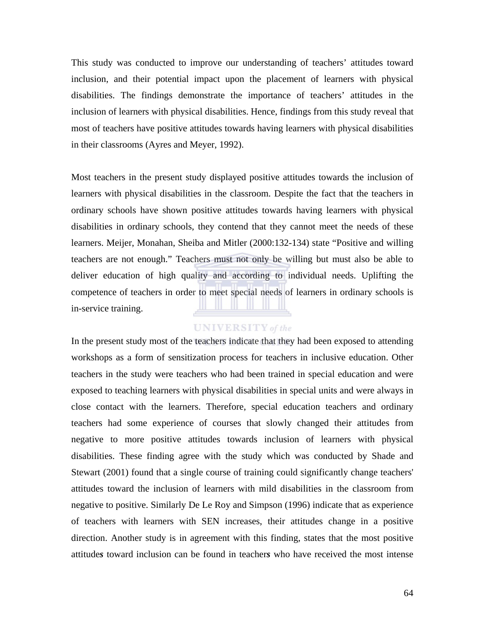This study was conducted to improve our understanding of teachers' attitudes toward inclusion, and their potential impact upon the placement of learners with physical disabilities. The findings demonstrate the importance of teachers' attitudes in the inclusion of learners with physical disabilities. Hence, findings from this study reveal that most of teachers have positive attitudes towards having learners with physical disabilities in their classrooms (Ayres and Meyer, 1992).

Most teachers in the present study displayed positive attitudes towards the inclusion of learners with physical disabilities in the classroom. Despite the fact that the teachers in ordinary schools have shown positive attitudes towards having learners with physical disabilities in ordinary schools, they contend that they cannot meet the needs of these learners. Meijer, Monahan, Sheiba and Mitler (2000:132-134) state "Positive and willing teachers are not enough." Teachers must not only be willing but must also be able to deliver education of high quality and according to individual needs. Uplifting the competence of teachers in order to meet special needs of learners in ordinary schools is in-service training.

# **UNIVERSITY** of the

In the present study most of the teachers indicate that they had been exposed to attending workshops as a form of sensitization process for teachers in inclusive education. Other teachers in the study were teachers who had been trained in special education and were exposed to teaching learners with physical disabilities in special units and were always in close contact with the learners. Therefore, special education teachers and ordinary teachers had some experience of courses that slowly changed their attitudes from negative to more positive attitudes towards inclusion of learners with physical disabilities. These finding agree with the study which was conducted by Shade and Stewart (2001) found that a single course of training could significantly change teachers' attitudes toward the inclusion of learners with mild disabilities in the classroom from negative to positive. Similarly De Le Roy and Simpson (1996) indicate that as experience of teachers with learners with SEN increases, their attitudes change in a positive direction. Another study is in agreement with this finding, states that the most positive attitude*s* toward inclusion can be found in teacher*s* who have received the most intense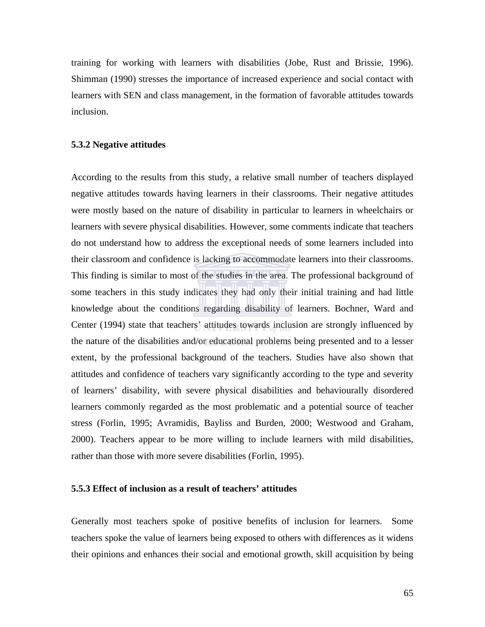training for working with learners with disabilities (Jobe, Rust and Brissie, 1996). Shimman (1990) stresses the importance of increased experience and social contact with learners with SEN and class management, in the formation of favorable attitudes towards inclusion.

#### **5.3.2 Negative attitudes**

According to the results from this study, a relative small number of teachers displayed negative attitudes towards having learners in their classrooms. Their negative attitudes were mostly based on the nature of disability in particular to learners in wheelchairs or learners with severe physical disabilities. However, some comments indicate that teachers do not understand how to address the exceptional needs of some learners included into their classroom and confidence is lacking to accommodate learners into their classrooms. This finding is similar to most of the studies in the area. The professional background of some teachers in this study indicates they had only their initial training and had little knowledge about the conditions regarding disability of learners. Bochner, Ward and Center (1994) state that teachers' attitudes towards inclusion are strongly influenced by the nature of the disabilities and/or educational problems being presented and to a lesser extent, by the professional background of the teachers. Studies have also shown that attitudes and confidence of teachers vary significantly according to the type and severity of learners' disability, with severe physical disabilities and behaviourally disordered learners commonly regarded as the most problematic and a potential source of teacher stress (Forlin, 1995; Avramidis, Bayliss and Burden, 2000; Westwood and Graham, 2000). Teachers appear to be more willing to include learners with mild disabilities, rather than those with more severe disabilities (Forlin, 1995).

## **5.5.3 Effect of inclusion as a result of teachers' attitudes**

Generally most teachers spoke of positive benefits of inclusion for learners. Some teachers spoke the value of learners being exposed to others with differences as it widens their opinions and enhances their social and emotional growth, skill acquisition by being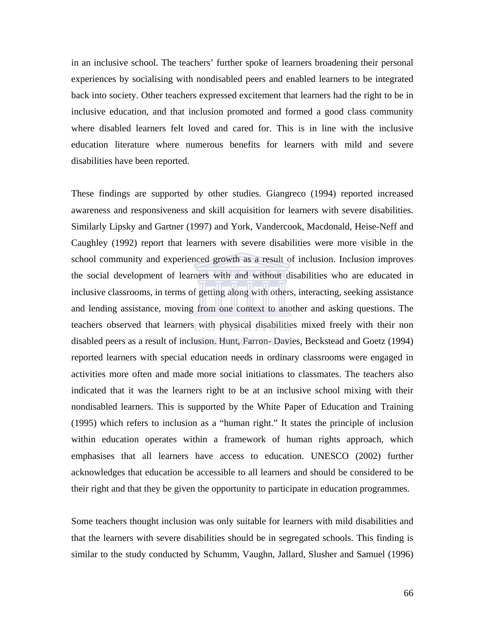in an inclusive school. The teachers' further spoke of learners broadening their personal experiences by socialising with nondisabled peers and enabled learners to be integrated back into society. Other teachers expressed excitement that learners had the right to be in inclusive education, and that inclusion promoted and formed a good class community where disabled learners felt loved and cared for. This is in line with the inclusive education literature where numerous benefits for learners with mild and severe disabilities have been reported.

These findings are supported by other studies. Giangreco (1994) reported increased awareness and responsiveness and skill acquisition for learners with severe disabilities. Similarly Lipsky and Gartner (1997) and York, Vandercook, Macdonald, Heise-Neff and Caughley (1992) report that learners with severe disabilities were more visible in the school community and experienced growth as a result of inclusion. Inclusion improves the social development of learners with and without disabilities who are educated in inclusive classrooms, in terms of getting along with others, interacting, seeking assistance and lending assistance, moving from one context to another and asking questions. The teachers observed that learners with physical disabilities mixed freely with their non disabled peers as a result of inclusion. Hunt, Farron- Davies, Beckstead and Goetz (1994) reported learners with special education needs in ordinary classrooms were engaged in activities more often and made more social initiations to classmates. The teachers also indicated that it was the learners right to be at an inclusive school mixing with their nondisabled learners. This is supported by the White Paper of Education and Training (1995) which refers to inclusion as a "human right." It states the principle of inclusion within education operates within a framework of human rights approach, which emphasises that all learners have access to education. UNESCO (2002) further acknowledges that education be accessible to all learners and should be considered to be their right and that they be given the opportunity to participate in education programmes.

Some teachers thought inclusion was only suitable for learners with mild disabilities and that the learners with severe disabilities should be in segregated schools. This finding is similar to the study conducted by Schumm, Vaughn, Jallard, Slusher and Samuel (1996)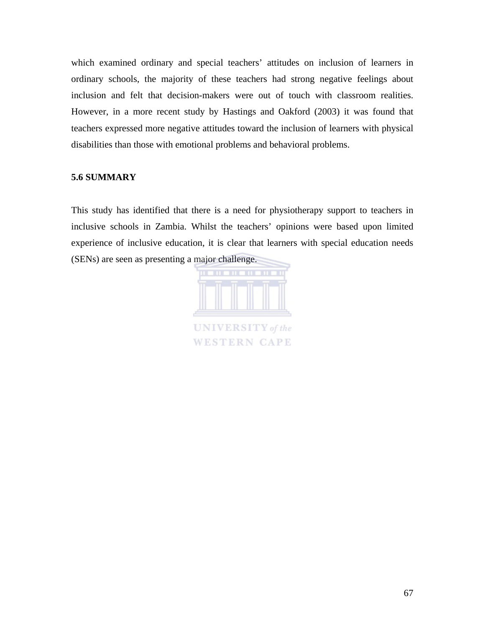which examined ordinary and special teachers' attitudes on inclusion of learners in ordinary schools, the majority of these teachers had strong negative feelings about inclusion and felt that decision-makers were out of touch with classroom realities. However, in a more recent study by Hastings and Oakford (2003) it was found that teachers expressed more negative attitudes toward the inclusion of learners with physical disabilities than those with emotional problems and behavioral problems.

# **5.6 SUMMARY**

This study has identified that there is a need for physiotherapy support to teachers in inclusive schools in Zambia. Whilst the teachers' opinions were based upon limited experience of inclusive education, it is clear that learners with special education needs (SENs) are seen as presenting a major challenge.

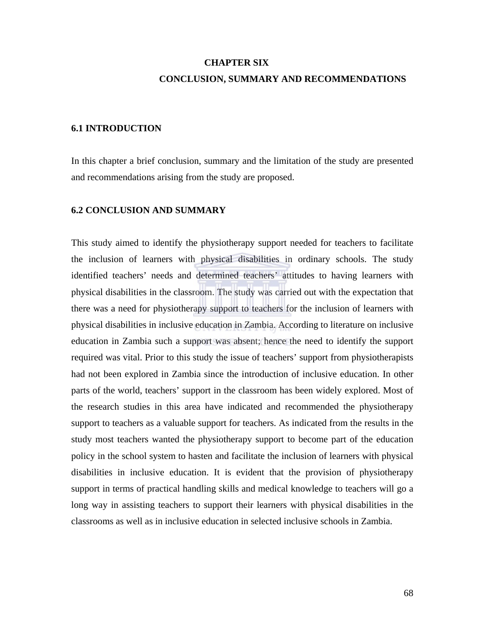# **CHAPTER SIX CONCLUSION, SUMMARY AND RECOMMENDATIONS**

## **6.1 INTRODUCTION**

In this chapter a brief conclusion, summary and the limitation of the study are presented and recommendations arising from the study are proposed.

## **6.2 CONCLUSION AND SUMMARY**

This study aimed to identify the physiotherapy support needed for teachers to facilitate the inclusion of learners with physical disabilities in ordinary schools. The study identified teachers' needs and determined teachers' attitudes to having learners with physical disabilities in the classroom. The study was carried out with the expectation that there was a need for physiotherapy support to teachers for the inclusion of learners with physical disabilities in inclusive education in Zambia. According to literature on inclusive education in Zambia such a support was absent; hence the need to identify the support required was vital. Prior to this study the issue of teachers' support from physiotherapists had not been explored in Zambia since the introduction of inclusive education. In other parts of the world, teachers' support in the classroom has been widely explored. Most of the research studies in this area have indicated and recommended the physiotherapy support to teachers as a valuable support for teachers. As indicated from the results in the study most teachers wanted the physiotherapy support to become part of the education policy in the school system to hasten and facilitate the inclusion of learners with physical disabilities in inclusive education. It is evident that the provision of physiotherapy support in terms of practical handling skills and medical knowledge to teachers will go a long way in assisting teachers to support their learners with physical disabilities in the classrooms as well as in inclusive education in selected inclusive schools in Zambia.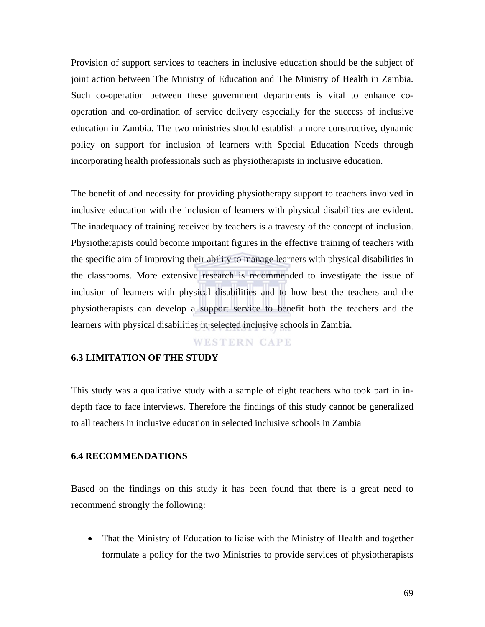Provision of support services to teachers in inclusive education should be the subject of joint action between The Ministry of Education and The Ministry of Health in Zambia. Such co-operation between these government departments is vital to enhance cooperation and co-ordination of service delivery especially for the success of inclusive education in Zambia. The two ministries should establish a more constructive, dynamic policy on support for inclusion of learners with Special Education Needs through incorporating health professionals such as physiotherapists in inclusive education.

The benefit of and necessity for providing physiotherapy support to teachers involved in inclusive education with the inclusion of learners with physical disabilities are evident. The inadequacy of training received by teachers is a travesty of the concept of inclusion. Physiotherapists could become important figures in the effective training of teachers with the specific aim of improving their ability to manage learners with physical disabilities in the classrooms. More extensive research is recommended to investigate the issue of inclusion of learners with physical disabilities and to how best the teachers and the physiotherapists can develop a support service to benefit both the teachers and the learners with physical disabilities in selected inclusive schools in Zambia.

## **WESTERN CAPE**

### **6.3 LIMITATION OF THE STUDY**

This study was a qualitative study with a sample of eight teachers who took part in indepth face to face interviews. Therefore the findings of this study cannot be generalized to all teachers in inclusive education in selected inclusive schools in Zambia

#### **6.4 RECOMMENDATIONS**

Based on the findings on this study it has been found that there is a great need to recommend strongly the following:

• That the Ministry of Education to liaise with the Ministry of Health and together formulate a policy for the two Ministries to provide services of physiotherapists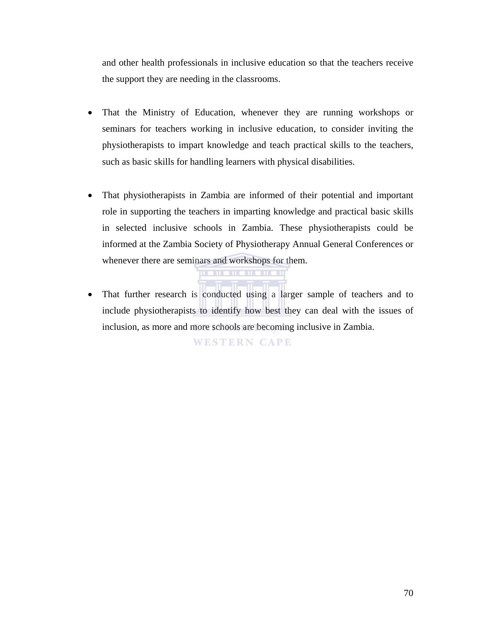and other health professionals in inclusive education so that the teachers receive the support they are needing in the classrooms.

- That the Ministry of Education, whenever they are running workshops or seminars for teachers working in inclusive education, to consider inviting the physiotherapists to impart knowledge and teach practical skills to the teachers, such as basic skills for handling learners with physical disabilities.
- That physiotherapists in Zambia are informed of their potential and important role in supporting the teachers in imparting knowledge and practical basic skills in selected inclusive schools in Zambia. These physiotherapists could be informed at the Zambia Society of Physiotherapy Annual General Conferences or whenever there are seminars and workshops for them.
- That further research is conducted using a larger sample of teachers and to include physiotherapists to identify how best they can deal with the issues of inclusion, as more and more schools are becoming inclusive in Zambia.

**WESTERN CAPE**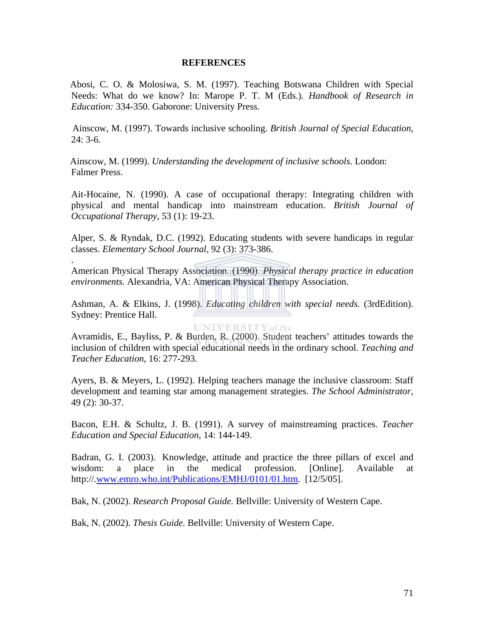### **REFERENCES**

 Abosi, C. O. & Molosiwa, S. M. (1997). Teaching Botswana Children with Special Needs: What do we know? In: Marope P. T. M (Eds.)*. Handbook of Research in Education:* 334-350. Gaborone: University Press.

 Ainscow, M. (1997). Towards inclusive schooling. *British Journal of Special Education,* 24: 3-6.

 Ainscow, M. (1999). *Understanding the development of inclusive schools*. London: Falmer Press.

Ait-Hocaine, N. (1990). A case of occupational therapy: Integrating children with physical and mental handicap into mainstream education. *British Journal of Occupational Therapy,* 53 (1): 19-23.

Alper, S. & Ryndak, D.C. (1992). Educating students with severe handicaps in regular classes. *Elementary School Journal,* 92 (3): 373-386.

American Physical Therapy Association. (1990). *Physical therapy practice in education environments.* Alexandria, VA: American Physical Therapy Association.

.

Ashman, A. & Elkins, J. (1998). *Educating children with special needs.* (3rdEdition). Sydney: Prentice Hall.

**UNIVERSITY** of the

Avramidis, E., Bayliss, P. & Burden, R. (2000). Student teachers' attitudes towards the inclusion of children with special educational needs in the ordinary school. *Teaching and Teacher Education*, 16: 277-293.

Ayers, B. & Meyers, L. (1992). Helping teachers manage the inclusive classroom: Staff development and teaming star among management strategies. *The School Administrator*, 49 (2): 30-37.

Bacon, E.H. & Schultz, J. B. (1991). A survey of mainstreaming practices. *Teacher Education and Special Education,* 14: 144-149.

Badran, G. I. (2003). Knowledge, attitude and practice the three pillars of excel and wisdom: a place in the medical profession. [Online]. Available at http://.www.emro.who.int/Publications/EMHJ/0101/01.htm. [12/5/05].

Bak, N. (2002). *Research Proposal Guide.* Bellville: University of Western Cape.

Bak, N. (2002). *Thesis Guide.* Bellville: University of Western Cape.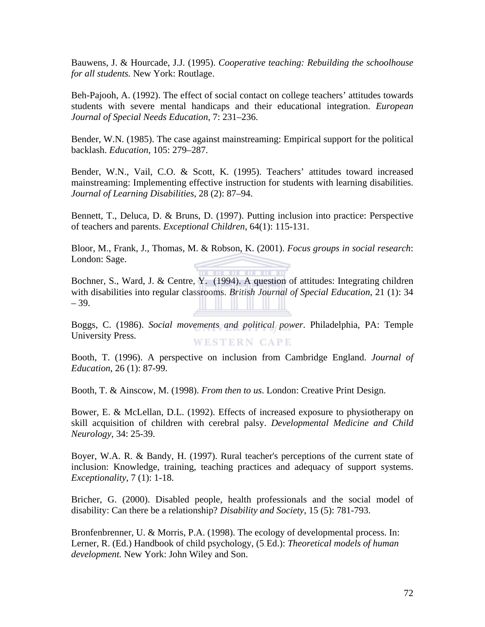Bauwens, J. & Hourcade, J.J. (1995). *Cooperative teaching: Rebuilding the schoolhouse for all students.* New York: Routlage.

Beh-Pajooh, A. (1992). The effect of social contact on college teachers' attitudes towards students with severe mental handicaps and their educational integration. *European Journal of Special Needs Education*, 7: 231–236.

Bender, W.N. (1985). The case against mainstreaming: Empirical support for the political backlash. *Education*, 105: 279–287.

Bender, W.N., Vail, C.O. & Scott, K. (1995). Teachers' attitudes toward increased mainstreaming: Implementing effective instruction for students with learning disabilities. *Journal of Learning Disabilities*, 28 (2): 87–94.

Bennett, T., Deluca, D. & Bruns, D. (1997). Putting inclusion into practice: Perspective of teachers and parents. *Exceptional Children*, 64(1): 115-131.

Bloor, M., Frank, J., Thomas, M. & Robson, K. (2001). *Focus groups in social research*: London: Sage.

*<u>Property and the second property and the second property and the second property and the second property and the second property and property and property and property and property and property and property and property*</u>

Bochner, S., Ward, J. & Centre, Y. (1994). A question of attitudes: Integrating children with disabilities into regular classrooms. *British Journal of Special Education*, 21 (1): 34 – 39.

Boggs, C. (1986). *Social movements and political power*. Philadelphia, PA: Temple University Press. **WESTERN CAPE** 

Booth, T. (1996). A perspective on inclusion from Cambridge England. *Journal of Education*, 26 (1): 87-99.

Booth, T. & Ainscow, M. (1998). *From then to us*. London: Creative Print Design.

Bower, E. & McLellan, D.L. (1992). Effects of increased exposure to physiotherapy on skill acquisition of children with cerebral palsy. *Developmental Medicine and Child Neurology*, 34: 25-39.

Boyer, W.A. R. & Bandy, H. (1997). Rural teacher's perceptions of the current state of inclusion: Knowledge, training, teaching practices and adequacy of support systems. *Exceptionality*, 7 (1): 1-18.

Bricher, G. (2000). Disabled people, health professionals and the social model of disability: Can there be a relationship? *Disability and Society*, 15 (5): 781-793.

Bronfenbrenner, U. & Morris, P.A. (1998). The ecology of developmental process. In: Lerner, R. (Ed.) Handbook of child psychology, (5. Ed.): *Theoretical models of human development.* New York: John Wiley and Son.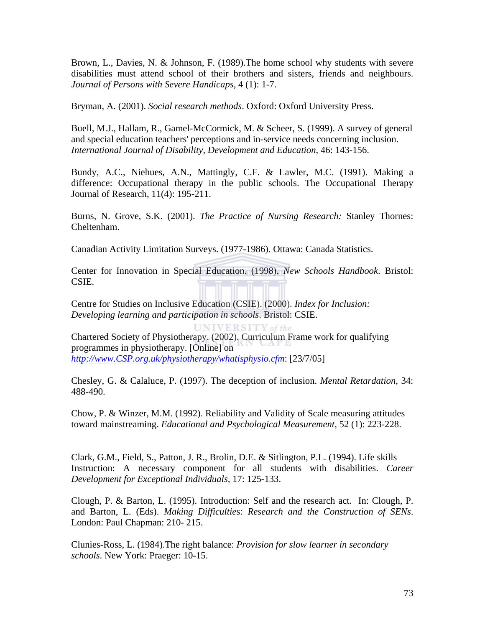Brown, L., Davies, N. & Johnson, F. (1989).The home school why students with severe disabilities must attend school of their brothers and sisters, friends and neighbours. *Journal of Persons with Severe Handicaps,* 4 (1): 1-7.

Bryman, A. (2001). *Social research methods*. Oxford: Oxford University Press.

Buell, M.J., Hallam, R., Gamel-McCormick, M. & Scheer, S. (1999). A survey of general and special education teachers' perceptions and in-service needs concerning inclusion. *International Journal of Disability, Development and Education*, 46: 143-156.

Bundy, A.C., Niehues, A.N., Mattingly, C.F. & Lawler, M.C. (1991). Making a difference: Occupational therapy in the public schools. The Occupational Therapy Journal of Research, 11(4): 195-211.

Burns, N. Grove, S.K. (2001). *The Practice of Nursing Research:* Stanley Thornes: Cheltenham.

Canadian Activity Limitation Surveys. (1977-1986). Ottawa: Canada Statistics.

Center for Innovation in Special Education. (1998). *New Schools Handbook*. Bristol: CSIE.

Centre for Studies on Inclusive Education (CSIE). (2000). *Index for Inclusion: Developing learning and participation in schools*. Bristol: CSIE.

**UNIVERSITY** of the Chartered Society of Physiotherapy. (2002). Curriculum Frame work for qualifying programmes in physiotherapy. [Online] on *http://www.CSP.org.uk/physiotherapy/whatisphysio.cfm*: [23/7/05]

Chesley, G. & Calaluce, P. (1997). The deception of inclusion. *Mental Retardation*, 34: 488-490.

Chow, P. & Winzer, M.M. (1992). Reliability and Validity of Scale measuring attitudes toward mainstreaming. *Educational and Psychological Measurement*, 52 (1): 223-228.

Clark, G.M., Field, S., Patton, J. R., Brolin, D.E. & Sitlington, P.L. (1994). Life skills Instruction: A necessary component for all students with disabilities. *Career Development for Exceptional Individuals,* 17: 125-133.

Clough, P. & Barton, L. (1995). Introduction: Self and the research act. In: Clough, P. and Barton, L. (Eds). *Making Difficultie*s: *Research and the Construction of SENs*. London: Paul Chapman: 210- 215.

Clunies-Ross, L. (1984).The right balance: *Provision for slow learner in secondary schools*. New York: Praeger: 10-15.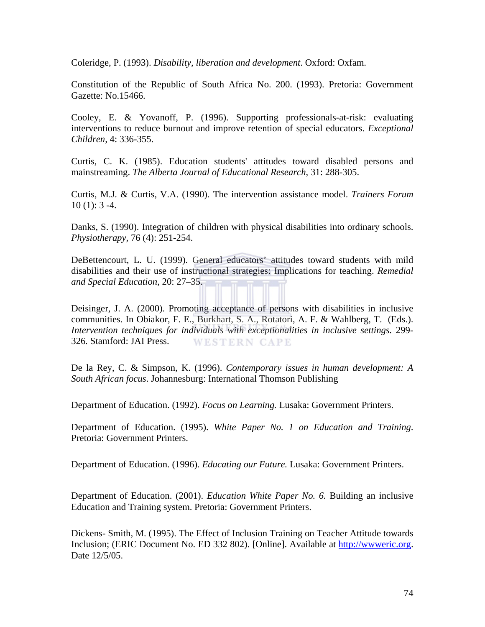Coleridge, P. (1993). *Disability, liberation and development*. Oxford: Oxfam.

Constitution of the Republic of South Africa No. 200. (1993). Pretoria: Government Gazette: No.15466.

Cooley, E. & Yovanoff, P. (1996). Supporting professionals-at-risk: evaluating interventions to reduce burnout and improve retention of special educators. *Exceptional Children,* 4: 336-355.

Curtis, C. K. (1985). Education students' attitudes toward disabled persons and mainstreaming. *The Alberta Journal of Educational Research*, 31: 288-305.

Curtis, M.J. & Curtis, V.A. (1990). The intervention assistance model. *Trainers Forum*  $10(1): 3-4.$ 

Danks, S. (1990). Integration of children with physical disabilities into ordinary schools. *Physiotherapy,* 76 (4): 251-254.

DeBettencourt, L. U. (1999). General educators' attitudes toward students with mild disabilities and their use of instructional strategies: Implications for teaching. *Remedial and Special Education,* 20: 27–35.

Deisinger, J. A. (2000). Promoting acceptance of persons with disabilities in inclusive communities. In Obiakor, F. E., Burkhart, S. A., Rotatori, A. F. & Wahlberg, T. (Eds.). *Intervention techniques for individuals with exceptionalities in inclusive settings.* 299- 326*.* Stamford: JAI Press. **WESTERN CAPE** 

De la Rey, C. & Simpson, K. (1996). *Contemporary issues in human development: A South African focus*. Johannesburg: International Thomson Publishing

Department of Education. (1992). *Focus on Learning.* Lusaka: Government Printers.

Department of Education. (1995). *White Paper No. 1 on Education and Training*. Pretoria: Government Printers.

Department of Education. (1996). *Educating our Future.* Lusaka: Government Printers.

Department of Education. (2001). *Education White Paper No. 6.* Building an inclusive Education and Training system. Pretoria: Government Printers.

Dickens- Smith, M. (1995). The Effect of Inclusion Training on Teacher Attitude towards Inclusion; (ERIC Document No. ED 332 802). [Online]. Available at http://wwweric.org. Date 12/5/05.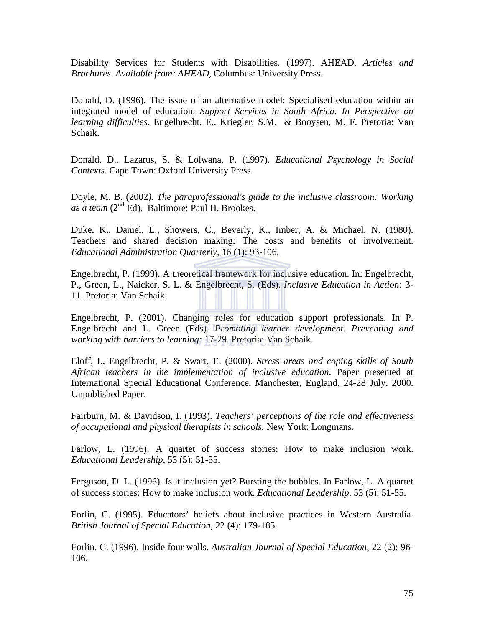Disability Services for Students with Disabilities. (1997). AHEAD. *Articles and Brochures. Available from: AHEAD,* Columbus: University Press.

Donald, D. (1996). The issue of an alternative model: Specialised education within an integrated model of education. *Support Services in South Africa*. *In Perspective on learning difficulties.* Engelbrecht, E., Kriegler, S.M. & Booysen, M. F. Pretoria: Van Schaik.

Donald, D., Lazarus, S. & Lolwana, P. (1997). *Educational Psychology in Social Contexts*. Cape Town: Oxford University Press.

Doyle, M. B. (2002*). The paraprofessional's guide to the inclusive classroom: Working as a team* (2nd Ed). Baltimore: Paul H. Brookes.

Duke, K., Daniel, L., Showers, C., Beverly, K., Imber, A. & Michael, N. (1980). Teachers and shared decision making: The costs and benefits of involvement. *Educational Administration Quarterly,* 16 (1): 93-106.

Engelbrecht, P. (1999). A theoretical framework for inclusive education. In: Engelbrecht, P., Green, L., Naicker, S. L. & Engelbrecht, S. (Eds). *Inclusive Education in Action:* 3- 11. Pretoria: Van Schaik.

Engelbrecht, P. (2001). Changing roles for education support professionals. In P. Engelbrecht and L. Green (Eds). *Promoting learner development. Preventing and working with barriers to learning:* 17-29. Pretoria: Van Schaik.

Eloff, I., Engelbrecht, P. & Swart, E. (2000). *Stress areas and coping skills of South African teachers in the implementation of inclusive education*. Paper presented at International Special Educational Conference**.** Manchester, England. 24-28 July, 2000. Unpublished Paper.

Fairburn, M. & Davidson, I. (1993). *Teachers' perceptions of the role and effectiveness of occupational and physical therapists in schools.* New York: Longmans.

Farlow, L. (1996). A quartet of success stories: How to make inclusion work. *Educational Leadership*, 53 (5): 51-55.

Ferguson, D. L. (1996). Is it inclusion yet? Bursting the bubbles. In Farlow, L. A quartet of success stories: How to make inclusion work. *Educational Leadership*, 53 (5): 51-55.

Forlin, C. (1995). Educators' beliefs about inclusive practices in Western Australia. *British Journal of Special Education,* 22 (4): 179-185.

Forlin, C. (1996). Inside four walls. *Australian Journal of Special Education,* 22 (2): 96- 106.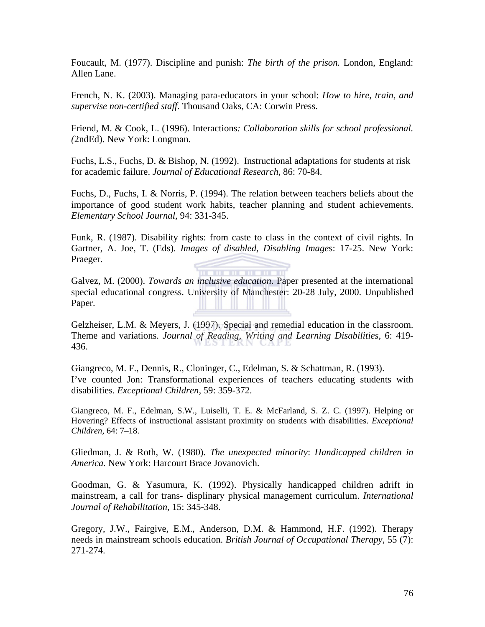Foucault, M. (1977). Discipline and punish: *The birth of the prison.* London, England: Allen Lane.

French, N. K. (2003). Managing para-educators in your school: *How to hire, train, and supervise non-certified staff*. Thousand Oaks, CA: Corwin Press.

Friend, M. & Cook, L. (1996). Interactions*: Collaboration skills for school professional. (*2ndEd). New York: Longman.

Fuchs, L.S., Fuchs, D. & Bishop, N. (1992). Instructional adaptations for students at risk for academic failure. *Journal of Educational Research*, 86: 70-84.

Fuchs, D., Fuchs, I. & Norris, P. (1994). The relation between teachers beliefs about the importance of good student work habits, teacher planning and student achievements. *Elementary School Journal,* 94: 331-345.

Funk, R. (1987). Disability rights: from caste to class in the context of civil rights. In Gartner, A. Joe, T. (Eds). *Images of disabled, Disabling Image*s: 17-25. New York: Praeger.

Galvez, M. (2000). *Towards an inclusive education*. Paper presented at the international special educational congress. University of Manchester: 20-28 July, 2000. Unpublished Paper.

. . . . . . . . . . .

Gelzheiser, L.M. & Meyers, J. (1997). Special and remedial education in the classroom. Theme and variations. *Journal of Reading, Writing and Learning Disabilities,* 6: 419- 436.

Giangreco, M. F., Dennis, R., Cloninger, C., Edelman, S. & Schattman, R. (1993). I've counted Jon: Transformational experiences of teachers educating students with disabilities. *Exceptional Children,* 59: 359-372.

Giangreco, M. F., Edelman, S.W., Luiselli, T. E. & McFarland, S. Z. C. (1997). Helping or Hovering? Effects of instructional assistant proximity on students with disabilities. *Exceptional Children,* 64: 7–18.

Gliedman, J. & Roth, W. (1980). *The unexpected minority*: *Handicapped children in America.* New York: Harcourt Brace Jovanovich.

Goodman, G. & Yasumura, K. (1992). Physically handicapped children adrift in mainstream, a call for trans- displinary physical management curriculum. *International Journal of Rehabilitation*, 15: 345-348.

Gregory, J.W., Fairgive, E.M., Anderson, D.M. & Hammond, H.F. (1992). Therapy needs in mainstream schools education. *British Journal of Occupational Therapy,* 55 (7): 271-274.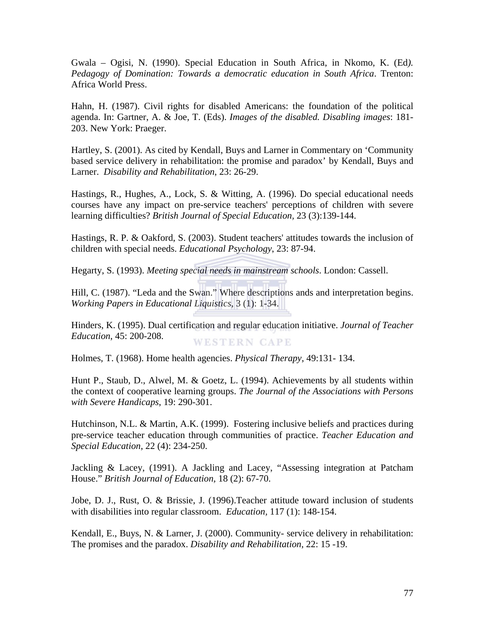Gwala – Ogisi, N. (1990). Special Education in South Africa, in Nkomo, K. (Ed*). Pedagogy of Domination: Towards a democratic education in South Africa*. Trenton: Africa World Press.

Hahn, H. (1987). Civil rights for disabled Americans: the foundation of the political agenda. In: Gartner, A. & Joe, T. (Eds). *Images of the disabled. Disabling images*: 181- 203. New York: Praeger.

Hartley, S. (2001). As cited by Kendall, Buys and Larner in Commentary on 'Community based service delivery in rehabilitation: the promise and paradox' by Kendall, Buys and Larner. *Disability and Rehabilitation*, 23: 26-29.

Hastings, R., Hughes, A., Lock, S. & Witting, A. (1996). Do special educational needs courses have any impact on pre-service teachers' perceptions of children with severe learning difficulties? *British Journal of Special Education,* 23 (3):139-144.

Hastings, R. P. & Oakford, S. (2003). Student teachers' attitudes towards the inclusion of children with special needs. *Educational Psychology*, 23: 87-94.

Hegarty, S. (1993). *Meeting special needs in mainstream schools*. London: Cassell.

Hill, C. (1987). "Leda and the Swan." Where descriptions ands and interpretation begins. *Working Papers in Educational Liquistics*, 3 (1): 1-34.

Hinders, K. (1995). Dual certification and regular education initiative. *Journal of Teacher Education*, 45: 200-208. **WESTERN CAPE** 

Holmes, T. (1968). Home health agencies. *Physical Therapy*, 49:131- 134.

Hunt P., Staub, D., Alwel, M. & Goetz, L. (1994). Achievements by all students within the context of cooperative learning groups. *The Journal of the Associations with Persons with Severe Handicaps*, 19: 290-301.

Hutchinson, N.L. & Martin, A.K. (1999). Fostering inclusive beliefs and practices during pre-service teacher education through communities of practice. *Teacher Education and Special Education*, 22 (4): 234-250.

Jackling & Lacey, (1991). A Jackling and Lacey, "Assessing integration at Patcham House." *British Journal of Education,* 18 (2): 67-70.

Jobe, D. J., Rust, O. & Brissie, J. (1996).Teacher attitude toward inclusion of students with disabilities into regular classroom. *Education,* 117 (1): 148-154.

Kendall, E., Buys, N. & Larner, J. (2000). Community- service delivery in rehabilitation: The promises and the paradox. *Disability and Rehabilitation*, 22: 15 -19.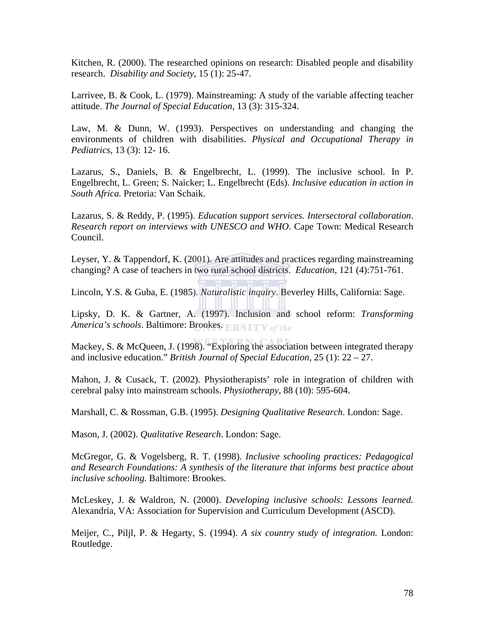Kitchen, R. (2000). The researched opinions on research: Disabled people and disability research. *Disability and Society*, 15 (1): 25-47.

Larrivee, B. & Cook, L. (1979). Mainstreaming: A study of the variable affecting teacher attitude. *The Journal of Special Education,* 13 (3): 315-324.

Law, M. & Dunn, W. (1993). Perspectives on understanding and changing the environments of children with disabilities. *Physical and Occupational Therapy in Pediatrics,* 13 (3): 12- 16.

Lazarus, S., Daniels, B. & Engelbrecht, L. (1999). The inclusive school. In P. Engelbrecht, L. Green; S. Naicker; L. Engelbrecht (Eds). *Inclusive education in action in South Africa.* Pretoria: Van Schaik.

Lazarus, S. & Reddy, P. (1995). *Education support services. Intersectoral collaboration*. *Research report on interviews with UNESCO and WHO*. Cape Town: Medical Research Council.

Leyser, Y. & Tappendorf, K. (2001). Are attitudes and practices regarding mainstreaming changing? A case of teachers in two rural school districts. *Education,* 121 (4):751-761.

Lincoln, Y.S. & Guba, E. (1985). *Naturalistic inquiry*. Beverley Hills, California: Sage.

Lipsky, D. K. & Gartner, A. (1997). Inclusion and school reform: *Transforming America's schools*. Baltimore: Brookes. **ERSITY** of the

Mackey, S. & McQueen, J. (1998). "Exploring the association between integrated therapy and inclusive education." *British Journal of Special Education,* 25 (1): 22 – 27.

Mahon, J. & Cusack, T. (2002). Physiotherapists' role in integration of children with cerebral palsy into mainstream schools. *Physiotherapy,* 88 (10): 595-604.

Marshall, C. & Rossman, G.B. (1995). *Designing Qualitative Research*. London: Sage.

Mason, J. (2002). *Qualitative Research*. London: Sage.

McGregor, G. & Vogelsberg, R. T. (1998). *Inclusive schooling practices: Pedagogical and Research Foundations: A synthesis of the literature that informs best practice about inclusive schooling.* Baltimore: Brookes.

McLeskey, J. & Waldron, N. (2000). *Developing inclusive schools: Lessons learned.* Alexandria, VA: Association for Supervision and Curriculum Development (ASCD).

Meijer, C., Piljl, P. & Hegarty, S. (1994). *A six country study of integration.* London: Routledge.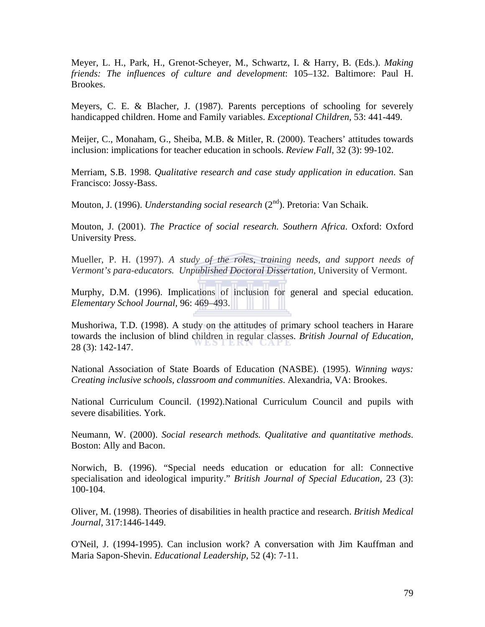Meyer, L. H., Park, H., Grenot-Scheyer, M., Schwartz, I. & Harry, B. (Eds.). *Making friends: The influences of culture and development*: 105–132. Baltimore: Paul H. Brookes.

Meyers, C. E. & Blacher, J. (1987). Parents perceptions of schooling for severely handicapped children. Home and Family variables. *Exceptional Children*, 53: 441-449.

Meijer, C., Monaham, G., Sheiba, M.B. & Mitler, R. (2000). Teachers' attitudes towards inclusion: implications for teacher education in schools. *Review Fall,* 32 (3): 99-102.

Merriam, S.B. 1998. *Qualitative research and case study application in education*. San Francisco: Jossy-Bass.

Mouton, J. (1996). *Understanding social research* (2nd). Pretoria: Van Schaik.

Mouton, J. (2001). *The Practice of social research. Southern Africa*. Oxford: Oxford University Press.

Mueller, P. H. (1997). *A study of the roles, training needs, and support needs of Vermont's para-educators. Unpublished Doctoral Dissertation,* University of Vermont.

Murphy, D.M. (1996). Implications of inclusion for general and special education. *Elementary School Journal,* 96: 469–493.

Mushoriwa, T.D. (1998). A study on the attitudes of primary school teachers in Harare towards the inclusion of blind children in regular classes. *British Journal of Education,* 28 (3): 142-147.

National Association of State Boards of Education (NASBE). (1995). *Winning ways: Creating inclusive schools, classroom and communities*. Alexandria, VA: Brookes.

National Curriculum Council. (1992).National Curriculum Council and pupils with severe disabilities. York.

Neumann, W. (2000). *Social research methods. Qualitative and quantitative methods*. Boston: Ally and Bacon.

Norwich, B. (1996). "Special needs education or education for all: Connective specialisation and ideological impurity." *British Journal of Special Education,* 23 (3): 100-104.

Oliver, M. (1998). Theories of disabilities in health practice and research. *British Medical Journal,* 317:1446-1449.

O'Neil, J. (1994-1995). Can inclusion work? A conversation with Jim Kauffman and Maria Sapon-Shevin. *Educational Leadership*, 52 (4): 7-11.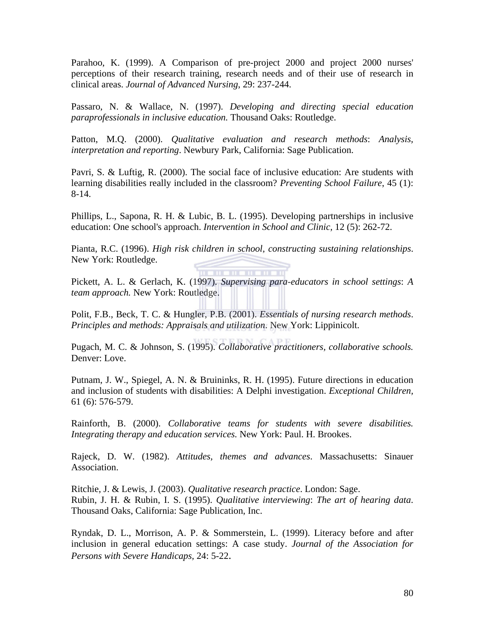Parahoo, K. (1999). A Comparison of pre-project 2000 and project 2000 nurses' perceptions of their research training, research needs and of their use of research in clinical areas. *Journal of Advanced Nursing*, 29: 237-244.

Passaro, N. & Wallace, N. (1997). *Developing and directing special education paraprofessionals in inclusive education.* Thousand Oaks: Routledge.

Patton, M.Q. (2000). *Qualitative evaluation and research methods*: *Analysis, interpretation and reporting*. Newbury Park, California: Sage Publication.

Pavri, S. & Luftig, R. (2000). The social face of inclusive education: Are students with learning disabilities really included in the classroom? *Preventing School Failure*, 45 (1): 8-14.

Phillips, L., Sapona, R. H. & Lubic, B. L. (1995). Developing partnerships in inclusive education: One school's approach. *Intervention in School and Clinic,* 12 (5): 262-72.

Pianta, R.C. (1996). *High risk children in school, constructing sustaining relationships*. New York: Routledge.

. . . . . . . . . . Pickett, A. L. & Gerlach, K. (1997). *Supervising para-educators in school settings*: *A team approach.* New York: Routledge.

Polit, F.B., Beck, T. C. & Hungler, P.B. (2001). *Essentials of nursing research methods*. *Principles and methods: Appraisals and utilization*. New York: Lippinicolt.

Pugach, M. C. & Johnson, S. (1995). *Collaborative practitioners, collaborative schools.*  Denver: Love.

Putnam, J. W., Spiegel, A. N. & Bruininks, R. H. (1995). Future directions in education and inclusion of students with disabilities: A Delphi investigation. *Exceptional Children,*  61 (6): 576-579.

Rainforth, B. (2000). *Collaborative teams for students with severe disabilities. Integrating therapy and education services.* New York: Paul. H. Brookes.

Rajeck, D. W. (1982). *Attitudes, themes and advances*. Massachusetts: Sinauer Association.

Ritchie, J. & Lewis, J. (2003). *Qualitative research practice*. London: Sage. Rubin, J. H. & Rubin, I. S. (1995). *Qualitative interviewing*: *The art of hearing data*. Thousand Oaks, California: Sage Publication, Inc.

Ryndak, D. L., Morrison, A. P. & Sommerstein, L. (1999). Literacy before and after inclusion in general education settings: A case study. *Journal of the Association for Persons with Severe Handicaps,* 24: 5-22.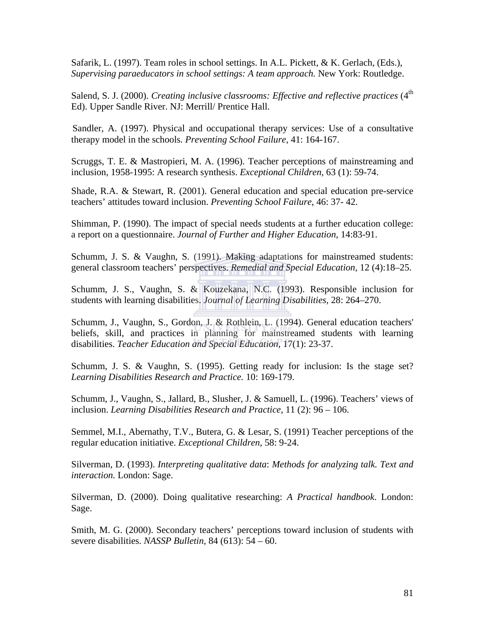Safarik, L. (1997). Team roles in school settings. In A.L. Pickett, & K. Gerlach, (Eds.), *Supervising paraeducators in school settings: A team approach.* New York: Routledge.

Salend, S. J. (2000). *Creating inclusive classrooms: Effective and reflective practices* (4<sup>th</sup>) Ed). Upper Sandle River. NJ: Merrill/ Prentice Hall.

 Sandler, A. (1997). Physical and occupational therapy services: Use of a consultative therapy model in the schools*. Preventing School Failure*, 41: 164-167.

Scruggs, T. E. & Mastropieri, M. A. (1996). Teacher perceptions of mainstreaming and inclusion, 1958-1995: A research synthesis. *Exceptional Children,* 63 (1): 59-74.

Shade, R.A. & Stewart, R. (2001). General education and special education pre-service teachers' attitudes toward inclusion. *Preventing School Failure*, 46: 37- 42.

Shimman, P. (1990). The impact of special needs students at a further education college: a report on a questionnaire. *Journal of Further and Higher Education*, 14:83-91.

Schumm, J. S. & Vaughn, S. (1991). Making adaptations for mainstreamed students: general classroom teachers' perspectives. *Remedial and Special Education,* 12 (4):18–25.

Schumm, J. S., Vaughn, S. & Kouzekana, N.C. (1993). Responsible inclusion for students with learning disabilities. *Journal of Learning Disabilities,* 28: 264–270.

Schumm, J., Vaughn, S., Gordon, J. & Rothlein, L. (1994). General education teachers' beliefs, skill, and practices in planning for mainstreamed students with learning disabilities. *Teacher Education and Special Education*, 17(1): 23-37.

Schumm, J. S. & Vaughn, S. (1995). Getting ready for inclusion: Is the stage set? *Learning Disabilities Research and Practice.* 10: 169-179.

Schumm, J., Vaughn, S., Jallard, B., Slusher, J. & Samuell, L. (1996). Teachers' views of inclusion. *Learning Disabilities Research and Practice,* 11 (2): 96 – 106.

Semmel, M.I., Abernathy, T.V., Butera, G. & Lesar, S. (1991) Teacher perceptions of the regular education initiative. *Exceptional Children,* 58: 9-24.

Silverman, D. (1993). *Interpreting qualitative data*: *Methods for analyzing talk. Text and interaction.* London: Sage.

Silverman, D. (2000). Doing qualitative researching: *A Practical handbook*. London: Sage.

Smith, M. G. (2000). Secondary teachers' perceptions toward inclusion of students with severe disabilities. *NASSP Bulletin,* 84 (613): 54 – 60.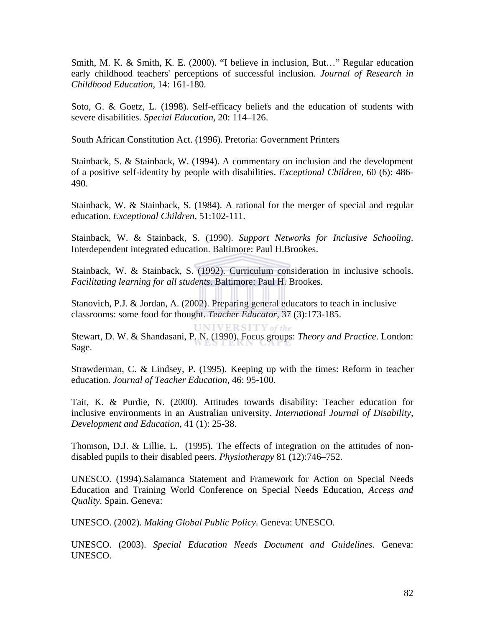Smith, M. K. & Smith, K. E. (2000). "I believe in inclusion, But…" Regular education early childhood teachers' perceptions of successful inclusion. *Journal of Research in Childhood Education,* 14: 161-180.

Soto, G. & Goetz, L. (1998). Self-efficacy beliefs and the education of students with severe disabilities. *Special Education,* 20: 114–126.

South African Constitution Act. (1996). Pretoria: Government Printers

Stainback, S. & Stainback, W. (1994). A commentary on inclusion and the development of a positive self-identity by people with disabilities. *Exceptional Children*, 60 (6): 486- 490.

Stainback, W. & Stainback, S. (1984). A rational for the merger of special and regular education. *Exceptional Children,* 51:102-111.

Stainback, W. & Stainback, S. (1990). *Support Networks for Inclusive Schooling*. Interdependent integrated education. Baltimore: Paul H.Brookes.

Stainback, W. & Stainback, S. (1992). Curriculum consideration in inclusive schools. *Facilitating learning for all students*. Baltimore: Paul H. Brookes.

Stanovich, P.J. & Jordan, A. (2002). Preparing general educators to teach in inclusive classrooms: some food for thought. *Teacher Educator,* 37 (3):173-185.

UNIVERSITY of the Stewart, D. W. & Shandasani, P. N. (1990). Focus groups: *Theory and Practice*. London: Sage.

Strawderman, C. & Lindsey, P. (1995). Keeping up with the times: Reform in teacher education. *Journal of Teacher Education,* 46: 95-100.

Tait, K. & Purdie, N. (2000). Attitudes towards disability: Teacher education for inclusive environments in an Australian university. *International Journal of Disability, Development and Education,* 41 (1): 25-38.

Thomson, D.J. & Lillie, L. (1995). The effects of integration on the attitudes of nondisabled pupils to their disabled peers. *Physiotherapy* 81 **(**12):746–752.

UNESCO. (1994).Salamanca Statement and Framework for Action on Special Needs Education and Training World Conference on Special Needs Education, *Access and Quality.* Spain. Geneva:

UNESCO. (2002). *Making Global Public Policy*. Geneva: UNESCO.

UNESCO. (2003). *Special Education Needs Document and Guidelines*. Geneva: UNESCO.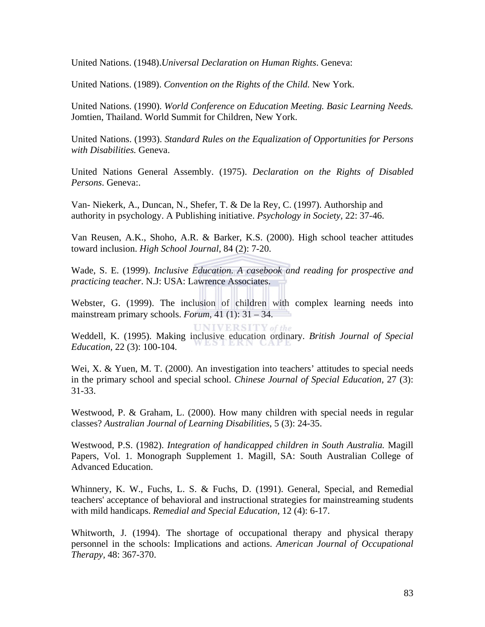United Nations. (1948).*Universal Declaration on Human Rights*. Geneva:

United Nations. (1989). *Convention on the Rights of the Child.* New York.

United Nations. (1990). *World Conference on Education Meeting. Basic Learning Needs.*  Jomtien, Thailand. World Summit for Children, New York.

United Nations. (1993). *Standard Rules on the Equalization of Opportunities for Persons with Disabilities.* Geneva.

United Nations General Assembly. (1975). *Declaration on the Rights of Disabled Persons*. Geneva:.

Van- Niekerk, A., Duncan, N., Shefer, T. & De la Rey, C. (1997). Authorship and authority in psychology. A Publishing initiative. *Psychology in Society,* 22: 37-46.

Van Reusen, A.K., Shoho, A.R. & Barker, K.S. (2000). High school teacher attitudes toward inclusion. *High School Journal,* 84 (2): 7-20.

Wade, S. E. (1999). *Inclusive Education*. *A casebook and reading for prospective and practicing teacher*. N.J: USA: Lawrence Associates.

Webster, G. (1999). The inclusion of children with complex learning needs into mainstream primary schools. *Forum*, 41 (1): 31 – 34.

**UNIVERSITY** of the Weddell, K. (1995). Making inclusive education ordinary. *British Journal of Special Education,* 22 (3): 100-104.

Wei, X. & Yuen, M. T. (2000). An investigation into teachers' attitudes to special needs in the primary school and special school. *Chinese Journal of Special Education,* 27 (3): 31-33.

Westwood, P. & Graham, L. (2000). How many children with special needs in regular classes? *Australian Journal of Learning Disabilities*, 5 (3): 24-35.

Westwood, P.S. (1982). *Integration of handicapped children in South Australia.* Magill Papers, Vol. 1. Monograph Supplement 1. Magill, SA: South Australian College of Advanced Education.

Whinnery, K. W., Fuchs, L. S. & Fuchs, D. (1991). General, Special, and Remedial teachers' acceptance of behavioral and instructional strategies for mainstreaming students with mild handicaps. *Remedial and Special Education*, 12 (4): 6-17.

Whitworth, J. (1994). The shortage of occupational therapy and physical therapy personnel in the schools: Implications and actions. *American Journal of Occupational Therapy,* 48: 367-370.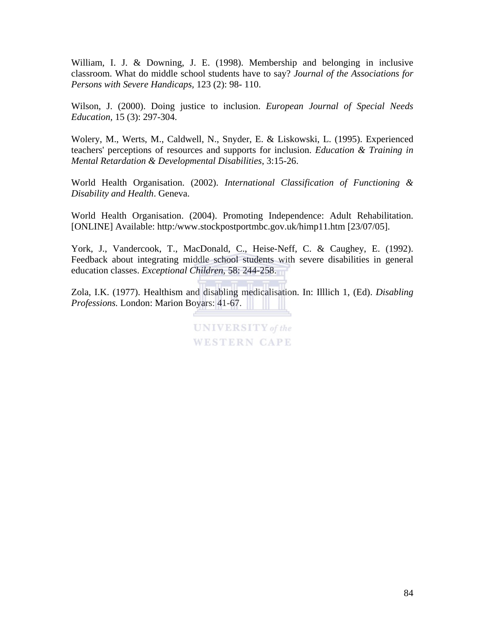William, I. J. & Downing, J. E. (1998). Membership and belonging in inclusive classroom. What do middle school students have to say? *Journal of the Associations for Persons with Severe Handicaps,* 123 (2): 98- 110.

Wilson, J. (2000). Doing justice to inclusion. *European Journal of Special Needs Education,* 15 (3): 297-304.

Wolery, M., Werts, M., Caldwell, N., Snyder, E. & Liskowski, L. (1995). Experienced teachers' perceptions of resources and supports for inclusion. *Education & Training in Mental Retardation & Developmental Disabilities*, 3:15-26.

World Health Organisation. (2002). *International Classification of Functioning & Disability and Health*. Geneva.

World Health Organisation. (2004). Promoting Independence: Adult Rehabilitation. [ONLINE] Available: http:/www.stockpostportmbc.gov.uk/himp11.htm [23/07/05].

York, J., Vandercook, T., MacDonald, C., Heise-Neff, C. & Caughey, E. (1992). Feedback about integrating middle school students with severe disabilities in general education classes. *Exceptional Children*, 58: 244-258.

Zola, I.K. (1977). Healthism and disabling medicalisation. In: Illlich 1, (Ed). *Disabling Professions.* London: Marion Boyars: 41-67.

> **UNIVERSITY** of the **WESTERN CAPE**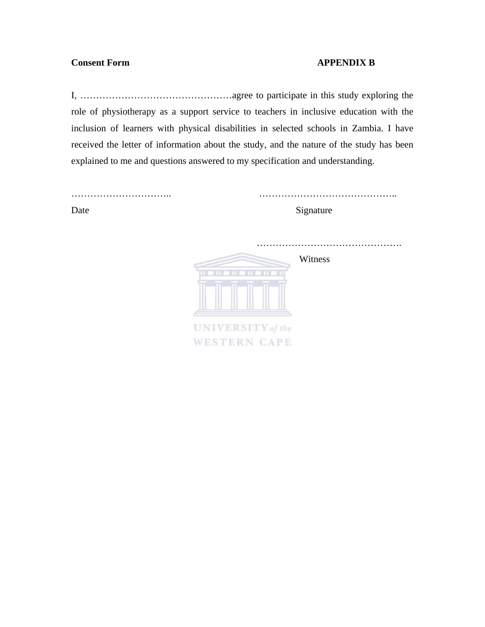# **Consent Form APPENDIX B**

I, …………………………………………agree to participate in this study exploring the role of physiotherapy as a support service to teachers in inclusive education with the inclusion of learners with physical disabilities in selected schools in Zambia. I have received the letter of information about the study, and the nature of the study has been explained to me and questions answered to my specification and understanding.

| Date | Signature               |
|------|-------------------------|
|      |                         |
|      |                         |
|      | Witness<br><b>TITLE</b> |
|      |                         |
|      | UNIVERSITY of the       |
|      | <b>WESTERN CAPE</b>     |
|      |                         |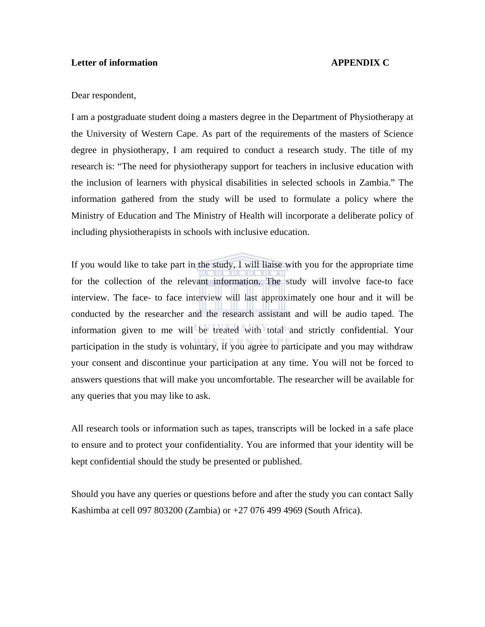## **Letter of information APPENDIX C**

#### Dear respondent,

I am a postgraduate student doing a masters degree in the Department of Physiotherapy at the University of Western Cape. As part of the requirements of the masters of Science degree in physiotherapy, I am required to conduct a research study. The title of my research is: "The need for physiotherapy support for teachers in inclusive education with the inclusion of learners with physical disabilities in selected schools in Zambia." The information gathered from the study will be used to formulate a policy where the Ministry of Education and The Ministry of Health will incorporate a deliberate policy of including physiotherapists in schools with inclusive education.

If you would like to take part in the study, I will liaise with you for the appropriate time for the collection of the relevant information. The study will involve face-to face interview. The face- to face interview will last approximately one hour and it will be conducted by the researcher and the research assistant and will be audio taped. The information given to me will be treated with total and strictly confidential. Your participation in the study is voluntary, if you agree to participate and you may withdraw your consent and discontinue your participation at any time. You will not be forced to answers questions that will make you uncomfortable. The researcher will be available for any queries that you may like to ask.

All research tools or information such as tapes, transcripts will be locked in a safe place to ensure and to protect your confidentiality. You are informed that your identity will be kept confidential should the study be presented or published.

Should you have any queries or questions before and after the study you can contact Sally Kashimba at cell 097 803200 (Zambia) or +27 076 499 4969 (South Africa).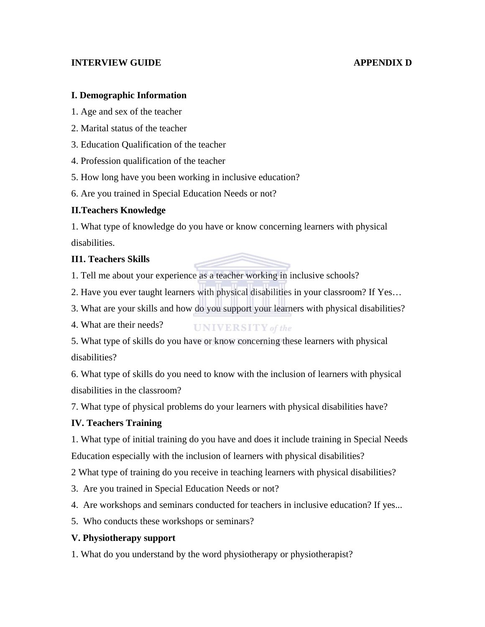# **INTERVIEW GUIDE APPENDIX D**

## **I. Demographic Information**

- 1. Age and sex of the teacher
- 2. Marital status of the teacher
- 3. Education Qualification of the teacher
- 4. Profession qualification of the teacher
- 5. How long have you been working in inclusive education?
- 6. Are you trained in Special Education Needs or not?

# **II.Teachers Knowledge**

1. What type of knowledge do you have or know concerning learners with physical disabilities.

# **II1. Teachers Skills**

1. Tell me about your experience as a teacher working in inclusive schools?

- 2. Have you ever taught learners with physical disabilities in your classroom? If Yes…
- 3. What are your skills and how do you support your learners with physical disabilities?
- 4. What are their needs? **UNIVERSITY** of the

5. What type of skills do you have or know concerning these learners with physical disabilities?

6. What type of skills do you need to know with the inclusion of learners with physical disabilities in the classroom?

7. What type of physical problems do your learners with physical disabilities have?

## **IV. Teachers Training**

1. What type of initial training do you have and does it include training in Special Needs Education especially with the inclusion of learners with physical disabilities?

2 What type of training do you receive in teaching learners with physical disabilities?

- 3. Are you trained in Special Education Needs or not?
- 4. Are workshops and seminars conducted for teachers in inclusive education? If yes...
- 5. Who conducts these workshops or seminars?

# **V. Physiotherapy support**

1. What do you understand by the word physiotherapy or physiotherapist?